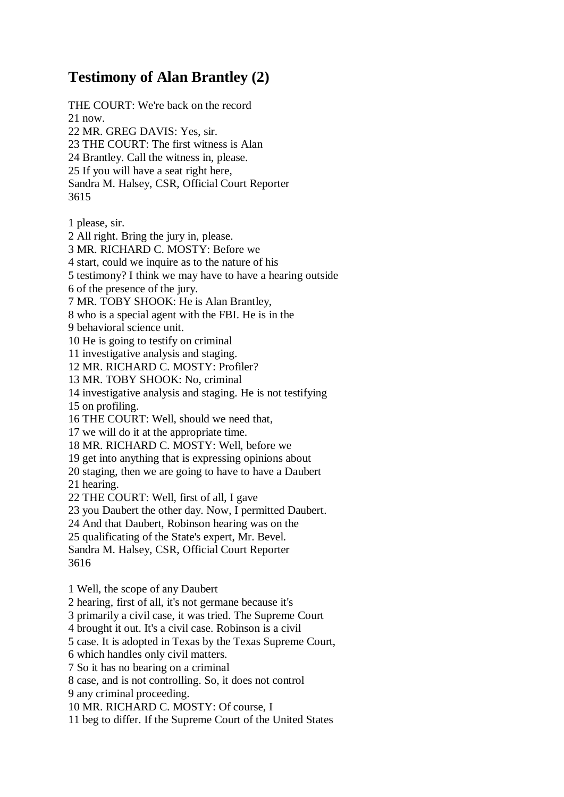# **Testimony of Alan Brantley (2)**

THE COURT: We're back on the record 21 now. 22 MR. GREG DAVIS: Yes, sir. 23 THE COURT: The first witness is Alan 24 Brantley. Call the witness in, please. 25 If you will have a seat right here, Sandra M. Halsey, CSR, Official Court Reporter 3615

1 please, sir.

2 All right. Bring the jury in, please. 3 MR. RICHARD C. MOSTY: Before we 4 start, could we inquire as to the nature of his

5 testimony? I think we may have to have a hearing outside

6 of the presence of the jury.

7 MR. TOBY SHOOK: He is Alan Brantley,

8 who is a special agent with the FBI. He is in the

9 behavioral science unit.

10 He is going to testify on criminal

11 investigative analysis and staging.

12 MR. RICHARD C. MOSTY: Profiler?

13 MR. TOBY SHOOK: No, criminal

14 investigative analysis and staging. He is not testifying

15 on profiling.

16 THE COURT: Well, should we need that,

17 we will do it at the appropriate time.

18 MR. RICHARD C. MOSTY: Well, before we

19 get into anything that is expressing opinions about

20 staging, then we are going to have to have a Daubert

21 hearing.

22 THE COURT: Well, first of all, I gave

23 you Daubert the other day. Now, I permitted Daubert.

24 And that Daubert, Robinson hearing was on the

25 qualificating of the State's expert, Mr. Bevel.

Sandra M. Halsey, CSR, Official Court Reporter 3616

1 Well, the scope of any Daubert

2 hearing, first of all, it's not germane because it's

3 primarily a civil case, it was tried. The Supreme Court

4 brought it out. It's a civil case. Robinson is a civil

5 case. It is adopted in Texas by the Texas Supreme Court,

6 which handles only civil matters.

7 So it has no bearing on a criminal

8 case, and is not controlling. So, it does not control

9 any criminal proceeding.

10 MR. RICHARD C. MOSTY: Of course, I

11 beg to differ. If the Supreme Court of the United States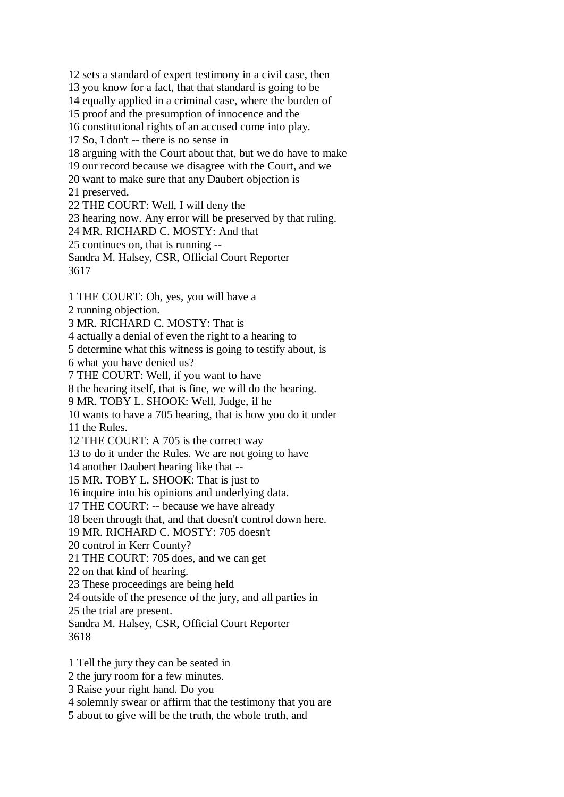12 sets a standard of expert testimony in a civil case, then 13 you know for a fact, that that standard is going to be 14 equally applied in a criminal case, where the burden of 15 proof and the presumption of innocence and the 16 constitutional rights of an accused come into play. 17 So, I don't -- there is no sense in 18 arguing with the Court about that, but we do have to make 19 our record because we disagree with the Court, and we 20 want to make sure that any Daubert objection is 21 preserved. 22 THE COURT: Well, I will deny the 23 hearing now. Any error will be preserved by that ruling. 24 MR. RICHARD C. MOSTY: And that 25 continues on, that is running -- Sandra M. Halsey, CSR, Official Court Reporter 3617 1 THE COURT: Oh, yes, you will have a 2 running objection. 3 MR. RICHARD C. MOSTY: That is 4 actually a denial of even the right to a hearing to

5 determine what this witness is going to testify about, is

6 what you have denied us?

7 THE COURT: Well, if you want to have

8 the hearing itself, that is fine, we will do the hearing.

9 MR. TOBY L. SHOOK: Well, Judge, if he

10 wants to have a 705 hearing, that is how you do it under 11 the Rules.

12 THE COURT: A 705 is the correct way

13 to do it under the Rules. We are not going to have

14 another Daubert hearing like that --

15 MR. TOBY L. SHOOK: That is just to

16 inquire into his opinions and underlying data.

17 THE COURT: -- because we have already

18 been through that, and that doesn't control down here.

19 MR. RICHARD C. MOSTY: 705 doesn't

20 control in Kerr County?

21 THE COURT: 705 does, and we can get

22 on that kind of hearing.

23 These proceedings are being held

24 outside of the presence of the jury, and all parties in

25 the trial are present.

Sandra M. Halsey, CSR, Official Court Reporter 3618

1 Tell the jury they can be seated in

2 the jury room for a few minutes.

3 Raise your right hand. Do you

4 solemnly swear or affirm that the testimony that you are

5 about to give will be the truth, the whole truth, and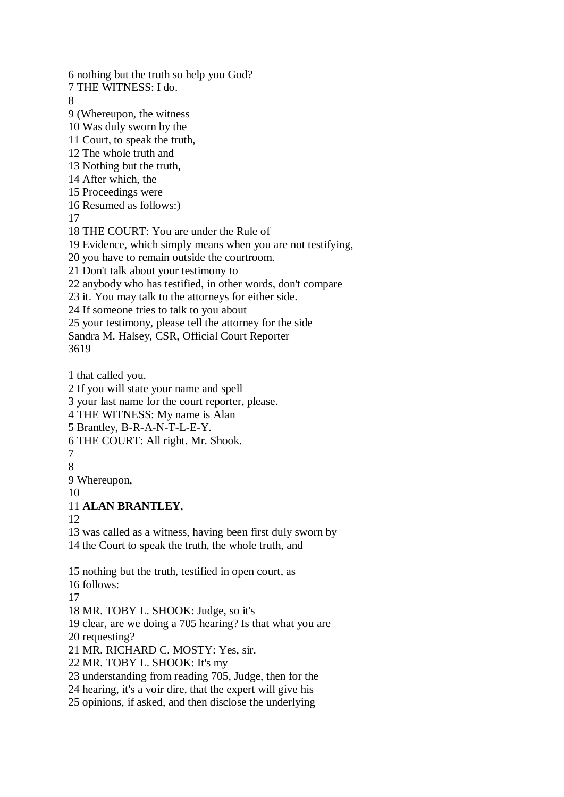6 nothing but the truth so help you God? 7 THE WITNESS: I do. 8 9 (Whereupon, the witness 10 Was duly sworn by the 11 Court, to speak the truth, 12 The whole truth and 13 Nothing but the truth, 14 After which, the 15 Proceedings were 16 Resumed as follows:) 17 18 THE COURT: You are under the Rule of 19 Evidence, which simply means when you are not testifying, 20 you have to remain outside the courtroom. 21 Don't talk about your testimony to 22 anybody who has testified, in other words, don't compare 23 it. You may talk to the attorneys for either side. 24 If someone tries to talk to you about 25 your testimony, please tell the attorney for the side Sandra M. Halsey, CSR, Official Court Reporter 3619 1 that called you. 2 If you will state your name and spell 3 your last name for the court reporter, please. 4 THE WITNESS: My name is Alan 5 Brantley, B-R-A-N-T-L-E-Y. 6 THE COURT: All right. Mr. Shook. 7 8 9 Whereupon, 10 11 **ALAN BRANTLEY**, 12 13 was called as a witness, having been first duly sworn by 14 the Court to speak the truth, the whole truth, and 15 nothing but the truth, testified in open court, as 16 follows: 17 18 MR. TOBY L. SHOOK: Judge, so it's 19 clear, are we doing a 705 hearing? Is that what you are 20 requesting? 21 MR. RICHARD C. MOSTY: Yes, sir. 22 MR. TOBY L. SHOOK: It's my 23 understanding from reading 705, Judge, then for the

24 hearing, it's a voir dire, that the expert will give his 25 opinions, if asked, and then disclose the underlying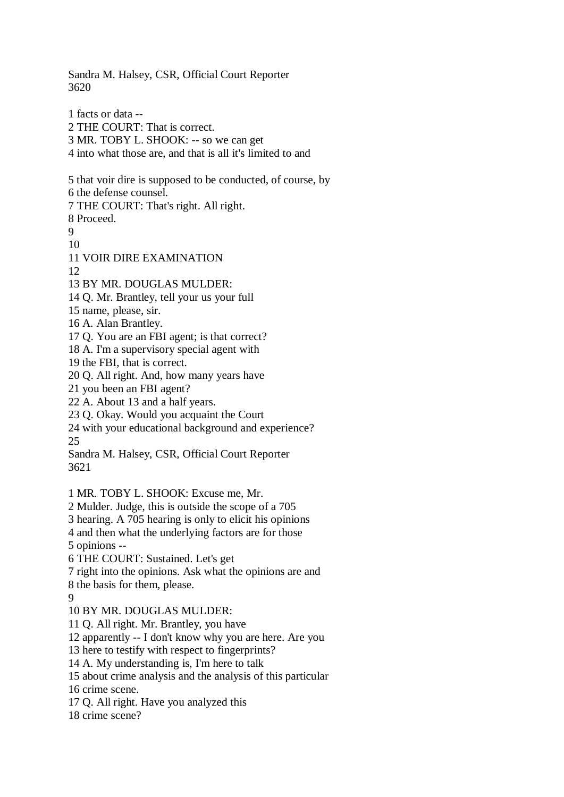Sandra M. Halsey, CSR, Official Court Reporter 3620

1 facts or data -- 2 THE COURT: That is correct. 3 MR. TOBY L. SHOOK: -- so we can get 4 into what those are, and that is all it's limited to and 5 that voir dire is supposed to be conducted, of course, by 6 the defense counsel. 7 THE COURT: That's right. All right. 8 Proceed.  $\mathbf Q$ 10 11 VOIR DIRE EXAMINATION 12 13 BY MR. DOUGLAS MULDER: 14 Q. Mr. Brantley, tell your us your full 15 name, please, sir. 16 A. Alan Brantley. 17 Q. You are an FBI agent; is that correct? 18 A. I'm a supervisory special agent with 19 the FBI, that is correct. 20 Q. All right. And, how many years have 21 you been an FBI agent? 22 A. About 13 and a half years. 23 Q. Okay. Would you acquaint the Court 24 with your educational background and experience? 25 Sandra M. Halsey, CSR, Official Court Reporter 3621 1 MR. TOBY L. SHOOK: Excuse me, Mr. 2 Mulder. Judge, this is outside the scope of a 705 3 hearing. A 705 hearing is only to elicit his opinions 4 and then what the underlying factors are for those 5 opinions -- 6 THE COURT: Sustained. Let's get 7 right into the opinions. Ask what the opinions are and 8 the basis for them, please. 9 10 BY MR. DOUGLAS MULDER: 11 Q. All right. Mr. Brantley, you have 12 apparently -- I don't know why you are here. Are you 13 here to testify with respect to fingerprints? 14 A. My understanding is, I'm here to talk 15 about crime analysis and the analysis of this particular 16 crime scene. 17 Q. All right. Have you analyzed this 18 crime scene?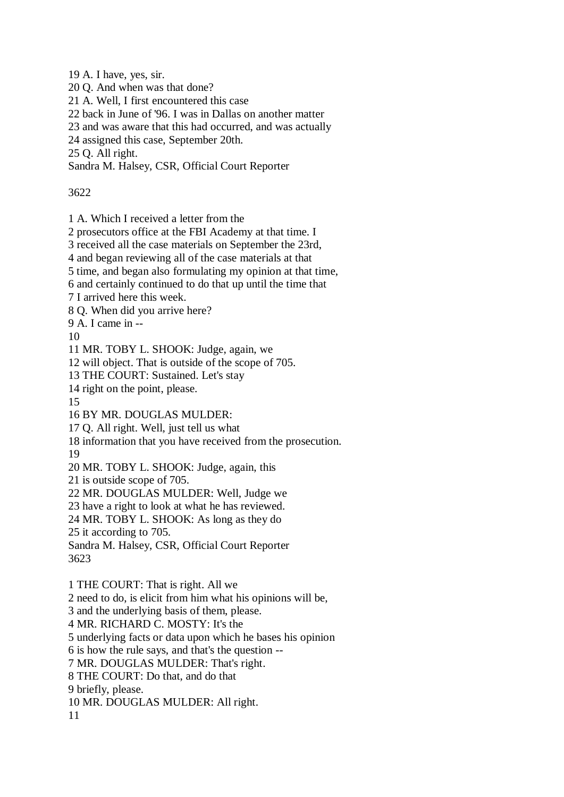19 A. I have, yes, sir.

20 Q. And when was that done?

21 A. Well, I first encountered this case

22 back in June of '96. I was in Dallas on another matter

23 and was aware that this had occurred, and was actually

24 assigned this case, September 20th.

25 Q. All right.

Sandra M. Halsey, CSR, Official Court Reporter

3622

1 A. Which I received a letter from the

2 prosecutors office at the FBI Academy at that time. I

3 received all the case materials on September the 23rd,

4 and began reviewing all of the case materials at that

5 time, and began also formulating my opinion at that time,

6 and certainly continued to do that up until the time that

7 I arrived here this week.

8 Q. When did you arrive here?

9 A. I came in --

10

11 MR. TOBY L. SHOOK: Judge, again, we

12 will object. That is outside of the scope of 705.

13 THE COURT: Sustained. Let's stay

14 right on the point, please.

15

16 BY MR. DOUGLAS MULDER:

17 Q. All right. Well, just tell us what

18 information that you have received from the prosecution.

19

20 MR. TOBY L. SHOOK: Judge, again, this

21 is outside scope of 705.

22 MR. DOUGLAS MULDER: Well, Judge we

23 have a right to look at what he has reviewed.

24 MR. TOBY L. SHOOK: As long as they do

25 it according to 705.

Sandra M. Halsey, CSR, Official Court Reporter 3623

1 THE COURT: That is right. All we

2 need to do, is elicit from him what his opinions will be,

3 and the underlying basis of them, please.

4 MR. RICHARD C. MOSTY: It's the

5 underlying facts or data upon which he bases his opinion

6 is how the rule says, and that's the question --

7 MR. DOUGLAS MULDER: That's right.

8 THE COURT: Do that, and do that

9 briefly, please.

10 MR. DOUGLAS MULDER: All right.

11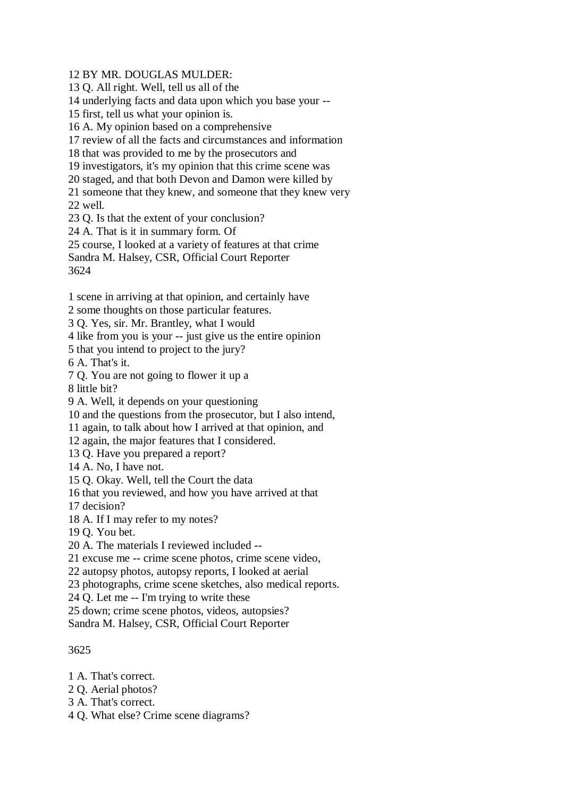#### 12 BY MR. DOUGLAS MULDER:

13 Q. All right. Well, tell us all of the

14 underlying facts and data upon which you base your --

15 first, tell us what your opinion is.

16 A. My opinion based on a comprehensive

17 review of all the facts and circumstances and information

18 that was provided to me by the prosecutors and

19 investigators, it's my opinion that this crime scene was

20 staged, and that both Devon and Damon were killed by

21 someone that they knew, and someone that they knew very 22 well.

23 Q. Is that the extent of your conclusion?

24 A. That is it in summary form. Of

25 course, I looked at a variety of features at that crime

Sandra M. Halsey, CSR, Official Court Reporter

3624

1 scene in arriving at that opinion, and certainly have

2 some thoughts on those particular features.

3 Q. Yes, sir. Mr. Brantley, what I would

4 like from you is your -- just give us the entire opinion

5 that you intend to project to the jury?

6 A. That's it.

7 Q. You are not going to flower it up a

8 little bit?

9 A. Well, it depends on your questioning

10 and the questions from the prosecutor, but I also intend,

11 again, to talk about how I arrived at that opinion, and

12 again, the major features that I considered.

13 Q. Have you prepared a report?

14 A. No, I have not.

15 Q. Okay. Well, tell the Court the data

16 that you reviewed, and how you have arrived at that

17 decision?

18 A. If I may refer to my notes?

19 Q. You bet.

20 A. The materials I reviewed included --

21 excuse me -- crime scene photos, crime scene video,

22 autopsy photos, autopsy reports, I looked at aerial

23 photographs, crime scene sketches, also medical reports.

24 Q. Let me -- I'm trying to write these

25 down; crime scene photos, videos, autopsies?

Sandra M. Halsey, CSR, Official Court Reporter

#### 3625

1 A. That's correct.

2 Q. Aerial photos?

3 A. That's correct.

4 Q. What else? Crime scene diagrams?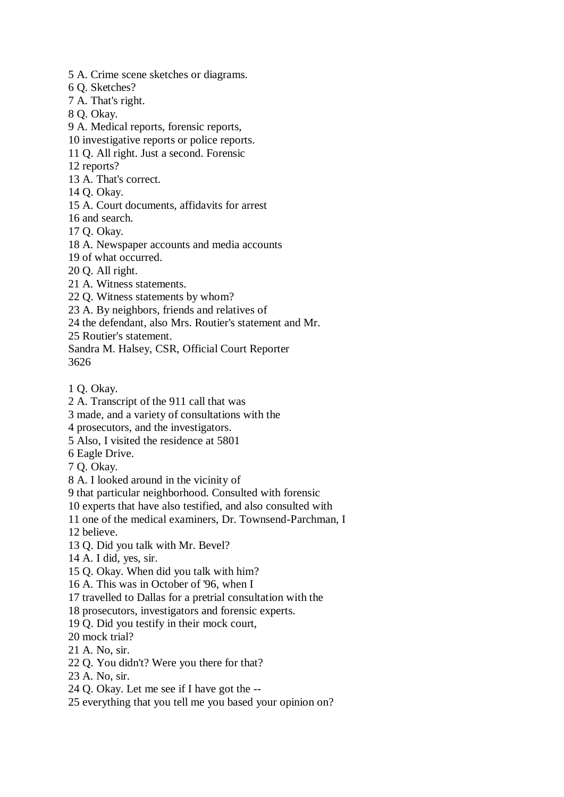- 5 A. Crime scene sketches or diagrams.
- 6 Q. Sketches?
- 7 A. That's right.
- 8 Q. Okay.
- 9 A. Medical reports, forensic reports,
- 10 investigative reports or police reports.
- 11 Q. All right. Just a second. Forensic
- 12 reports?
- 13 A. That's correct.
- 14 Q. Okay.
- 15 A. Court documents, affidavits for arrest
- 16 and search.
- 17 Q. Okay.
- 18 A. Newspaper accounts and media accounts
- 19 of what occurred.
- 20 Q. All right.
- 21 A. Witness statements.
- 22 Q. Witness statements by whom?
- 23 A. By neighbors, friends and relatives of
- 24 the defendant, also Mrs. Routier's statement and Mr.
- 25 Routier's statement.
- Sandra M. Halsey, CSR, Official Court Reporter
- 3626
- 1 Q. Okay.
- 2 A. Transcript of the 911 call that was
- 3 made, and a variety of consultations with the
- 4 prosecutors, and the investigators.
- 5 Also, I visited the residence at 5801
- 6 Eagle Drive.
- 7 Q. Okay.
- 8 A. I looked around in the vicinity of
- 9 that particular neighborhood. Consulted with forensic
- 10 experts that have also testified, and also consulted with
- 11 one of the medical examiners, Dr. Townsend-Parchman, I
- 12 believe.
- 13 Q. Did you talk with Mr. Bevel?
- 14 A. I did, yes, sir.
- 15 Q. Okay. When did you talk with him?
- 16 A. This was in October of '96, when I
- 17 travelled to Dallas for a pretrial consultation with the
- 18 prosecutors, investigators and forensic experts.
- 19 Q. Did you testify in their mock court,
- 20 mock trial?
- 21 A. No, sir.
- 22 Q. You didn't? Were you there for that?
- 23 A. No, sir.
- 24 Q. Okay. Let me see if I have got the --
- 25 everything that you tell me you based your opinion on?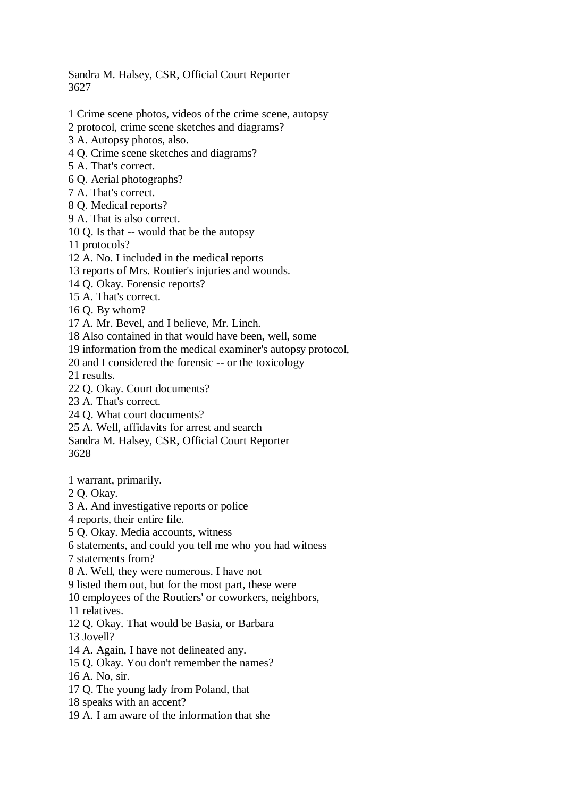Sandra M. Halsey, CSR, Official Court Reporter 3627

- 1 Crime scene photos, videos of the crime scene, autopsy
- 2 protocol, crime scene sketches and diagrams?
- 3 A. Autopsy photos, also.
- 4 Q. Crime scene sketches and diagrams?
- 5 A. That's correct.
- 6 Q. Aerial photographs?
- 7 A. That's correct.
- 8 Q. Medical reports?
- 9 A. That is also correct.
- 10 Q. Is that -- would that be the autopsy
- 11 protocols?
- 12 A. No. I included in the medical reports
- 13 reports of Mrs. Routier's injuries and wounds.
- 14 Q. Okay. Forensic reports?
- 15 A. That's correct.
- 16 Q. By whom?
- 17 A. Mr. Bevel, and I believe, Mr. Linch.
- 18 Also contained in that would have been, well, some
- 19 information from the medical examiner's autopsy protocol,
- 20 and I considered the forensic -- or the toxicology
- 21 results.
- 22 Q. Okay. Court documents?
- 23 A. That's correct.
- 24 Q. What court documents?
- 25 A. Well, affidavits for arrest and search
- Sandra M. Halsey, CSR, Official Court Reporter
- 3628
- 1 warrant, primarily.
- 2 Q. Okay.
- 3 A. And investigative reports or police
- 4 reports, their entire file.
- 5 Q. Okay. Media accounts, witness
- 6 statements, and could you tell me who you had witness
- 7 statements from?
- 8 A. Well, they were numerous. I have not
- 9 listed them out, but for the most part, these were
- 10 employees of the Routiers' or coworkers, neighbors,
- 11 relatives.
- 12 Q. Okay. That would be Basia, or Barbara
- 13 Jovell?
- 14 A. Again, I have not delineated any.
- 15 Q. Okay. You don't remember the names?
- 16 A. No, sir.
- 17 Q. The young lady from Poland, that
- 18 speaks with an accent?
- 19 A. I am aware of the information that she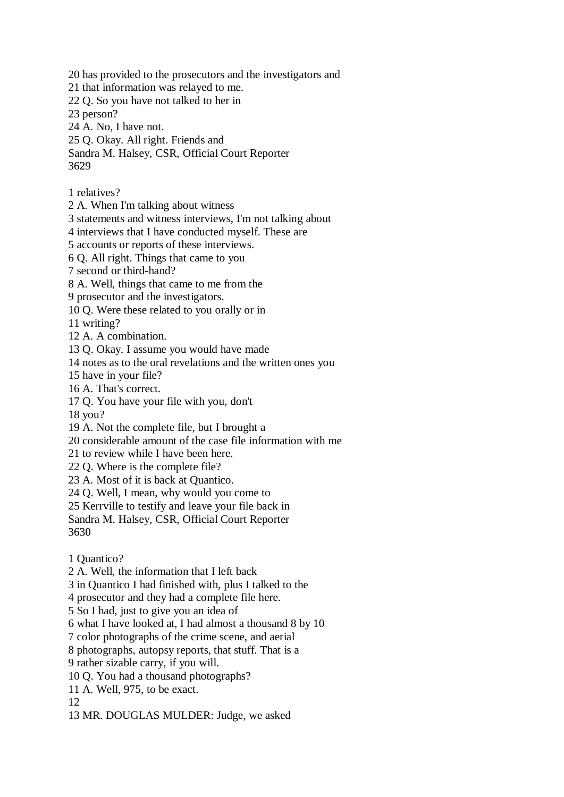20 has provided to the prosecutors and the investigators and

21 that information was relayed to me.

22 Q. So you have not talked to her in

23 person?

24 A. No, I have not.

25 Q. Okay. All right. Friends and

Sandra M. Halsey, CSR, Official Court Reporter 3629

1 relatives?

2 A. When I'm talking about witness

3 statements and witness interviews, I'm not talking about

4 interviews that I have conducted myself. These are

5 accounts or reports of these interviews.

6 Q. All right. Things that came to you

7 second or third-hand?

8 A. Well, things that came to me from the

9 prosecutor and the investigators.

10 Q. Were these related to you orally or in

11 writing?

12 A. A combination.

13 Q. Okay. I assume you would have made

14 notes as to the oral revelations and the written ones you

15 have in your file?

16 A. That's correct.

17 Q. You have your file with you, don't

18 you?

19 A. Not the complete file, but I brought a

20 considerable amount of the case file information with me

21 to review while I have been here.

22 Q. Where is the complete file?

23 A. Most of it is back at Quantico.

24 Q. Well, I mean, why would you come to

25 Kerrville to testify and leave your file back in

Sandra M. Halsey, CSR, Official Court Reporter

3630

1 Quantico?

2 A. Well, the information that I left back

3 in Quantico I had finished with, plus I talked to the

4 prosecutor and they had a complete file here.

5 So I had, just to give you an idea of

6 what I have looked at, I had almost a thousand 8 by 10

7 color photographs of the crime scene, and aerial

8 photographs, autopsy reports, that stuff. That is a

9 rather sizable carry, if you will.

10 Q. You had a thousand photographs?

11 A. Well, 975, to be exact.

12

13 MR. DOUGLAS MULDER: Judge, we asked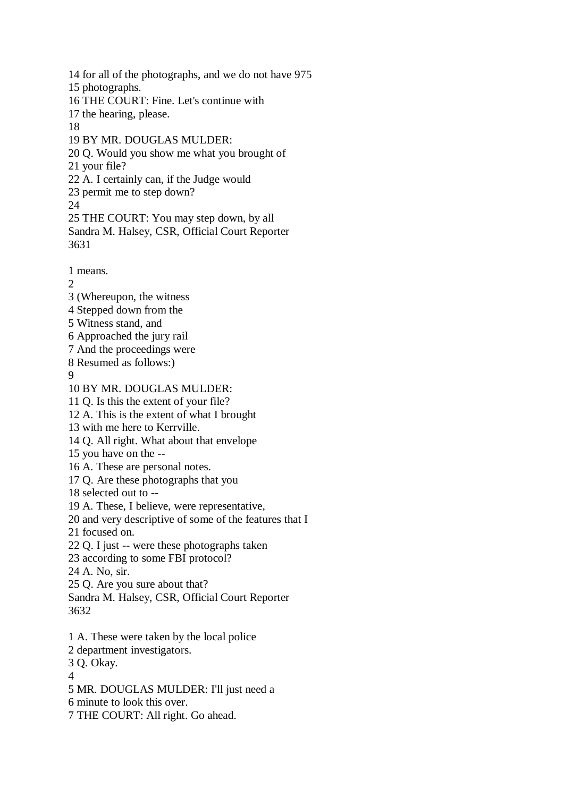14 for all of the photographs, and we do not have 975 15 photographs. 16 THE COURT: Fine. Let's continue with 17 the hearing, please. 18 19 BY MR. DOUGLAS MULDER: 20 Q. Would you show me what you brought of 21 your file? 22 A. I certainly can, if the Judge would 23 permit me to step down? 24 25 THE COURT: You may step down, by all Sandra M. Halsey, CSR, Official Court Reporter 3631 1 means.  $\mathcal{D}_{\alpha}$ 3 (Whereupon, the witness 4 Stepped down from the 5 Witness stand, and 6 Approached the jury rail 7 And the proceedings were 8 Resumed as follows:)  $\Omega$ 10 BY MR. DOUGLAS MULDER: 11 Q. Is this the extent of your file? 12 A. This is the extent of what I brought 13 with me here to Kerrville. 14 Q. All right. What about that envelope 15 you have on the -- 16 A. These are personal notes. 17 Q. Are these photographs that you 18 selected out to -- 19 A. These, I believe, were representative, 20 and very descriptive of some of the features that I 21 focused on. 22 Q. I just -- were these photographs taken 23 according to some FBI protocol? 24 A. No, sir. 25 Q. Are you sure about that? Sandra M. Halsey, CSR, Official Court Reporter 3632 1 A. These were taken by the local police 2 department investigators. 3 Q. Okay. 4 5 MR. DOUGLAS MULDER: I'll just need a 6 minute to look this over.

7 THE COURT: All right. Go ahead.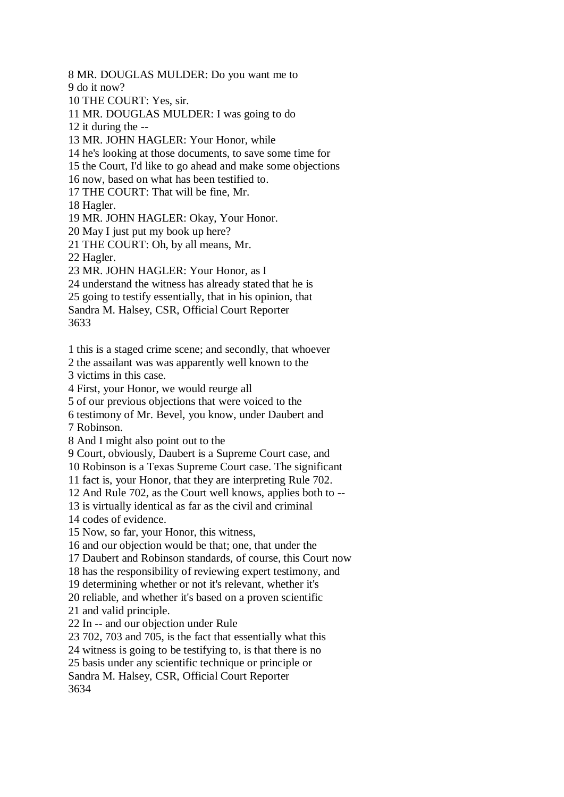8 MR. DOUGLAS MULDER: Do you want me to

9 do it now?

10 THE COURT: Yes, sir.

11 MR. DOUGLAS MULDER: I was going to do

12 it during the --

13 MR. JOHN HAGLER: Your Honor, while

14 he's looking at those documents, to save some time for

15 the Court, I'd like to go ahead and make some objections

16 now, based on what has been testified to.

17 THE COURT: That will be fine, Mr.

18 Hagler.

19 MR. JOHN HAGLER: Okay, Your Honor.

20 May I just put my book up here?

21 THE COURT: Oh, by all means, Mr.

22 Hagler.

23 MR. JOHN HAGLER: Your Honor, as I

24 understand the witness has already stated that he is

25 going to testify essentially, that in his opinion, that

Sandra M. Halsey, CSR, Official Court Reporter

3633

1 this is a staged crime scene; and secondly, that whoever

2 the assailant was was apparently well known to the

3 victims in this case.

4 First, your Honor, we would reurge all

5 of our previous objections that were voiced to the

6 testimony of Mr. Bevel, you know, under Daubert and 7 Robinson.

8 And I might also point out to the

9 Court, obviously, Daubert is a Supreme Court case, and

10 Robinson is a Texas Supreme Court case. The significant

11 fact is, your Honor, that they are interpreting Rule 702.

12 And Rule 702, as the Court well knows, applies both to --

13 is virtually identical as far as the civil and criminal

14 codes of evidence.

15 Now, so far, your Honor, this witness,

16 and our objection would be that; one, that under the

17 Daubert and Robinson standards, of course, this Court now

18 has the responsibility of reviewing expert testimony, and

19 determining whether or not it's relevant, whether it's

20 reliable, and whether it's based on a proven scientific

21 and valid principle.

22 In -- and our objection under Rule

23 702, 703 and 705, is the fact that essentially what this

24 witness is going to be testifying to, is that there is no

25 basis under any scientific technique or principle or

Sandra M. Halsey, CSR, Official Court Reporter 3634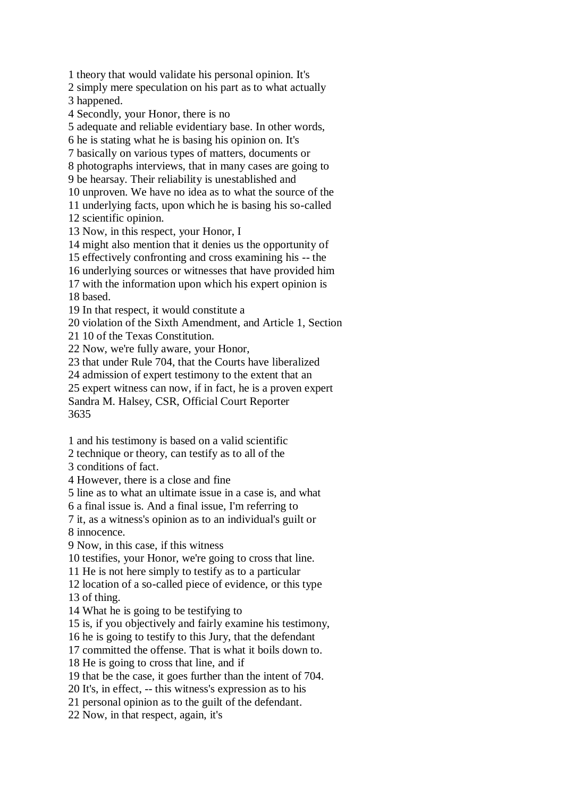1 theory that would validate his personal opinion. It's 2 simply mere speculation on his part as to what actually 3 happened. 4 Secondly, your Honor, there is no 5 adequate and reliable evidentiary base. In other words, 6 he is stating what he is basing his opinion on. It's 7 basically on various types of matters, documents or 8 photographs interviews, that in many cases are going to 9 be hearsay. Their reliability is unestablished and 10 unproven. We have no idea as to what the source of the 11 underlying facts, upon which he is basing his so-called 12 scientific opinion. 13 Now, in this respect, your Honor, I 14 might also mention that it denies us the opportunity of 15 effectively confronting and cross examining his -- the 16 underlying sources or witnesses that have provided him 17 with the information upon which his expert opinion is 18 based. 19 In that respect, it would constitute a 20 violation of the Sixth Amendment, and Article 1, Section 21 10 of the Texas Constitution. 22 Now, we're fully aware, your Honor, 23 that under Rule 704, that the Courts have liberalized 24 admission of expert testimony to the extent that an 25 expert witness can now, if in fact, he is a proven expert Sandra M. Halsey, CSR, Official Court Reporter 3635 1 and his testimony is based on a valid scientific 2 technique or theory, can testify as to all of the 3 conditions of fact. 4 However, there is a close and fine 5 line as to what an ultimate issue in a case is, and what

6 a final issue is. And a final issue, I'm referring to

7 it, as a witness's opinion as to an individual's guilt or 8 innocence.

9 Now, in this case, if this witness

10 testifies, your Honor, we're going to cross that line.

11 He is not here simply to testify as to a particular

12 location of a so-called piece of evidence, or this type 13 of thing.

14 What he is going to be testifying to

15 is, if you objectively and fairly examine his testimony,

16 he is going to testify to this Jury, that the defendant

17 committed the offense. That is what it boils down to.

18 He is going to cross that line, and if

19 that be the case, it goes further than the intent of 704.

20 It's, in effect, -- this witness's expression as to his

21 personal opinion as to the guilt of the defendant.

22 Now, in that respect, again, it's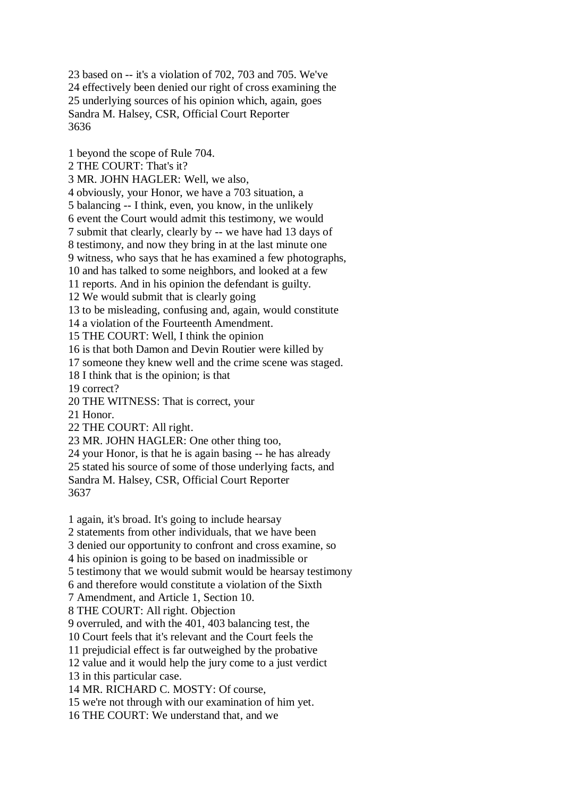23 based on -- it's a violation of 702, 703 and 705. We've 24 effectively been denied our right of cross examining the 25 underlying sources of his opinion which, again, goes Sandra M. Halsey, CSR, Official Court Reporter 3636

1 beyond the scope of Rule 704.

2 THE COURT: That's it?

3 MR. JOHN HAGLER: Well, we also,

4 obviously, your Honor, we have a 703 situation, a

5 balancing -- I think, even, you know, in the unlikely

6 event the Court would admit this testimony, we would

7 submit that clearly, clearly by -- we have had 13 days of

8 testimony, and now they bring in at the last minute one

9 witness, who says that he has examined a few photographs,

10 and has talked to some neighbors, and looked at a few

11 reports. And in his opinion the defendant is guilty.

12 We would submit that is clearly going

13 to be misleading, confusing and, again, would constitute

14 a violation of the Fourteenth Amendment.

15 THE COURT: Well, I think the opinion

16 is that both Damon and Devin Routier were killed by

17 someone they knew well and the crime scene was staged.

18 I think that is the opinion; is that

19 correct?

20 THE WITNESS: That is correct, your

21 Honor.

22 THE COURT: All right.

23 MR. JOHN HAGLER: One other thing too,

24 your Honor, is that he is again basing -- he has already

25 stated his source of some of those underlying facts, and

Sandra M. Halsey, CSR, Official Court Reporter 3637

1 again, it's broad. It's going to include hearsay

2 statements from other individuals, that we have been

3 denied our opportunity to confront and cross examine, so

4 his opinion is going to be based on inadmissible or

5 testimony that we would submit would be hearsay testimony

6 and therefore would constitute a violation of the Sixth

7 Amendment, and Article 1, Section 10.

8 THE COURT: All right. Objection

9 overruled, and with the 401, 403 balancing test, the

10 Court feels that it's relevant and the Court feels the

11 prejudicial effect is far outweighed by the probative

12 value and it would help the jury come to a just verdict

13 in this particular case.

14 MR. RICHARD C. MOSTY: Of course,

15 we're not through with our examination of him yet.

16 THE COURT: We understand that, and we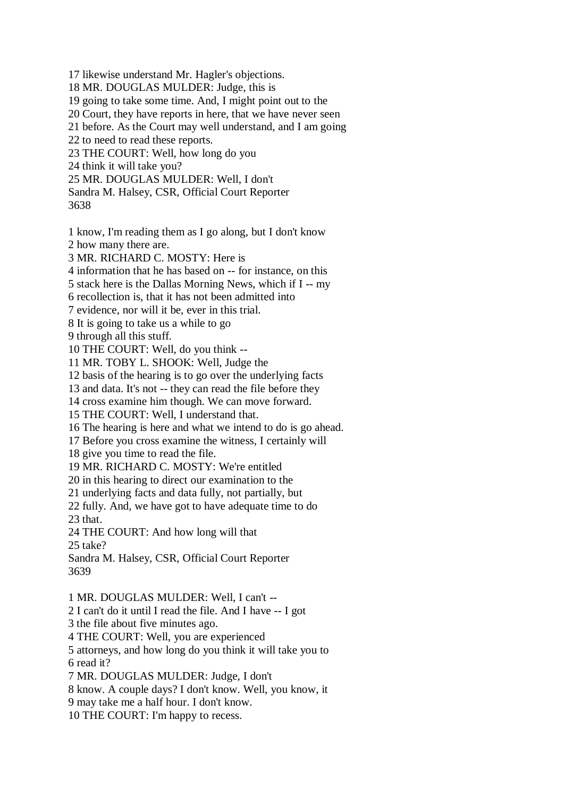17 likewise understand Mr. Hagler's objections. 18 MR. DOUGLAS MULDER: Judge, this is 19 going to take some time. And, I might point out to the 20 Court, they have reports in here, that we have never seen 21 before. As the Court may well understand, and I am going 22 to need to read these reports. 23 THE COURT: Well, how long do you 24 think it will take you? 25 MR. DOUGLAS MULDER: Well, I don't Sandra M. Halsey, CSR, Official Court Reporter 3638 1 know, I'm reading them as I go along, but I don't know 2 how many there are. 3 MR. RICHARD C. MOSTY: Here is 4 information that he has based on -- for instance, on this 5 stack here is the Dallas Morning News, which if I -- my 6 recollection is, that it has not been admitted into 7 evidence, nor will it be, ever in this trial. 8 It is going to take us a while to go 9 through all this stuff. 10 THE COURT: Well, do you think -- 11 MR. TOBY L. SHOOK: Well, Judge the 12 basis of the hearing is to go over the underlying facts 13 and data. It's not -- they can read the file before they 14 cross examine him though. We can move forward. 15 THE COURT: Well, I understand that. 16 The hearing is here and what we intend to do is go ahead. 17 Before you cross examine the witness, I certainly will 18 give you time to read the file. 19 MR. RICHARD C. MOSTY: We're entitled 20 in this hearing to direct our examination to the 21 underlying facts and data fully, not partially, but 22 fully. And, we have got to have adequate time to do 23 that. 24 THE COURT: And how long will that 25 take? Sandra M. Halsey, CSR, Official Court Reporter 3639 1 MR. DOUGLAS MULDER: Well, I can't -- 2 I can't do it until I read the file. And I have -- I got 3 the file about five minutes ago. 4 THE COURT: Well, you are experienced 5 attorneys, and how long do you think it will take you to 6 read it? 7 MR. DOUGLAS MULDER: Judge, I don't 8 know. A couple days? I don't know. Well, you know, it 9 may take me a half hour. I don't know. 10 THE COURT: I'm happy to recess.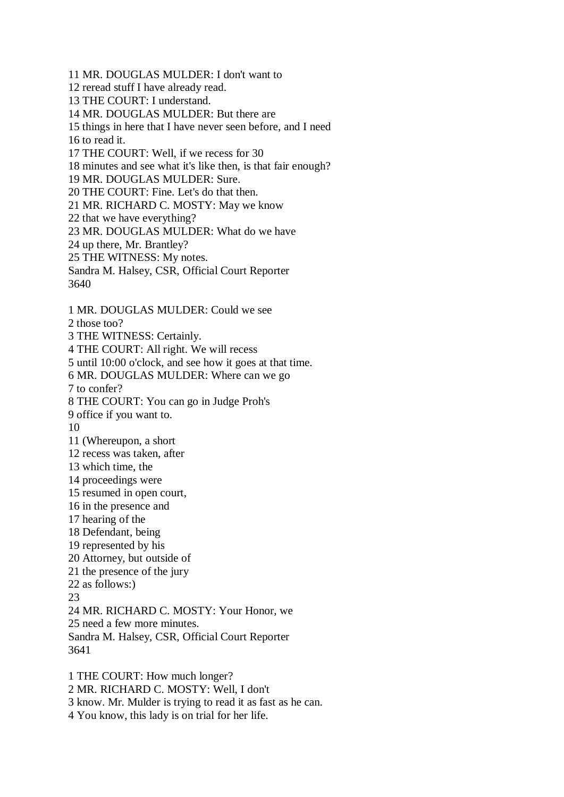11 MR. DOUGLAS MULDER: I don't want to 12 reread stuff I have already read. 13 THE COURT: I understand. 14 MR. DOUGLAS MULDER: But there are 15 things in here that I have never seen before, and I need 16 to read it. 17 THE COURT: Well, if we recess for 30 18 minutes and see what it's like then, is that fair enough? 19 MR. DOUGLAS MULDER: Sure. 20 THE COURT: Fine. Let's do that then. 21 MR. RICHARD C. MOSTY: May we know 22 that we have everything? 23 MR. DOUGLAS MULDER: What do we have 24 up there, Mr. Brantley? 25 THE WITNESS: My notes. Sandra M. Halsey, CSR, Official Court Reporter 3640 1 MR. DOUGLAS MULDER: Could we see 2 those too? 3 THE WITNESS: Certainly. 4 THE COURT: All right. We will recess 5 until 10:00 o'clock, and see how it goes at that time. 6 MR. DOUGLAS MULDER: Where can we go 7 to confer? 8 THE COURT: You can go in Judge Proh's 9 office if you want to. 10 11 (Whereupon, a short 12 recess was taken, after 13 which time, the 14 proceedings were 15 resumed in open court, 16 in the presence and 17 hearing of the 18 Defendant, being 19 represented by his 20 Attorney, but outside of 21 the presence of the jury 22 as follows:) 23 24 MR. RICHARD C. MOSTY: Your Honor, we 25 need a few more minutes. Sandra M. Halsey, CSR, Official Court Reporter 3641

1 THE COURT: How much longer? 2 MR. RICHARD C. MOSTY: Well, I don't 3 know. Mr. Mulder is trying to read it as fast as he can.

4 You know, this lady is on trial for her life.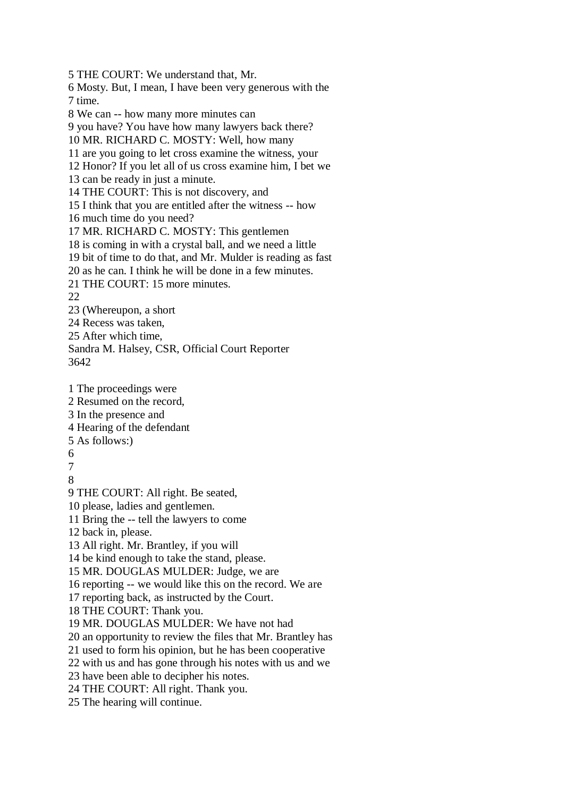5 THE COURT: We understand that, Mr. 6 Mosty. But, I mean, I have been very generous with the 7 time. 8 We can -- how many more minutes can 9 you have? You have how many lawyers back there? 10 MR. RICHARD C. MOSTY: Well, how many 11 are you going to let cross examine the witness, your 12 Honor? If you let all of us cross examine him, I bet we 13 can be ready in just a minute. 14 THE COURT: This is not discovery, and 15 I think that you are entitled after the witness -- how 16 much time do you need? 17 MR. RICHARD C. MOSTY: This gentlemen 18 is coming in with a crystal ball, and we need a little 19 bit of time to do that, and Mr. Mulder is reading as fast 20 as he can. I think he will be done in a few minutes. 21 THE COURT: 15 more minutes.  $22$ 23 (Whereupon, a short 24 Recess was taken, 25 After which time, Sandra M. Halsey, CSR, Official Court Reporter 3642 1 The proceedings were 2 Resumed on the record, 3 In the presence and 4 Hearing of the defendant 5 As follows:) 6 7 8 9 THE COURT: All right. Be seated, 10 please, ladies and gentlemen. 11 Bring the -- tell the lawyers to come 12 back in, please. 13 All right. Mr. Brantley, if you will 14 be kind enough to take the stand, please. 15 MR. DOUGLAS MULDER: Judge, we are 16 reporting -- we would like this on the record. We are 17 reporting back, as instructed by the Court. 18 THE COURT: Thank you. 19 MR. DOUGLAS MULDER: We have not had 20 an opportunity to review the files that Mr. Brantley has 21 used to form his opinion, but he has been cooperative 22 with us and has gone through his notes with us and we 23 have been able to decipher his notes. 24 THE COURT: All right. Thank you. 25 The hearing will continue.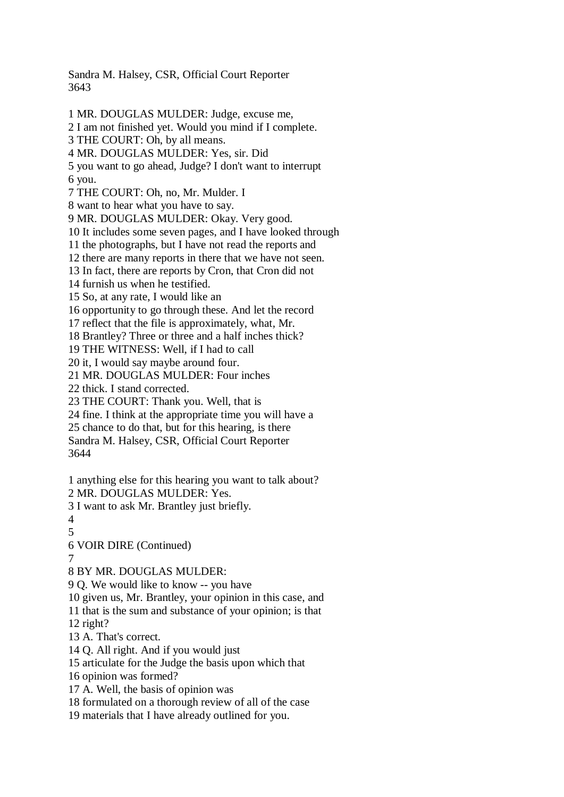Sandra M. Halsey, CSR, Official Court Reporter 3643

1 MR. DOUGLAS MULDER: Judge, excuse me, 2 I am not finished yet. Would you mind if I complete. 3 THE COURT: Oh, by all means. 4 MR. DOUGLAS MULDER: Yes, sir. Did 5 you want to go ahead, Judge? I don't want to interrupt 6 you. 7 THE COURT: Oh, no, Mr. Mulder. I 8 want to hear what you have to say. 9 MR. DOUGLAS MULDER: Okay. Very good. 10 It includes some seven pages, and I have looked through 11 the photographs, but I have not read the reports and 12 there are many reports in there that we have not seen. 13 In fact, there are reports by Cron, that Cron did not 14 furnish us when he testified. 15 So, at any rate, I would like an 16 opportunity to go through these. And let the record 17 reflect that the file is approximately, what, Mr. 18 Brantley? Three or three and a half inches thick? 19 THE WITNESS: Well, if I had to call 20 it, I would say maybe around four. 21 MR. DOUGLAS MULDER: Four inches 22 thick. I stand corrected. 23 THE COURT: Thank you. Well, that is 24 fine. I think at the appropriate time you will have a 25 chance to do that, but for this hearing, is there Sandra M. Halsey, CSR, Official Court Reporter 3644

1 anything else for this hearing you want to talk about?

2 MR. DOUGLAS MULDER: Yes.

3 I want to ask Mr. Brantley just briefly.

4

5

6 VOIR DIRE (Continued)

7

8 BY MR. DOUGLAS MULDER:

9 Q. We would like to know -- you have

10 given us, Mr. Brantley, your opinion in this case, and

11 that is the sum and substance of your opinion; is that

12 right?

13 A. That's correct.

14 Q. All right. And if you would just

15 articulate for the Judge the basis upon which that

16 opinion was formed?

17 A. Well, the basis of opinion was

18 formulated on a thorough review of all of the case

19 materials that I have already outlined for you.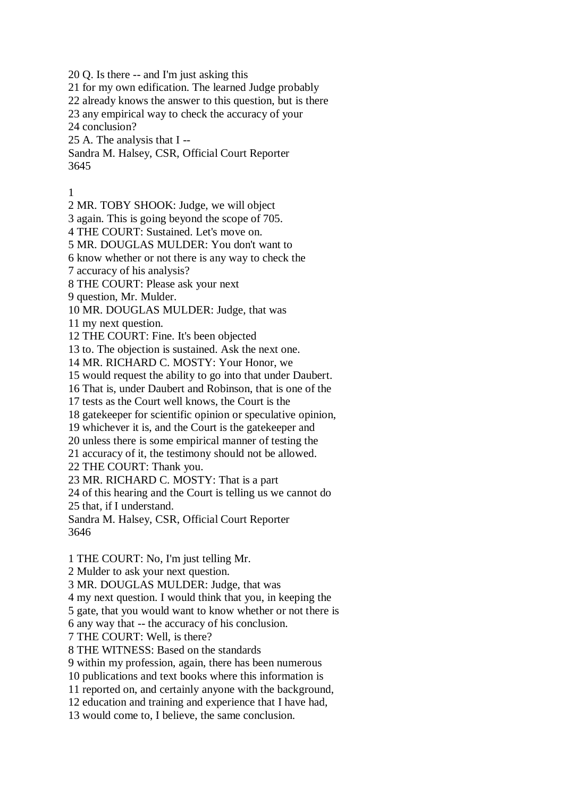20 Q. Is there -- and I'm just asking this

21 for my own edification. The learned Judge probably

22 already knows the answer to this question, but is there

23 any empirical way to check the accuracy of your

24 conclusion?

25 A. The analysis that I --

Sandra M. Halsey, CSR, Official Court Reporter 3645

### 1

2 MR. TOBY SHOOK: Judge, we will object

3 again. This is going beyond the scope of 705.

4 THE COURT: Sustained. Let's move on.

5 MR. DOUGLAS MULDER: You don't want to

6 know whether or not there is any way to check the

7 accuracy of his analysis?

8 THE COURT: Please ask your next

9 question, Mr. Mulder.

10 MR. DOUGLAS MULDER: Judge, that was

11 my next question.

12 THE COURT: Fine. It's been objected

13 to. The objection is sustained. Ask the next one.

14 MR. RICHARD C. MOSTY: Your Honor, we

15 would request the ability to go into that under Daubert.

16 That is, under Daubert and Robinson, that is one of the

17 tests as the Court well knows, the Court is the

18 gatekeeper for scientific opinion or speculative opinion,

19 whichever it is, and the Court is the gatekeeper and

20 unless there is some empirical manner of testing the

21 accuracy of it, the testimony should not be allowed.

22 THE COURT: Thank you.

23 MR. RICHARD C. MOSTY: That is a part

24 of this hearing and the Court is telling us we cannot do 25 that, if I understand.

Sandra M. Halsey, CSR, Official Court Reporter 3646

1 THE COURT: No, I'm just telling Mr.

2 Mulder to ask your next question.

3 MR. DOUGLAS MULDER: Judge, that was

4 my next question. I would think that you, in keeping the

5 gate, that you would want to know whether or not there is

6 any way that -- the accuracy of his conclusion.

7 THE COURT: Well, is there?

8 THE WITNESS: Based on the standards

9 within my profession, again, there has been numerous

10 publications and text books where this information is

11 reported on, and certainly anyone with the background,

12 education and training and experience that I have had,

13 would come to, I believe, the same conclusion.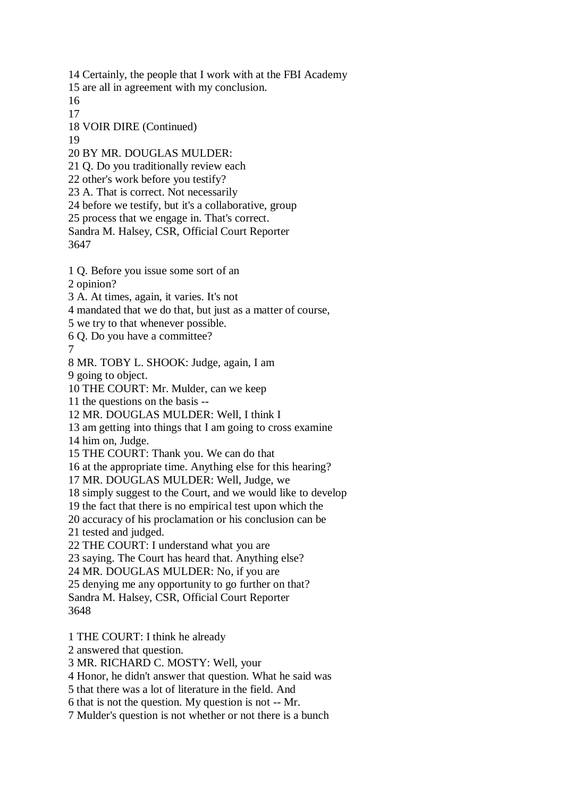14 Certainly, the people that I work with at the FBI Academy

15 are all in agreement with my conclusion.

16 17

18 VOIR DIRE (Continued)

19

20 BY MR. DOUGLAS MULDER:

21 Q. Do you traditionally review each

22 other's work before you testify?

23 A. That is correct. Not necessarily

24 before we testify, but it's a collaborative, group

25 process that we engage in. That's correct.

Sandra M. Halsey, CSR, Official Court Reporter 3647

1 Q. Before you issue some sort of an

2 opinion?

3 A. At times, again, it varies. It's not

4 mandated that we do that, but just as a matter of course,

5 we try to that whenever possible.

6 Q. Do you have a committee?

7

8 MR. TOBY L. SHOOK: Judge, again, I am

9 going to object.

10 THE COURT: Mr. Mulder, can we keep

11 the questions on the basis --

12 MR. DOUGLAS MULDER: Well, I think I

13 am getting into things that I am going to cross examine

14 him on, Judge.

15 THE COURT: Thank you. We can do that

16 at the appropriate time. Anything else for this hearing?

17 MR. DOUGLAS MULDER: Well, Judge, we

18 simply suggest to the Court, and we would like to develop

19 the fact that there is no empirical test upon which the

20 accuracy of his proclamation or his conclusion can be

21 tested and judged.

22 THE COURT: I understand what you are

23 saying. The Court has heard that. Anything else?

24 MR. DOUGLAS MULDER: No, if you are

25 denying me any opportunity to go further on that? Sandra M. Halsey, CSR, Official Court Reporter

3648

1 THE COURT: I think he already

2 answered that question.

3 MR. RICHARD C. MOSTY: Well, your

4 Honor, he didn't answer that question. What he said was

5 that there was a lot of literature in the field. And

6 that is not the question. My question is not -- Mr.

7 Mulder's question is not whether or not there is a bunch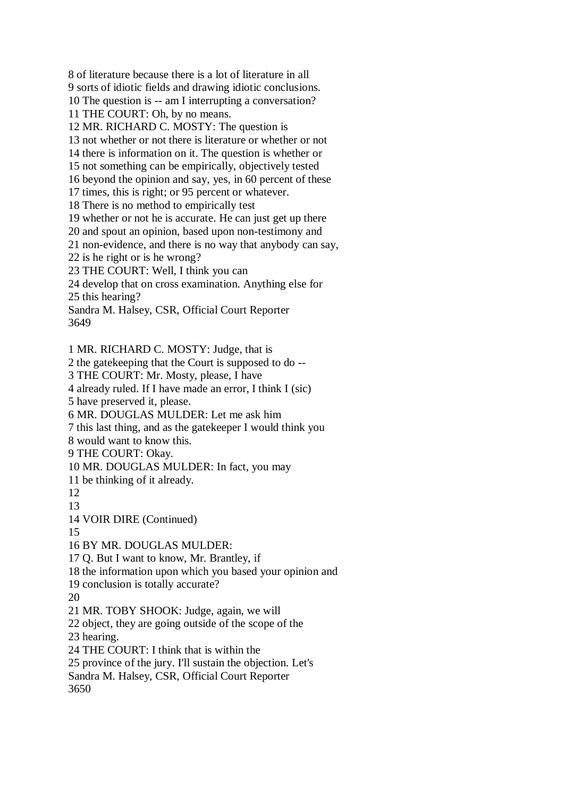9 sorts of idiotic fields and drawing idiotic conclusions. 10 The question is -- am I interrupting a conversation? 11 THE COURT: Oh, by no means. 12 MR. RICHARD C. MOSTY: The question is 13 not whether or not there is literature or whether or not 14 there is information on it. The question is whether or 15 not something can be empirically, objectively tested 16 beyond the opinion and say, yes, in 60 percent of these 17 times, this is right; or 95 percent or whatever. 18 There is no method to empirically test 19 whether or not he is accurate. He can just get up there 20 and spout an opinion, based upon non-testimony and 21 non-evidence, and there is no way that anybody can say, 22 is he right or is he wrong? 23 THE COURT: Well, I think you can 24 develop that on cross examination. Anything else for 25 this hearing? Sandra M. Halsey, CSR, Official Court Reporter 3649 1 MR. RICHARD C. MOSTY: Judge, that is 2 the gatekeeping that the Court is supposed to do -- 3 THE COURT: Mr. Mosty, please, I have 4 already ruled. If I have made an error, I think I (sic) 5 have preserved it, please. 6 MR. DOUGLAS MULDER: Let me ask him 7 this last thing, and as the gatekeeper I would think you 8 would want to know this. 9 THE COURT: Okay. 10 MR. DOUGLAS MULDER: In fact, you may 11 be thinking of it already. 12 13 14 VOIR DIRE (Continued) 15 16 BY MR. DOUGLAS MULDER: 17 Q. But I want to know, Mr. Brantley, if 18 the information upon which you based your opinion and 19 conclusion is totally accurate? 20 21 MR. TOBY SHOOK: Judge, again, we will 22 object, they are going outside of the scope of the 23 hearing. 24 THE COURT: I think that is within the 25 province of the jury. I'll sustain the objection. Let's Sandra M. Halsey, CSR, Official Court Reporter 3650

8 of literature because there is a lot of literature in all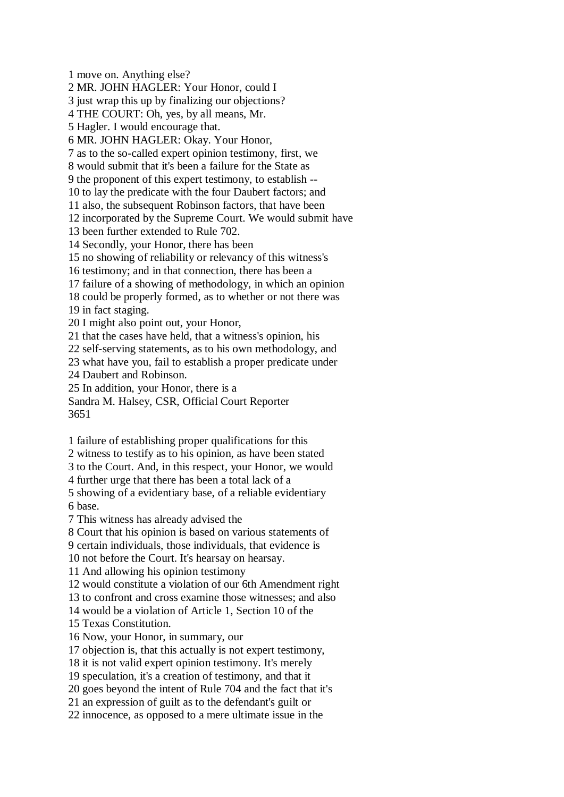1 move on. Anything else? 2 MR. JOHN HAGLER: Your Honor, could I 3 just wrap this up by finalizing our objections? 4 THE COURT: Oh, yes, by all means, Mr. 5 Hagler. I would encourage that. 6 MR. JOHN HAGLER: Okay. Your Honor, 7 as to the so-called expert opinion testimony, first, we 8 would submit that it's been a failure for the State as 9 the proponent of this expert testimony, to establish -- 10 to lay the predicate with the four Daubert factors; and 11 also, the subsequent Robinson factors, that have been

12 incorporated by the Supreme Court. We would submit have

13 been further extended to Rule 702.

14 Secondly, your Honor, there has been

15 no showing of reliability or relevancy of this witness's

16 testimony; and in that connection, there has been a

17 failure of a showing of methodology, in which an opinion

18 could be properly formed, as to whether or not there was

19 in fact staging.

20 I might also point out, your Honor,

21 that the cases have held, that a witness's opinion, his

22 self-serving statements, as to his own methodology, and

23 what have you, fail to establish a proper predicate under

24 Daubert and Robinson.

25 In addition, your Honor, there is a

Sandra M. Halsey, CSR, Official Court Reporter 3651

1 failure of establishing proper qualifications for this

2 witness to testify as to his opinion, as have been stated

3 to the Court. And, in this respect, your Honor, we would

4 further urge that there has been a total lack of a

5 showing of a evidentiary base, of a reliable evidentiary 6 base.

7 This witness has already advised the

8 Court that his opinion is based on various statements of

9 certain individuals, those individuals, that evidence is

10 not before the Court. It's hearsay on hearsay.

11 And allowing his opinion testimony

12 would constitute a violation of our 6th Amendment right

13 to confront and cross examine those witnesses; and also

14 would be a violation of Article 1, Section 10 of the

15 Texas Constitution.

16 Now, your Honor, in summary, our

17 objection is, that this actually is not expert testimony,

18 it is not valid expert opinion testimony. It's merely

19 speculation, it's a creation of testimony, and that it

20 goes beyond the intent of Rule 704 and the fact that it's

21 an expression of guilt as to the defendant's guilt or

22 innocence, as opposed to a mere ultimate issue in the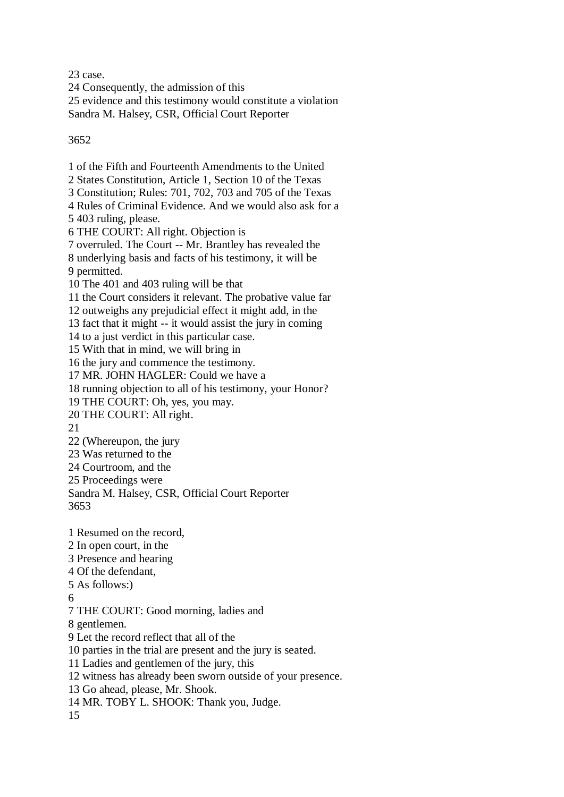23 case.

24 Consequently, the admission of this

25 evidence and this testimony would constitute a violation Sandra M. Halsey, CSR, Official Court Reporter

## 3652

1 of the Fifth and Fourteenth Amendments to the United 2 States Constitution, Article 1, Section 10 of the Texas 3 Constitution; Rules: 701, 702, 703 and 705 of the Texas 4 Rules of Criminal Evidence. And we would also ask for a 5 403 ruling, please. 6 THE COURT: All right. Objection is 7 overruled. The Court -- Mr. Brantley has revealed the 8 underlying basis and facts of his testimony, it will be 9 permitted. 10 The 401 and 403 ruling will be that 11 the Court considers it relevant. The probative value far 12 outweighs any prejudicial effect it might add, in the 13 fact that it might -- it would assist the jury in coming 14 to a just verdict in this particular case. 15 With that in mind, we will bring in 16 the jury and commence the testimony. 17 MR. JOHN HAGLER: Could we have a 18 running objection to all of his testimony, your Honor? 19 THE COURT: Oh, yes, you may. 20 THE COURT: All right. 21 22 (Whereupon, the jury 23 Was returned to the 24 Courtroom, and the 25 Proceedings were Sandra M. Halsey, CSR, Official Court Reporter 3653 1 Resumed on the record, 2 In open court, in the 3 Presence and hearing 4 Of the defendant, 5 As follows:) 6 7 THE COURT: Good morning, ladies and 8 gentlemen. 9 Let the record reflect that all of the 10 parties in the trial are present and the jury is seated. 11 Ladies and gentlemen of the jury, this 12 witness has already been sworn outside of your presence. 13 Go ahead, please, Mr. Shook. 14 MR. TOBY L. SHOOK: Thank you, Judge. 15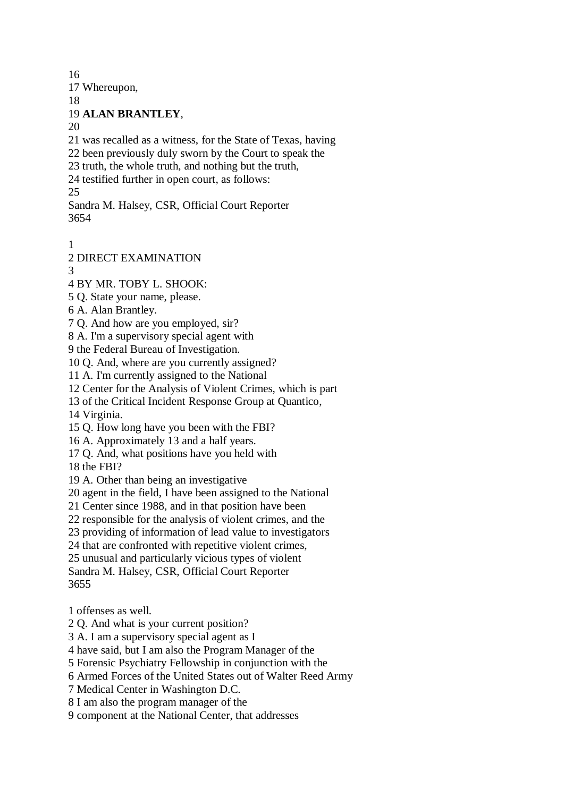16 17 Whereupon, 18 19 **ALAN BRANTLEY**, 20 21 was recalled as a witness, for the State of Texas, having 22 been previously duly sworn by the Court to speak the 23 truth, the whole truth, and nothing but the truth, 24 testified further in open court, as follows: 25 Sandra M. Halsey, CSR, Official Court Reporter 3654 2 DIRECT EXAMINATION 4 BY MR. TOBY L. SHOOK: 5 Q. State your name, please. 6 A. Alan Brantley. 7 Q. And how are you employed, sir? 8 A. I'm a supervisory special agent with 9 the Federal Bureau of Investigation. 10 Q. And, where are you currently assigned? 11 A. I'm currently assigned to the National 12 Center for the Analysis of Violent Crimes, which is part 13 of the Critical Incident Response Group at Quantico, 14 Virginia. 15 Q. How long have you been with the FBI? 16 A. Approximately 13 and a half years. 17 Q. And, what positions have you held with 18 the FBI? 19 A. Other than being an investigative 20 agent in the field, I have been assigned to the National 21 Center since 1988, and in that position have been 22 responsible for the analysis of violent crimes, and the 23 providing of information of lead value to investigators 24 that are confronted with repetitive violent crimes, 25 unusual and particularly vicious types of violent Sandra M. Halsey, CSR, Official Court Reporter 3655 1 offenses as well. 2 Q. And what is your current position? 3 A. I am a supervisory special agent as I 4 have said, but I am also the Program Manager of the 5 Forensic Psychiatry Fellowship in conjunction with the 6 Armed Forces of the United States out of Walter Reed Army 7 Medical Center in Washington D.C. 8 I am also the program manager of the

1

3

9 component at the National Center, that addresses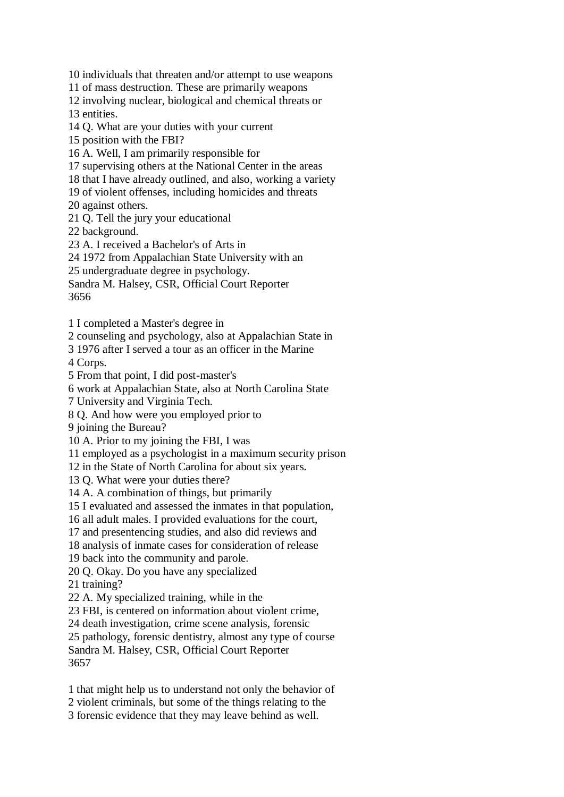10 individuals that threaten and/or attempt to use weapons

11 of mass destruction. These are primarily weapons

12 involving nuclear, biological and chemical threats or 13 entities.

14 Q. What are your duties with your current

15 position with the FBI?

16 A. Well, I am primarily responsible for

17 supervising others at the National Center in the areas

18 that I have already outlined, and also, working a variety

19 of violent offenses, including homicides and threats

20 against others.

21 Q. Tell the jury your educational

22 background.

23 A. I received a Bachelor's of Arts in

24 1972 from Appalachian State University with an

25 undergraduate degree in psychology.

Sandra M. Halsey, CSR, Official Court Reporter 3656

1 I completed a Master's degree in

2 counseling and psychology, also at Appalachian State in

3 1976 after I served a tour as an officer in the Marine

4 Corps.

5 From that point, I did post-master's

6 work at Appalachian State, also at North Carolina State

7 University and Virginia Tech.

8 Q. And how were you employed prior to

9 joining the Bureau?

10 A. Prior to my joining the FBI, I was

11 employed as a psychologist in a maximum security prison

12 in the State of North Carolina for about six years.

13 Q. What were your duties there?

14 A. A combination of things, but primarily

15 I evaluated and assessed the inmates in that population,

16 all adult males. I provided evaluations for the court,

17 and presentencing studies, and also did reviews and

18 analysis of inmate cases for consideration of release

19 back into the community and parole.

20 Q. Okay. Do you have any specialized

21 training?

22 A. My specialized training, while in the

23 FBI, is centered on information about violent crime,

24 death investigation, crime scene analysis, forensic

25 pathology, forensic dentistry, almost any type of course

Sandra M. Halsey, CSR, Official Court Reporter 3657

1 that might help us to understand not only the behavior of

2 violent criminals, but some of the things relating to the

3 forensic evidence that they may leave behind as well.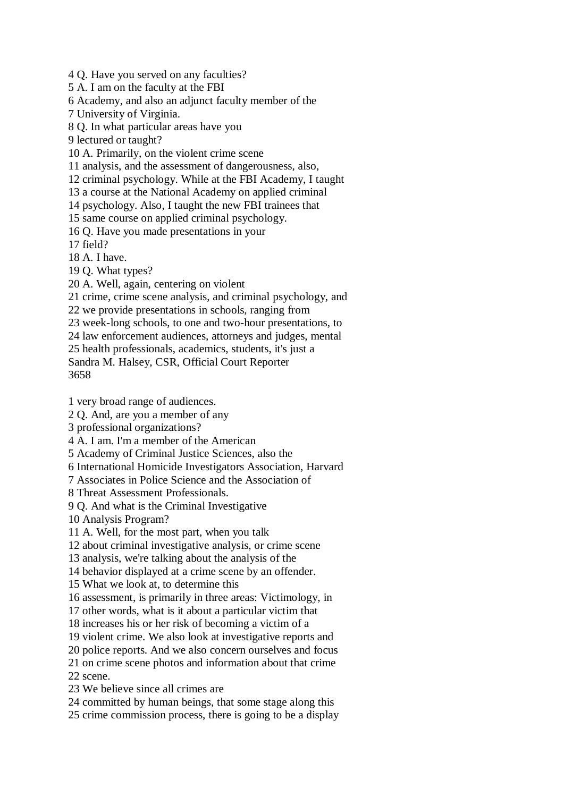4 Q. Have you served on any faculties?

5 A. I am on the faculty at the FBI

6 Academy, and also an adjunct faculty member of the

7 University of Virginia.

8 Q. In what particular areas have you

9 lectured or taught?

10 A. Primarily, on the violent crime scene

11 analysis, and the assessment of dangerousness, also,

12 criminal psychology. While at the FBI Academy, I taught

13 a course at the National Academy on applied criminal

14 psychology. Also, I taught the new FBI trainees that

15 same course on applied criminal psychology.

16 Q. Have you made presentations in your

17 field?

18 A. I have.

19 Q. What types?

20 A. Well, again, centering on violent

21 crime, crime scene analysis, and criminal psychology, and

22 we provide presentations in schools, ranging from

23 week-long schools, to one and two-hour presentations, to

24 law enforcement audiences, attorneys and judges, mental

25 health professionals, academics, students, it's just a

Sandra M. Halsey, CSR, Official Court Reporter 3658

1 very broad range of audiences.

2 Q. And, are you a member of any

3 professional organizations?

4 A. I am. I'm a member of the American

5 Academy of Criminal Justice Sciences, also the

6 International Homicide Investigators Association, Harvard

7 Associates in Police Science and the Association of

8 Threat Assessment Professionals.

9 Q. And what is the Criminal Investigative

10 Analysis Program?

11 A. Well, for the most part, when you talk

12 about criminal investigative analysis, or crime scene

13 analysis, we're talking about the analysis of the

14 behavior displayed at a crime scene by an offender.

15 What we look at, to determine this

16 assessment, is primarily in three areas: Victimology, in

17 other words, what is it about a particular victim that

18 increases his or her risk of becoming a victim of a

19 violent crime. We also look at investigative reports and

20 police reports. And we also concern ourselves and focus

21 on crime scene photos and information about that crime 22 scene.

23 We believe since all crimes are

24 committed by human beings, that some stage along this

25 crime commission process, there is going to be a display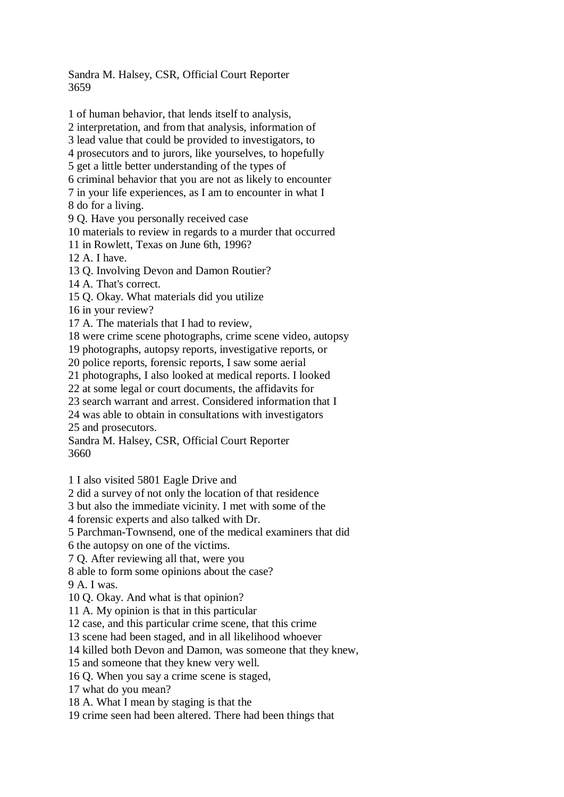Sandra M. Halsey, CSR, Official Court Reporter 3659

1 of human behavior, that lends itself to analysis,

2 interpretation, and from that analysis, information of

3 lead value that could be provided to investigators, to

4 prosecutors and to jurors, like yourselves, to hopefully

5 get a little better understanding of the types of

6 criminal behavior that you are not as likely to encounter

7 in your life experiences, as I am to encounter in what I

8 do for a living.

9 Q. Have you personally received case

10 materials to review in regards to a murder that occurred

11 in Rowlett, Texas on June 6th, 1996?

12 A. I have.

13 Q. Involving Devon and Damon Routier?

14 A. That's correct.

15 Q. Okay. What materials did you utilize

16 in your review?

17 A. The materials that I had to review,

18 were crime scene photographs, crime scene video, autopsy

19 photographs, autopsy reports, investigative reports, or

20 police reports, forensic reports, I saw some aerial

21 photographs, I also looked at medical reports. I looked

22 at some legal or court documents, the affidavits for

23 search warrant and arrest. Considered information that I

24 was able to obtain in consultations with investigators

25 and prosecutors.

Sandra M. Halsey, CSR, Official Court Reporter 3660

1 I also visited 5801 Eagle Drive and

2 did a survey of not only the location of that residence

3 but also the immediate vicinity. I met with some of the

4 forensic experts and also talked with Dr.

5 Parchman-Townsend, one of the medical examiners that did

6 the autopsy on one of the victims.

7 Q. After reviewing all that, were you

8 able to form some opinions about the case?

9 A. I was.

10 Q. Okay. And what is that opinion?

11 A. My opinion is that in this particular

12 case, and this particular crime scene, that this crime

13 scene had been staged, and in all likelihood whoever

14 killed both Devon and Damon, was someone that they knew,

15 and someone that they knew very well.

16 Q. When you say a crime scene is staged,

17 what do you mean?

18 A. What I mean by staging is that the

19 crime seen had been altered. There had been things that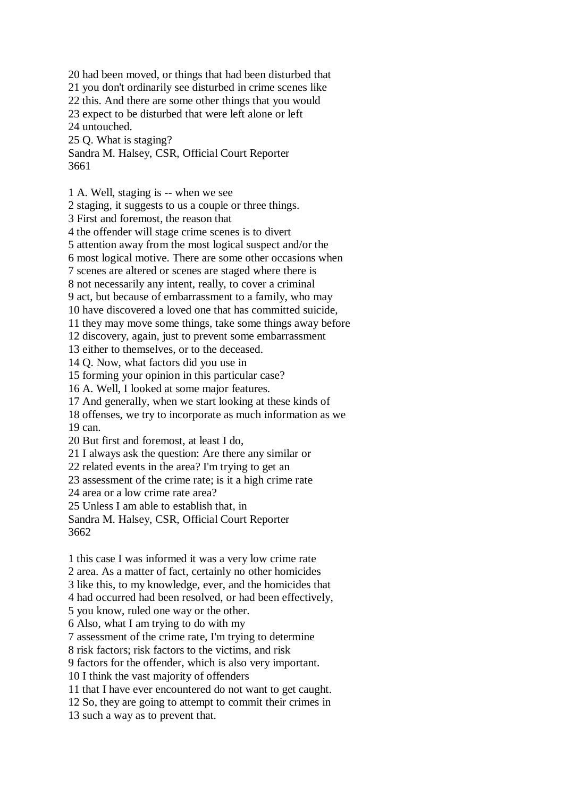20 had been moved, or things that had been disturbed that 21 you don't ordinarily see disturbed in crime scenes like 22 this. And there are some other things that you would 23 expect to be disturbed that were left alone or left 24 untouched. 25 Q. What is staging? Sandra M. Halsey, CSR, Official Court Reporter

3661

1 A. Well, staging is -- when we see

2 staging, it suggests to us a couple or three things.

3 First and foremost, the reason that

4 the offender will stage crime scenes is to divert

5 attention away from the most logical suspect and/or the

6 most logical motive. There are some other occasions when

7 scenes are altered or scenes are staged where there is

8 not necessarily any intent, really, to cover a criminal

9 act, but because of embarrassment to a family, who may

10 have discovered a loved one that has committed suicide,

11 they may move some things, take some things away before

12 discovery, again, just to prevent some embarrassment

13 either to themselves, or to the deceased.

14 Q. Now, what factors did you use in

15 forming your opinion in this particular case?

16 A. Well, I looked at some major features.

17 And generally, when we start looking at these kinds of

18 offenses, we try to incorporate as much information as we 19 can.

20 But first and foremost, at least I do,

21 I always ask the question: Are there any similar or

22 related events in the area? I'm trying to get an

23 assessment of the crime rate; is it a high crime rate

24 area or a low crime rate area?

25 Unless I am able to establish that, in

Sandra M. Halsey, CSR, Official Court Reporter 3662

1 this case I was informed it was a very low crime rate

2 area. As a matter of fact, certainly no other homicides

3 like this, to my knowledge, ever, and the homicides that

4 had occurred had been resolved, or had been effectively,

5 you know, ruled one way or the other.

6 Also, what I am trying to do with my

7 assessment of the crime rate, I'm trying to determine

8 risk factors; risk factors to the victims, and risk

9 factors for the offender, which is also very important.

10 I think the vast majority of offenders

11 that I have ever encountered do not want to get caught.

12 So, they are going to attempt to commit their crimes in

13 such a way as to prevent that.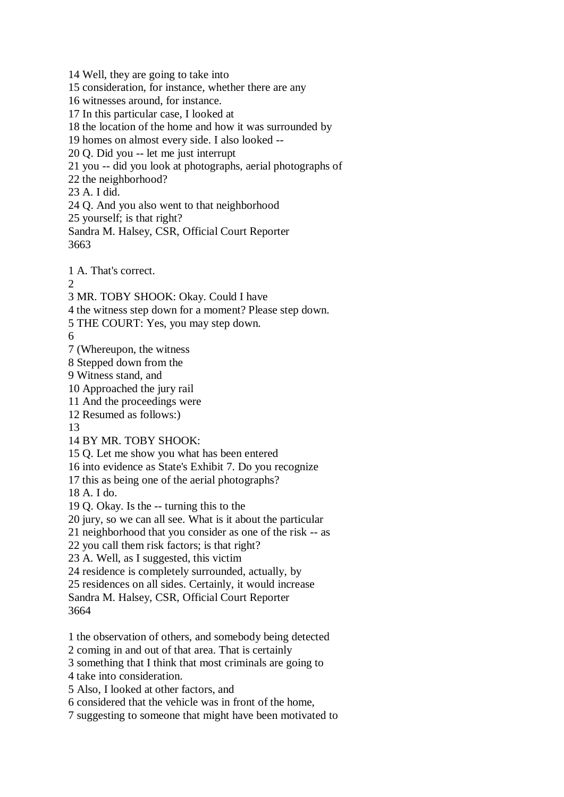14 Well, they are going to take into 15 consideration, for instance, whether there are any 16 witnesses around, for instance. 17 In this particular case, I looked at 18 the location of the home and how it was surrounded by 19 homes on almost every side. I also looked -- 20 Q. Did you -- let me just interrupt 21 you -- did you look at photographs, aerial photographs of 22 the neighborhood? 23 A. I did. 24 Q. And you also went to that neighborhood 25 yourself; is that right? Sandra M. Halsey, CSR, Official Court Reporter 3663 1 A. That's correct.  $\mathcal{L}$ 3 MR. TOBY SHOOK: Okay. Could I have 4 the witness step down for a moment? Please step down. 5 THE COURT: Yes, you may step down. 6 7 (Whereupon, the witness 8 Stepped down from the 9 Witness stand, and 10 Approached the jury rail 11 And the proceedings were 12 Resumed as follows:) 13 14 BY MR. TOBY SHOOK: 15 Q. Let me show you what has been entered 16 into evidence as State's Exhibit 7. Do you recognize 17 this as being one of the aerial photographs? 18 A. I do. 19 Q. Okay. Is the -- turning this to the 20 jury, so we can all see. What is it about the particular 21 neighborhood that you consider as one of the risk -- as 22 you call them risk factors; is that right? 23 A. Well, as I suggested, this victim 24 residence is completely surrounded, actually, by 25 residences on all sides. Certainly, it would increase Sandra M. Halsey, CSR, Official Court Reporter 3664 1 the observation of others, and somebody being detected 2 coming in and out of that area. That is certainly 3 something that I think that most criminals are going to 4 take into consideration. 5 Also, I looked at other factors, and 6 considered that the vehicle was in front of the home,

7 suggesting to someone that might have been motivated to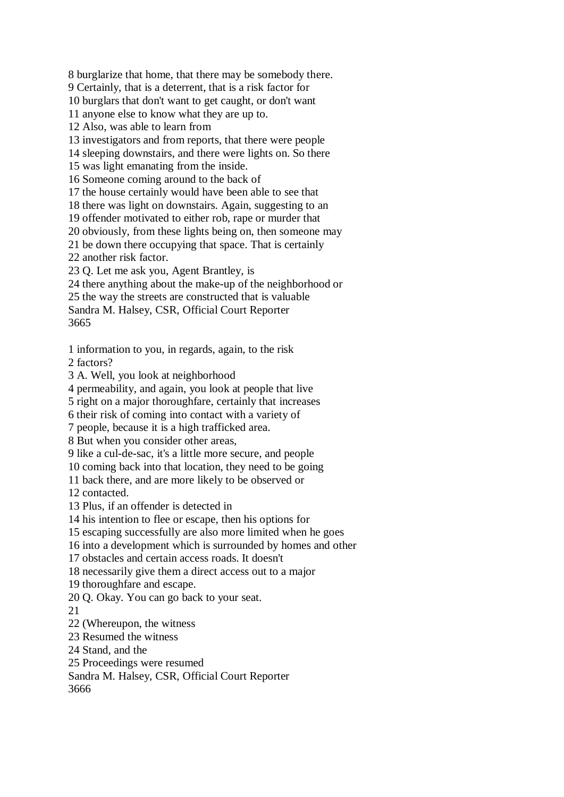8 burglarize that home, that there may be somebody there.

9 Certainly, that is a deterrent, that is a risk factor for

10 burglars that don't want to get caught, or don't want

11 anyone else to know what they are up to.

12 Also, was able to learn from

13 investigators and from reports, that there were people

14 sleeping downstairs, and there were lights on. So there

15 was light emanating from the inside.

16 Someone coming around to the back of

17 the house certainly would have been able to see that

18 there was light on downstairs. Again, suggesting to an

19 offender motivated to either rob, rape or murder that

20 obviously, from these lights being on, then someone may

21 be down there occupying that space. That is certainly

22 another risk factor.

23 Q. Let me ask you, Agent Brantley, is

24 there anything about the make-up of the neighborhood or

25 the way the streets are constructed that is valuable

Sandra M. Halsey, CSR, Official Court Reporter 3665

1 information to you, in regards, again, to the risk

2 factors?

3 A. Well, you look at neighborhood

4 permeability, and again, you look at people that live

5 right on a major thoroughfare, certainly that increases

6 their risk of coming into contact with a variety of

7 people, because it is a high trafficked area.

8 But when you consider other areas,

9 like a cul-de-sac, it's a little more secure, and people

10 coming back into that location, they need to be going

11 back there, and are more likely to be observed or

12 contacted.

13 Plus, if an offender is detected in

14 his intention to flee or escape, then his options for

15 escaping successfully are also more limited when he goes

16 into a development which is surrounded by homes and other

17 obstacles and certain access roads. It doesn't

18 necessarily give them a direct access out to a major

19 thoroughfare and escape.

20 Q. Okay. You can go back to your seat.

21

22 (Whereupon, the witness

23 Resumed the witness

24 Stand, and the

25 Proceedings were resumed

Sandra M. Halsey, CSR, Official Court Reporter

3666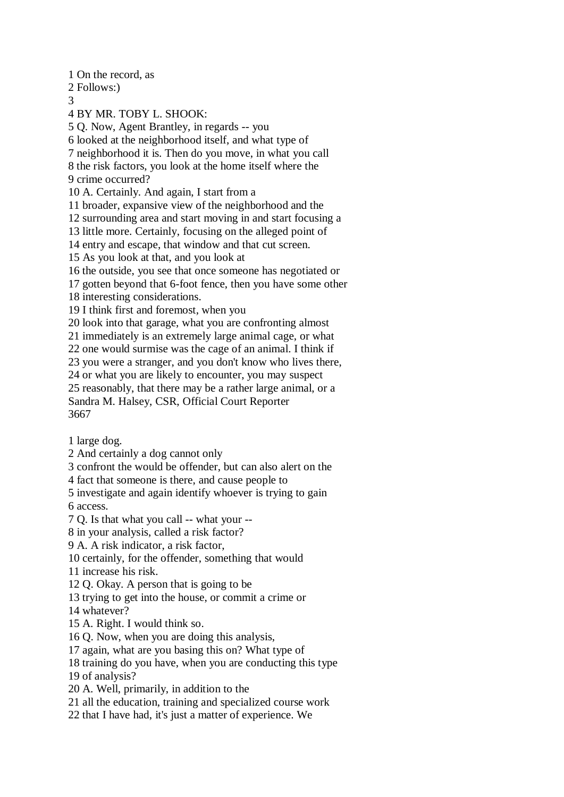1 On the record, as

2 Follows:)

3

4 BY MR. TOBY L. SHOOK:

5 Q. Now, Agent Brantley, in regards -- you

6 looked at the neighborhood itself, and what type of 7 neighborhood it is. Then do you move, in what you call 8 the risk factors, you look at the home itself where the

9 crime occurred?

10 A. Certainly. And again, I start from a

11 broader, expansive view of the neighborhood and the

12 surrounding area and start moving in and start focusing a

13 little more. Certainly, focusing on the alleged point of

14 entry and escape, that window and that cut screen.

15 As you look at that, and you look at

16 the outside, you see that once someone has negotiated or

17 gotten beyond that 6-foot fence, then you have some other 18 interesting considerations.

19 I think first and foremost, when you

20 look into that garage, what you are confronting almost

21 immediately is an extremely large animal cage, or what

22 one would surmise was the cage of an animal. I think if

23 you were a stranger, and you don't know who lives there,

24 or what you are likely to encounter, you may suspect

25 reasonably, that there may be a rather large animal, or a Sandra M. Halsey, CSR, Official Court Reporter

3667

1 large dog.

2 And certainly a dog cannot only

3 confront the would be offender, but can also alert on the

4 fact that someone is there, and cause people to

5 investigate and again identify whoever is trying to gain 6 access.

7 Q. Is that what you call -- what your --

8 in your analysis, called a risk factor?

9 A. A risk indicator, a risk factor,

10 certainly, for the offender, something that would

11 increase his risk.

12 Q. Okay. A person that is going to be

13 trying to get into the house, or commit a crime or

14 whatever?

15 A. Right. I would think so.

16 Q. Now, when you are doing this analysis,

17 again, what are you basing this on? What type of

18 training do you have, when you are conducting this type

19 of analysis?

20 A. Well, primarily, in addition to the

21 all the education, training and specialized course work

22 that I have had, it's just a matter of experience. We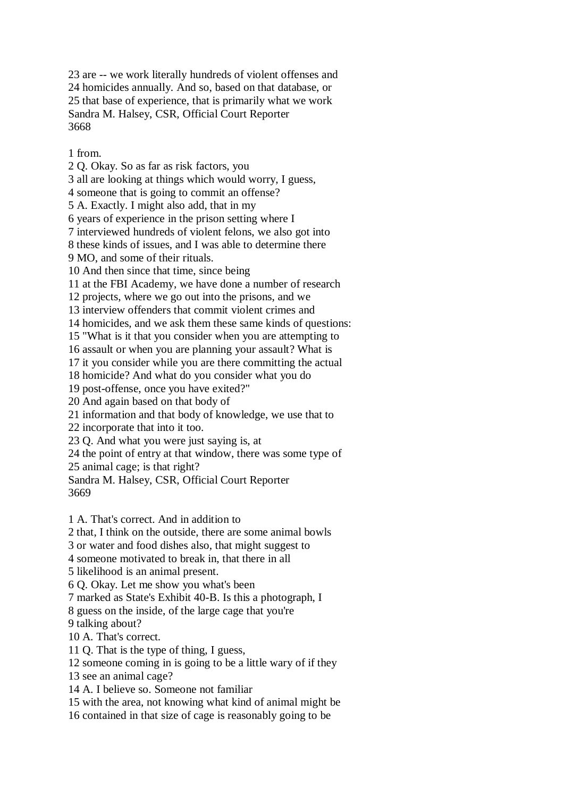23 are -- we work literally hundreds of violent offenses and 24 homicides annually. And so, based on that database, or 25 that base of experience, that is primarily what we work Sandra M. Halsey, CSR, Official Court Reporter 3668

1 from.

2 Q. Okay. So as far as risk factors, you 3 all are looking at things which would worry, I guess, 4 someone that is going to commit an offense? 5 A. Exactly. I might also add, that in my 6 years of experience in the prison setting where I 7 interviewed hundreds of violent felons, we also got into 8 these kinds of issues, and I was able to determine there 9 MO, and some of their rituals. 10 And then since that time, since being 11 at the FBI Academy, we have done a number of research 12 projects, where we go out into the prisons, and we 13 interview offenders that commit violent crimes and 14 homicides, and we ask them these same kinds of questions: 15 "What is it that you consider when you are attempting to 16 assault or when you are planning your assault? What is 17 it you consider while you are there committing the actual 18 homicide? And what do you consider what you do 19 post-offense, once you have exited?" 20 And again based on that body of 21 information and that body of knowledge, we use that to 22 incorporate that into it too. 23 Q. And what you were just saying is, at 24 the point of entry at that window, there was some type of 25 animal cage; is that right? Sandra M. Halsey, CSR, Official Court Reporter 3669 1 A. That's correct. And in addition to 2 that, I think on the outside, there are some animal bowls

3 or water and food dishes also, that might suggest to

4 someone motivated to break in, that there in all

5 likelihood is an animal present.

6 Q. Okay. Let me show you what's been

7 marked as State's Exhibit 40-B. Is this a photograph, I

8 guess on the inside, of the large cage that you're

9 talking about?

10 A. That's correct.

11 Q. That is the type of thing, I guess,

12 someone coming in is going to be a little wary of if they

13 see an animal cage?

14 A. I believe so. Someone not familiar

15 with the area, not knowing what kind of animal might be

16 contained in that size of cage is reasonably going to be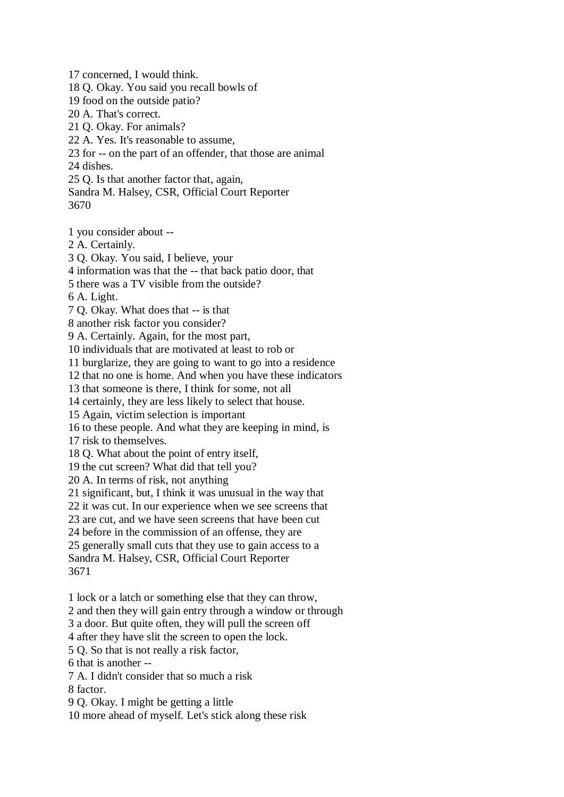17 concerned, I would think. 18 Q. Okay. You said you recall bowls of 19 food on the outside patio? 20 A. That's correct. 21 Q. Okay. For animals? 22 A. Yes. It's reasonable to assume, 23 for -- on the part of an offender, that those are animal 24 dishes. 25 Q. Is that another factor that, again, Sandra M. Halsey, CSR, Official Court Reporter 3670 1 you consider about --

2 A. Certainly.

3 Q. Okay. You said, I believe, your

4 information was that the -- that back patio door, that

5 there was a TV visible from the outside?

6 A. Light.

7 Q. Okay. What does that -- is that

8 another risk factor you consider?

9 A. Certainly. Again, for the most part,

10 individuals that are motivated at least to rob or

11 burglarize, they are going to want to go into a residence

12 that no one is home. And when you have these indicators

13 that someone is there, I think for some, not all

14 certainly, they are less likely to select that house.

15 Again, victim selection is important

16 to these people. And what they are keeping in mind, is

17 risk to themselves.

18 Q. What about the point of entry itself,

19 the cut screen? What did that tell you?

20 A. In terms of risk, not anything

21 significant, but, I think it was unusual in the way that

22 it was cut. In our experience when we see screens that

23 are cut, and we have seen screens that have been cut

24 before in the commission of an offense, they are

25 generally small cuts that they use to gain access to a Sandra M. Halsey, CSR, Official Court Reporter

3671

1 lock or a latch or something else that they can throw,

2 and then they will gain entry through a window or through

3 a door. But quite often, they will pull the screen off

4 after they have slit the screen to open the lock.

5 Q. So that is not really a risk factor,

6 that is another --

7 A. I didn't consider that so much a risk

8 factor.

9 Q. Okay. I might be getting a little

10 more ahead of myself. Let's stick along these risk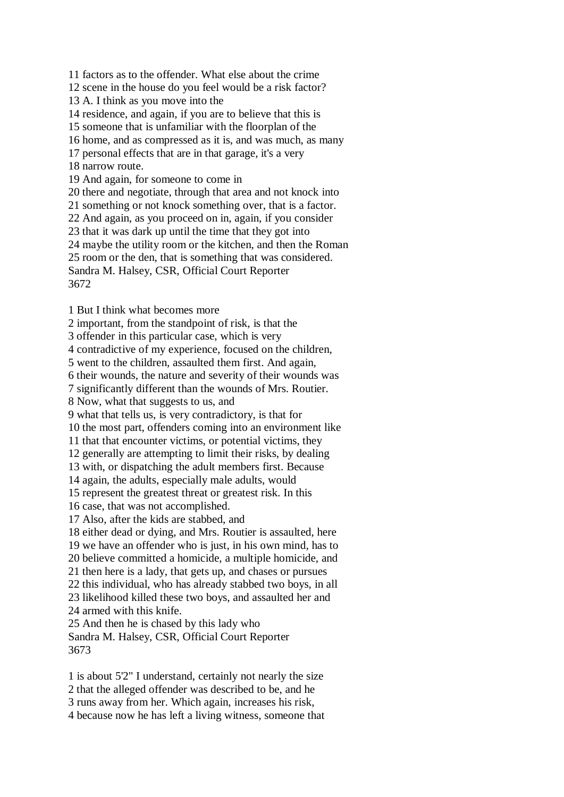11 factors as to the offender. What else about the crime 12 scene in the house do you feel would be a risk factor? 13 A. I think as you move into the 14 residence, and again, if you are to believe that this is 15 someone that is unfamiliar with the floorplan of the 16 home, and as compressed as it is, and was much, as many 17 personal effects that are in that garage, it's a very 18 narrow route. 19 And again, for someone to come in 20 there and negotiate, through that area and not knock into 21 something or not knock something over, that is a factor. 22 And again, as you proceed on in, again, if you consider 23 that it was dark up until the time that they got into 24 maybe the utility room or the kitchen, and then the Roman 25 room or the den, that is something that was considered. Sandra M. Halsey, CSR, Official Court Reporter 3672

1 But I think what becomes more

2 important, from the standpoint of risk, is that the

3 offender in this particular case, which is very

4 contradictive of my experience, focused on the children,

5 went to the children, assaulted them first. And again,

6 their wounds, the nature and severity of their wounds was

7 significantly different than the wounds of Mrs. Routier.

8 Now, what that suggests to us, and

9 what that tells us, is very contradictory, is that for

10 the most part, offenders coming into an environment like

11 that that encounter victims, or potential victims, they

12 generally are attempting to limit their risks, by dealing

13 with, or dispatching the adult members first. Because

14 again, the adults, especially male adults, would

15 represent the greatest threat or greatest risk. In this

16 case, that was not accomplished.

17 Also, after the kids are stabbed, and

18 either dead or dying, and Mrs. Routier is assaulted, here 19 we have an offender who is just, in his own mind, has to

20 believe committed a homicide, a multiple homicide, and

21 then here is a lady, that gets up, and chases or pursues

22 this individual, who has already stabbed two boys, in all 23 likelihood killed these two boys, and assaulted her and

24 armed with this knife.

25 And then he is chased by this lady who

Sandra M. Halsey, CSR, Official Court Reporter 3673

1 is about 5'2" I understand, certainly not nearly the size

2 that the alleged offender was described to be, and he

3 runs away from her. Which again, increases his risk,

4 because now he has left a living witness, someone that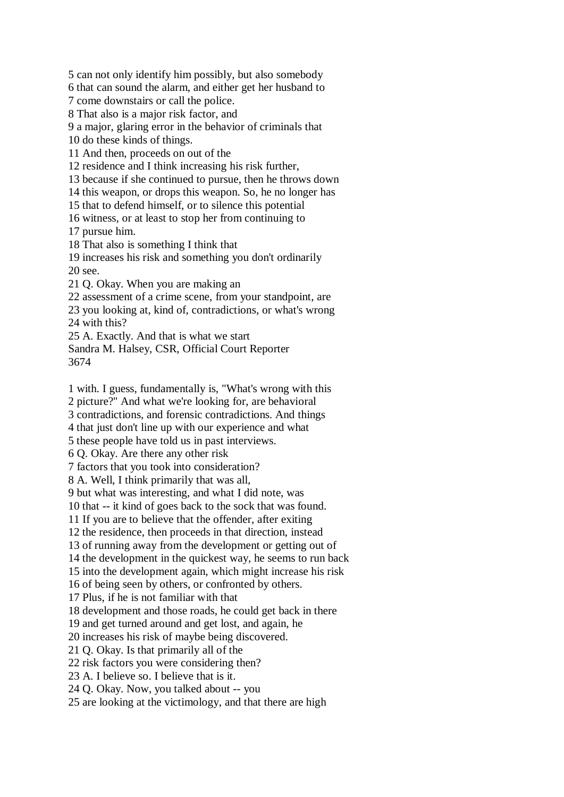5 can not only identify him possibly, but also somebody

6 that can sound the alarm, and either get her husband to

7 come downstairs or call the police.

8 That also is a major risk factor, and

9 a major, glaring error in the behavior of criminals that

10 do these kinds of things.

11 And then, proceeds on out of the

12 residence and I think increasing his risk further,

13 because if she continued to pursue, then he throws down

14 this weapon, or drops this weapon. So, he no longer has

15 that to defend himself, or to silence this potential

16 witness, or at least to stop her from continuing to 17 pursue him.

18 That also is something I think that

19 increases his risk and something you don't ordinarily 20 see.

21 Q. Okay. When you are making an

22 assessment of a crime scene, from your standpoint, are

23 you looking at, kind of, contradictions, or what's wrong 24 with this?

25 A. Exactly. And that is what we start

Sandra M. Halsey, CSR, Official Court Reporter 3674

1 with. I guess, fundamentally is, "What's wrong with this

2 picture?" And what we're looking for, are behavioral

3 contradictions, and forensic contradictions. And things

4 that just don't line up with our experience and what

5 these people have told us in past interviews.

6 Q. Okay. Are there any other risk

7 factors that you took into consideration?

8 A. Well, I think primarily that was all,

9 but what was interesting, and what I did note, was

10 that -- it kind of goes back to the sock that was found.

11 If you are to believe that the offender, after exiting

12 the residence, then proceeds in that direction, instead

13 of running away from the development or getting out of

14 the development in the quickest way, he seems to run back

15 into the development again, which might increase his risk

16 of being seen by others, or confronted by others.

17 Plus, if he is not familiar with that

18 development and those roads, he could get back in there

19 and get turned around and get lost, and again, he

20 increases his risk of maybe being discovered.

21 Q. Okay. Is that primarily all of the

22 risk factors you were considering then?

23 A. I believe so. I believe that is it.

24 Q. Okay. Now, you talked about -- you

25 are looking at the victimology, and that there are high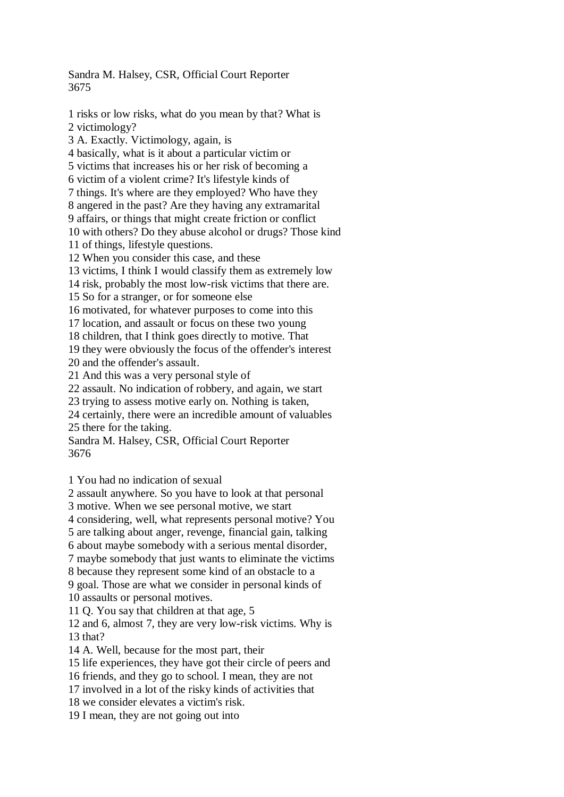Sandra M. Halsey, CSR, Official Court Reporter 3675

1 risks or low risks, what do you mean by that? What is 2 victimology? 3 A. Exactly. Victimology, again, is 4 basically, what is it about a particular victim or 5 victims that increases his or her risk of becoming a 6 victim of a violent crime? It's lifestyle kinds of 7 things. It's where are they employed? Who have they 8 angered in the past? Are they having any extramarital 9 affairs, or things that might create friction or conflict 10 with others? Do they abuse alcohol or drugs? Those kind 11 of things, lifestyle questions. 12 When you consider this case, and these 13 victims, I think I would classify them as extremely low 14 risk, probably the most low-risk victims that there are. 15 So for a stranger, or for someone else 16 motivated, for whatever purposes to come into this 17 location, and assault or focus on these two young 18 children, that I think goes directly to motive. That 19 they were obviously the focus of the offender's interest 20 and the offender's assault. 21 And this was a very personal style of 22 assault. No indication of robbery, and again, we start 23 trying to assess motive early on. Nothing is taken, 24 certainly, there were an incredible amount of valuables 25 there for the taking. Sandra M. Halsey, CSR, Official Court Reporter 3676 1 You had no indication of sexual 2 assault anywhere. So you have to look at that personal 3 motive. When we see personal motive, we start 4 considering, well, what represents personal motive? You 5 are talking about anger, revenge, financial gain, talking 6 about maybe somebody with a serious mental disorder, 7 maybe somebody that just wants to eliminate the victims 8 because they represent some kind of an obstacle to a

9 goal. Those are what we consider in personal kinds of 10 assaults or personal motives.

11 Q. You say that children at that age, 5

12 and 6, almost 7, they are very low-risk victims. Why is 13 that?

14 A. Well, because for the most part, their

15 life experiences, they have got their circle of peers and

16 friends, and they go to school. I mean, they are not

17 involved in a lot of the risky kinds of activities that

18 we consider elevates a victim's risk.

19 I mean, they are not going out into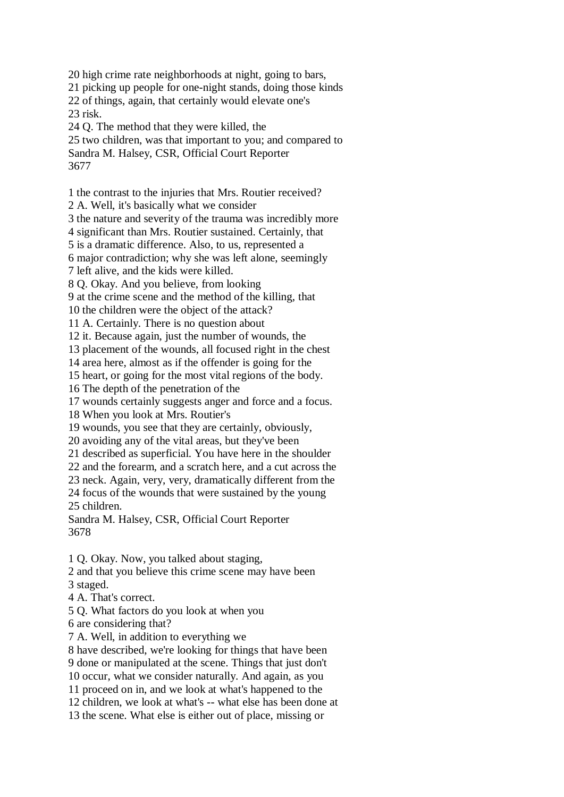20 high crime rate neighborhoods at night, going to bars,

21 picking up people for one-night stands, doing those kinds

22 of things, again, that certainly would elevate one's 23 risk.

24 Q. The method that they were killed, the

25 two children, was that important to you; and compared to Sandra M. Halsey, CSR, Official Court Reporter

3677

1 the contrast to the injuries that Mrs. Routier received?

2 A. Well, it's basically what we consider

3 the nature and severity of the trauma was incredibly more

4 significant than Mrs. Routier sustained. Certainly, that

5 is a dramatic difference. Also, to us, represented a

6 major contradiction; why she was left alone, seemingly

7 left alive, and the kids were killed.

8 Q. Okay. And you believe, from looking

9 at the crime scene and the method of the killing, that

10 the children were the object of the attack?

11 A. Certainly. There is no question about

12 it. Because again, just the number of wounds, the

13 placement of the wounds, all focused right in the chest

14 area here, almost as if the offender is going for the

15 heart, or going for the most vital regions of the body.

16 The depth of the penetration of the

17 wounds certainly suggests anger and force and a focus.

18 When you look at Mrs. Routier's

19 wounds, you see that they are certainly, obviously,

20 avoiding any of the vital areas, but they've been

21 described as superficial. You have here in the shoulder

22 and the forearm, and a scratch here, and a cut across the

23 neck. Again, very, very, dramatically different from the

24 focus of the wounds that were sustained by the young 25 children.

Sandra M. Halsey, CSR, Official Court Reporter 3678

1 Q. Okay. Now, you talked about staging,

2 and that you believe this crime scene may have been 3 staged.

4 A. That's correct.

5 Q. What factors do you look at when you

6 are considering that?

7 A. Well, in addition to everything we

8 have described, we're looking for things that have been

9 done or manipulated at the scene. Things that just don't

10 occur, what we consider naturally. And again, as you

11 proceed on in, and we look at what's happened to the

12 children, we look at what's -- what else has been done at

13 the scene. What else is either out of place, missing or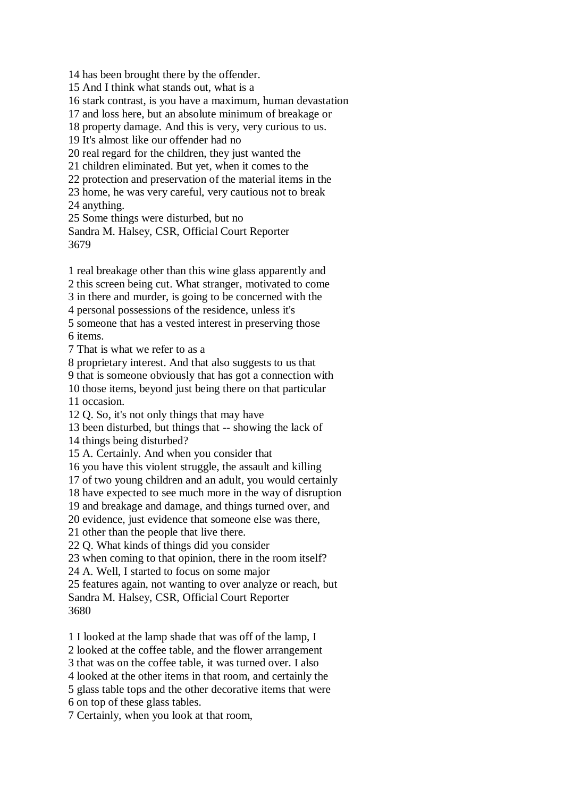14 has been brought there by the offender. 15 And I think what stands out, what is a 16 stark contrast, is you have a maximum, human devastation 17 and loss here, but an absolute minimum of breakage or 18 property damage. And this is very, very curious to us. 19 It's almost like our offender had no 20 real regard for the children, they just wanted the 21 children eliminated. But yet, when it comes to the 22 protection and preservation of the material items in the 23 home, he was very careful, very cautious not to break 24 anything. 25 Some things were disturbed, but no Sandra M. Halsey, CSR, Official Court Reporter 3679

1 real breakage other than this wine glass apparently and 2 this screen being cut. What stranger, motivated to come 3 in there and murder, is going to be concerned with the 4 personal possessions of the residence, unless it's 5 someone that has a vested interest in preserving those 6 items.

7 That is what we refer to as a

8 proprietary interest. And that also suggests to us that

9 that is someone obviously that has got a connection with

10 those items, beyond just being there on that particular

11 occasion.

12 Q. So, it's not only things that may have

13 been disturbed, but things that -- showing the lack of 14 things being disturbed?

15 A. Certainly. And when you consider that

16 you have this violent struggle, the assault and killing

17 of two young children and an adult, you would certainly

18 have expected to see much more in the way of disruption

19 and breakage and damage, and things turned over, and

20 evidence, just evidence that someone else was there,

21 other than the people that live there.

22 Q. What kinds of things did you consider

23 when coming to that opinion, there in the room itself?

24 A. Well, I started to focus on some major

25 features again, not wanting to over analyze or reach, but Sandra M. Halsey, CSR, Official Court Reporter 3680

1 I looked at the lamp shade that was off of the lamp, I

2 looked at the coffee table, and the flower arrangement

3 that was on the coffee table, it was turned over. I also

4 looked at the other items in that room, and certainly the

5 glass table tops and the other decorative items that were

6 on top of these glass tables.

7 Certainly, when you look at that room,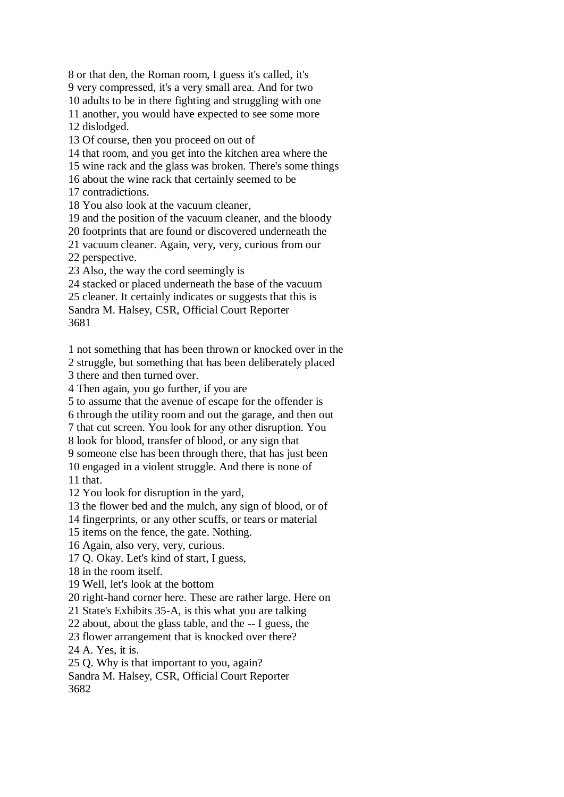8 or that den, the Roman room, I guess it's called, it's 9 very compressed, it's a very small area. And for two 10 adults to be in there fighting and struggling with one 11 another, you would have expected to see some more 12 dislodged. 13 Of course, then you proceed on out of 14 that room, and you get into the kitchen area where the 15 wine rack and the glass was broken. There's some things 16 about the wine rack that certainly seemed to be 17 contradictions. 18 You also look at the vacuum cleaner, 19 and the position of the vacuum cleaner, and the bloody 20 footprints that are found or discovered underneath the 21 vacuum cleaner. Again, very, very, curious from our 22 perspective. 23 Also, the way the cord seemingly is 24 stacked or placed underneath the base of the vacuum 25 cleaner. It certainly indicates or suggests that this is Sandra M. Halsey, CSR, Official Court Reporter 3681

1 not something that has been thrown or knocked over in the

2 struggle, but something that has been deliberately placed 3 there and then turned over.

4 Then again, you go further, if you are

5 to assume that the avenue of escape for the offender is

6 through the utility room and out the garage, and then out

7 that cut screen. You look for any other disruption. You

8 look for blood, transfer of blood, or any sign that

9 someone else has been through there, that has just been

10 engaged in a violent struggle. And there is none of 11 that.

12 You look for disruption in the yard,

13 the flower bed and the mulch, any sign of blood, or of

14 fingerprints, or any other scuffs, or tears or material

15 items on the fence, the gate. Nothing.

16 Again, also very, very, curious.

17 Q. Okay. Let's kind of start, I guess,

18 in the room itself.

19 Well, let's look at the bottom

20 right-hand corner here. These are rather large. Here on

21 State's Exhibits 35-A, is this what you are talking

22 about, about the glass table, and the -- I guess, the

23 flower arrangement that is knocked over there?

24 A. Yes, it is.

25 Q. Why is that important to you, again?

Sandra M. Halsey, CSR, Official Court Reporter 3682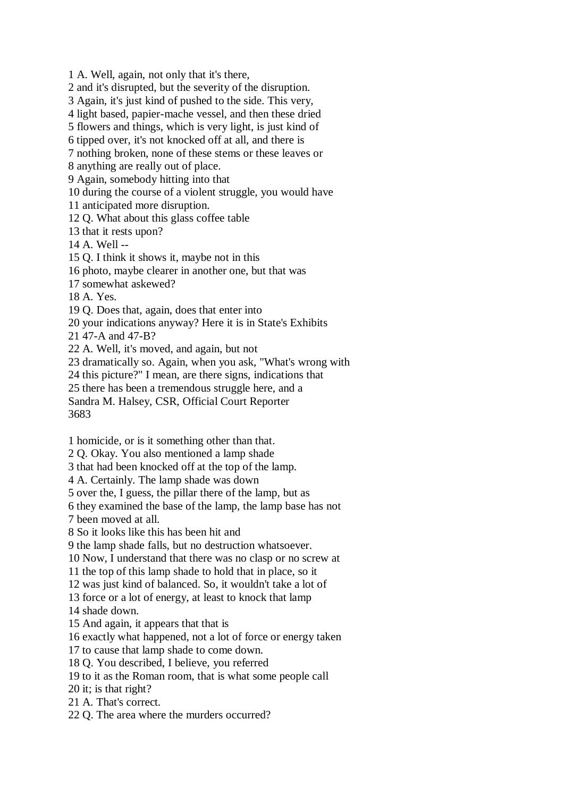1 A. Well, again, not only that it's there,

2 and it's disrupted, but the severity of the disruption.

3 Again, it's just kind of pushed to the side. This very,

4 light based, papier-mache vessel, and then these dried

5 flowers and things, which is very light, is just kind of

6 tipped over, it's not knocked off at all, and there is

7 nothing broken, none of these stems or these leaves or

8 anything are really out of place.

9 Again, somebody hitting into that

10 during the course of a violent struggle, you would have

11 anticipated more disruption.

12 Q. What about this glass coffee table

13 that it rests upon?

14 A. Well --

15 Q. I think it shows it, maybe not in this

16 photo, maybe clearer in another one, but that was

17 somewhat askewed?

18 A. Yes.

19 Q. Does that, again, does that enter into

20 your indications anyway? Here it is in State's Exhibits

21 47-A and 47-B?

22 A. Well, it's moved, and again, but not

23 dramatically so. Again, when you ask, "What's wrong with

24 this picture?" I mean, are there signs, indications that

25 there has been a tremendous struggle here, and a

Sandra M. Halsey, CSR, Official Court Reporter

3683

1 homicide, or is it something other than that.

2 Q. Okay. You also mentioned a lamp shade

3 that had been knocked off at the top of the lamp.

4 A. Certainly. The lamp shade was down

5 over the, I guess, the pillar there of the lamp, but as

6 they examined the base of the lamp, the lamp base has not

7 been moved at all.

8 So it looks like this has been hit and

9 the lamp shade falls, but no destruction whatsoever.

10 Now, I understand that there was no clasp or no screw at

11 the top of this lamp shade to hold that in place, so it

12 was just kind of balanced. So, it wouldn't take a lot of

13 force or a lot of energy, at least to knock that lamp

14 shade down.

15 And again, it appears that that is

16 exactly what happened, not a lot of force or energy taken

17 to cause that lamp shade to come down.

18 Q. You described, I believe, you referred

19 to it as the Roman room, that is what some people call

20 it; is that right?

21 A. That's correct.

22 Q. The area where the murders occurred?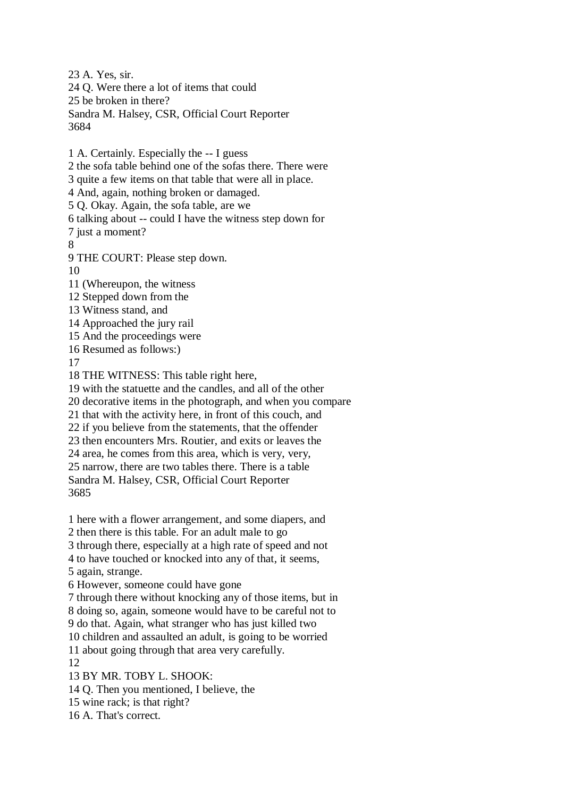23 A. Yes, sir. 24 Q. Were there a lot of items that could 25 be broken in there? Sandra M. Halsey, CSR, Official Court Reporter 3684 1 A. Certainly. Especially the -- I guess 2 the sofa table behind one of the sofas there. There were 3 quite a few items on that table that were all in place. 4 And, again, nothing broken or damaged. 5 Q. Okay. Again, the sofa table, are we 6 talking about -- could I have the witness step down for 7 just a moment? 8 9 THE COURT: Please step down. 10 11 (Whereupon, the witness 12 Stepped down from the 13 Witness stand, and 14 Approached the jury rail 15 And the proceedings were 16 Resumed as follows:) 17 18 THE WITNESS: This table right here, 19 with the statuette and the candles, and all of the other 20 decorative items in the photograph, and when you compare 21 that with the activity here, in front of this couch, and 22 if you believe from the statements, that the offender 23 then encounters Mrs. Routier, and exits or leaves the 24 area, he comes from this area, which is very, very, 25 narrow, there are two tables there. There is a table Sandra M. Halsey, CSR, Official Court Reporter 3685 1 here with a flower arrangement, and some diapers, and 2 then there is this table. For an adult male to go 3 through there, especially at a high rate of speed and not 4 to have touched or knocked into any of that, it seems, 5 again, strange. 6 However, someone could have gone 7 through there without knocking any of those items, but in 8 doing so, again, someone would have to be careful not to 9 do that. Again, what stranger who has just killed two 10 children and assaulted an adult, is going to be worried 11 about going through that area very carefully. 12 13 BY MR. TOBY L. SHOOK: 14 Q. Then you mentioned, I believe, the

- 15 wine rack; is that right?
- 16 A. That's correct.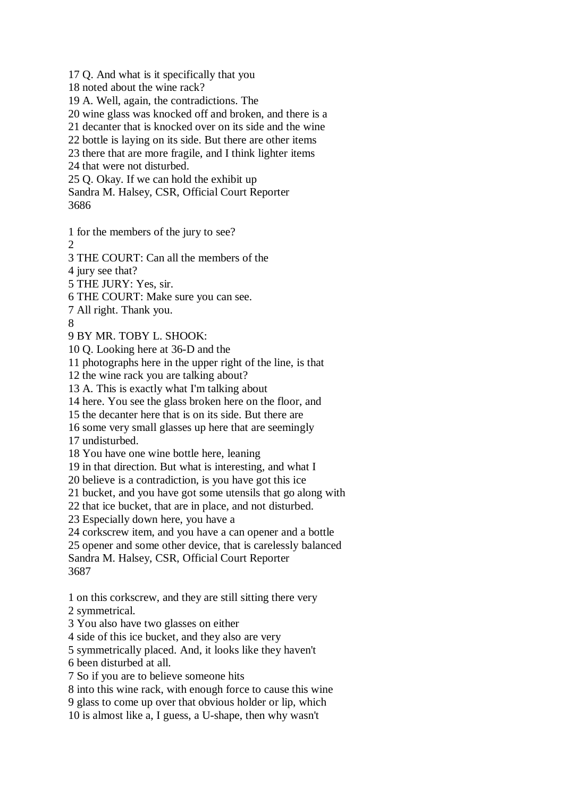17 Q. And what is it specifically that you 18 noted about the wine rack? 19 A. Well, again, the contradictions. The 20 wine glass was knocked off and broken, and there is a 21 decanter that is knocked over on its side and the wine 22 bottle is laying on its side. But there are other items 23 there that are more fragile, and I think lighter items 24 that were not disturbed. 25 Q. Okay. If we can hold the exhibit up Sandra M. Halsey, CSR, Official Court Reporter 3686 1 for the members of the jury to see? 2 3 THE COURT: Can all the members of the 4 jury see that?

5 THE JURY: Yes, sir.

6 THE COURT: Make sure you can see.

7 All right. Thank you.

8

9 BY MR. TOBY L. SHOOK:

10 Q. Looking here at 36-D and the

11 photographs here in the upper right of the line, is that

12 the wine rack you are talking about?

13 A. This is exactly what I'm talking about

14 here. You see the glass broken here on the floor, and

15 the decanter here that is on its side. But there are

16 some very small glasses up here that are seemingly

17 undisturbed.

18 You have one wine bottle here, leaning

19 in that direction. But what is interesting, and what I

20 believe is a contradiction, is you have got this ice

21 bucket, and you have got some utensils that go along with

22 that ice bucket, that are in place, and not disturbed.

23 Especially down here, you have a

24 corkscrew item, and you have a can opener and a bottle

25 opener and some other device, that is carelessly balanced

Sandra M. Halsey, CSR, Official Court Reporter 3687

1 on this corkscrew, and they are still sitting there very

2 symmetrical.

3 You also have two glasses on either

4 side of this ice bucket, and they also are very

5 symmetrically placed. And, it looks like they haven't

6 been disturbed at all.

7 So if you are to believe someone hits

8 into this wine rack, with enough force to cause this wine

9 glass to come up over that obvious holder or lip, which

10 is almost like a, I guess, a U-shape, then why wasn't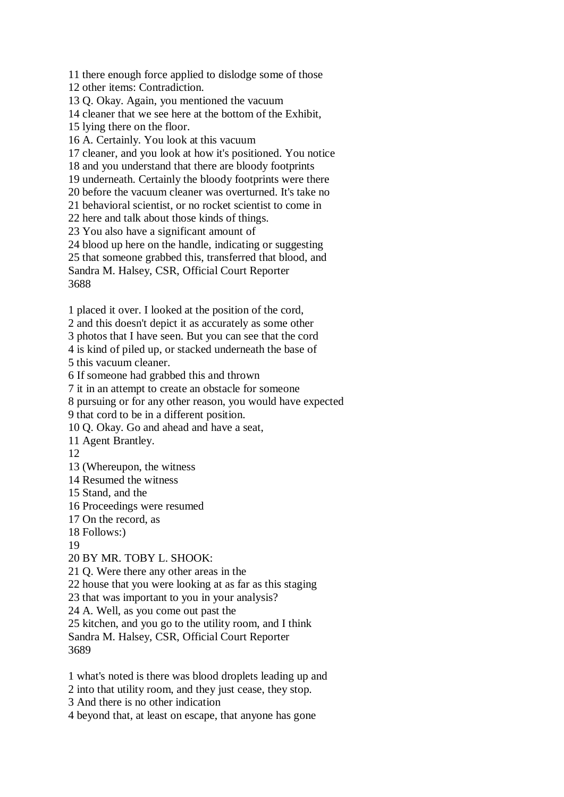11 there enough force applied to dislodge some of those

12 other items: Contradiction.

13 Q. Okay. Again, you mentioned the vacuum

14 cleaner that we see here at the bottom of the Exhibit,

15 lying there on the floor.

16 A. Certainly. You look at this vacuum

17 cleaner, and you look at how it's positioned. You notice

18 and you understand that there are bloody footprints

19 underneath. Certainly the bloody footprints were there

20 before the vacuum cleaner was overturned. It's take no

21 behavioral scientist, or no rocket scientist to come in

22 here and talk about those kinds of things.

23 You also have a significant amount of

24 blood up here on the handle, indicating or suggesting

25 that someone grabbed this, transferred that blood, and

Sandra M. Halsey, CSR, Official Court Reporter 3688

1 placed it over. I looked at the position of the cord,

2 and this doesn't depict it as accurately as some other

3 photos that I have seen. But you can see that the cord

4 is kind of piled up, or stacked underneath the base of

5 this vacuum cleaner.

6 If someone had grabbed this and thrown

7 it in an attempt to create an obstacle for someone

8 pursuing or for any other reason, you would have expected

9 that cord to be in a different position.

10 Q. Okay. Go and ahead and have a seat,

11 Agent Brantley.

12

13 (Whereupon, the witness

14 Resumed the witness

15 Stand, and the

16 Proceedings were resumed

17 On the record, as

18 Follows:)

19

20 BY MR. TOBY L. SHOOK:

21 Q. Were there any other areas in the

22 house that you were looking at as far as this staging

23 that was important to you in your analysis?

24 A. Well, as you come out past the

25 kitchen, and you go to the utility room, and I think

Sandra M. Halsey, CSR, Official Court Reporter 3689

1 what's noted is there was blood droplets leading up and

2 into that utility room, and they just cease, they stop.

3 And there is no other indication

4 beyond that, at least on escape, that anyone has gone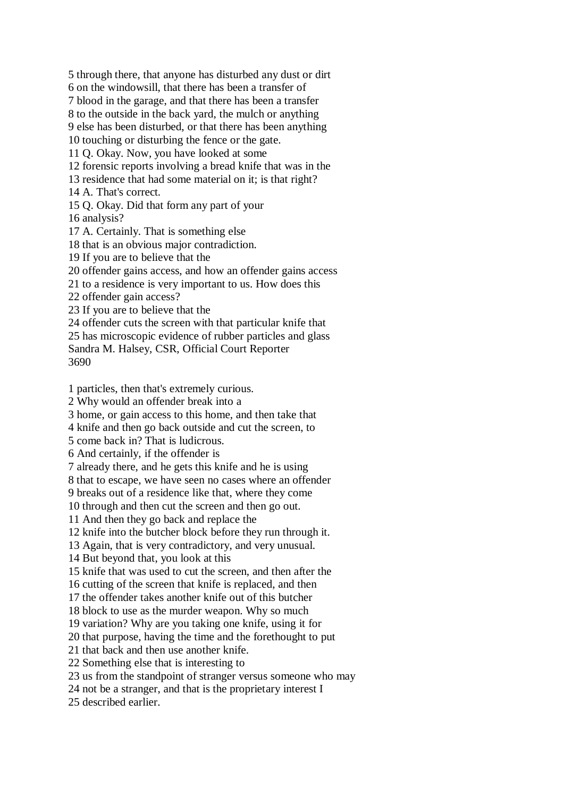5 through there, that anyone has disturbed any dust or dirt 6 on the windowsill, that there has been a transfer of 7 blood in the garage, and that there has been a transfer 8 to the outside in the back yard, the mulch or anything 9 else has been disturbed, or that there has been anything 10 touching or disturbing the fence or the gate. 11 Q. Okay. Now, you have looked at some 12 forensic reports involving a bread knife that was in the 13 residence that had some material on it; is that right? 14 A. That's correct. 15 Q. Okay. Did that form any part of your 16 analysis? 17 A. Certainly. That is something else 18 that is an obvious major contradiction. 19 If you are to believe that the 20 offender gains access, and how an offender gains access 21 to a residence is very important to us. How does this 22 offender gain access? 23 If you are to believe that the 24 offender cuts the screen with that particular knife that 25 has microscopic evidence of rubber particles and glass Sandra M. Halsey, CSR, Official Court Reporter 3690 1 particles, then that's extremely curious. 2 Why would an offender break into a 3 home, or gain access to this home, and then take that 4 knife and then go back outside and cut the screen, to 5 come back in? That is ludicrous. 6 And certainly, if the offender is 7 already there, and he gets this knife and he is using 8 that to escape, we have seen no cases where an offender 9 breaks out of a residence like that, where they come 10 through and then cut the screen and then go out. 11 And then they go back and replace the 12 knife into the butcher block before they run through it. 13 Again, that is very contradictory, and very unusual. 14 But beyond that, you look at this

15 knife that was used to cut the screen, and then after the

16 cutting of the screen that knife is replaced, and then

17 the offender takes another knife out of this butcher

18 block to use as the murder weapon. Why so much

19 variation? Why are you taking one knife, using it for

20 that purpose, having the time and the forethought to put

21 that back and then use another knife.

22 Something else that is interesting to

23 us from the standpoint of stranger versus someone who may

24 not be a stranger, and that is the proprietary interest I

25 described earlier.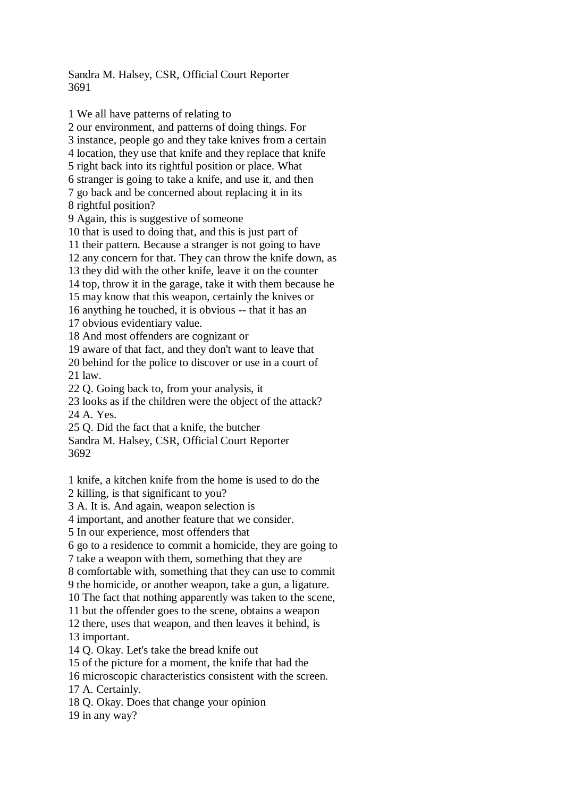Sandra M. Halsey, CSR, Official Court Reporter 3691

1 We all have patterns of relating to 2 our environment, and patterns of doing things. For 3 instance, people go and they take knives from a certain 4 location, they use that knife and they replace that knife 5 right back into its rightful position or place. What 6 stranger is going to take a knife, and use it, and then 7 go back and be concerned about replacing it in its 8 rightful position? 9 Again, this is suggestive of someone 10 that is used to doing that, and this is just part of 11 their pattern. Because a stranger is not going to have 12 any concern for that. They can throw the knife down, as 13 they did with the other knife, leave it on the counter 14 top, throw it in the garage, take it with them because he 15 may know that this weapon, certainly the knives or 16 anything he touched, it is obvious -- that it has an 17 obvious evidentiary value. 18 And most offenders are cognizant or 19 aware of that fact, and they don't want to leave that 20 behind for the police to discover or use in a court of 21 law. 22 Q. Going back to, from your analysis, it 23 looks as if the children were the object of the attack? 24 A. Yes. 25 Q. Did the fact that a knife, the butcher Sandra M. Halsey, CSR, Official Court Reporter 3692 1 knife, a kitchen knife from the home is used to do the 2 killing, is that significant to you? 3 A. It is. And again, weapon selection is 4 important, and another feature that we consider. 5 In our experience, most offenders that 6 go to a residence to commit a homicide, they are going to

7 take a weapon with them, something that they are

8 comfortable with, something that they can use to commit

9 the homicide, or another weapon, take a gun, a ligature.

10 The fact that nothing apparently was taken to the scene,

11 but the offender goes to the scene, obtains a weapon

12 there, uses that weapon, and then leaves it behind, is

13 important.

14 Q. Okay. Let's take the bread knife out

15 of the picture for a moment, the knife that had the

16 microscopic characteristics consistent with the screen.

17 A. Certainly.

18 Q. Okay. Does that change your opinion

19 in any way?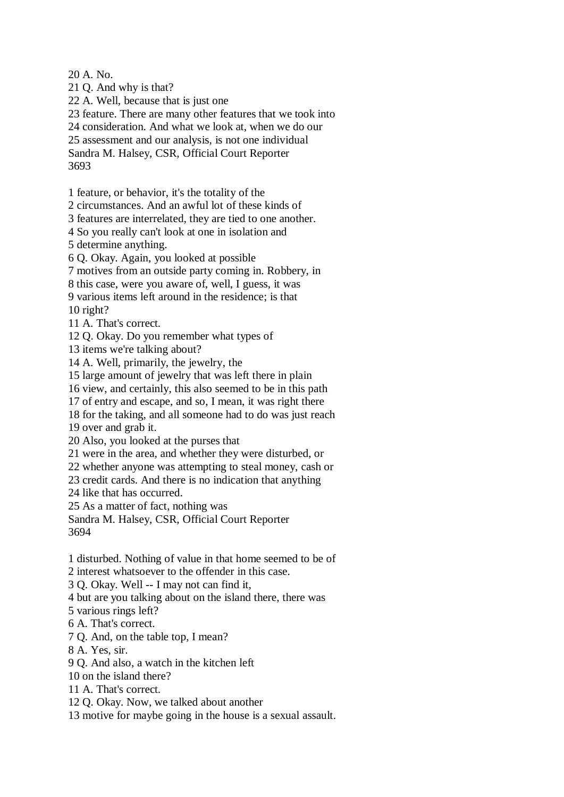20 A. No.

21 Q. And why is that?

22 A. Well, because that is just one

23 feature. There are many other features that we took into

24 consideration. And what we look at, when we do our

25 assessment and our analysis, is not one individual

Sandra M. Halsey, CSR, Official Court Reporter 3693

1 feature, or behavior, it's the totality of the

2 circumstances. And an awful lot of these kinds of

3 features are interrelated, they are tied to one another.

4 So you really can't look at one in isolation and

5 determine anything.

6 Q. Okay. Again, you looked at possible

7 motives from an outside party coming in. Robbery, in

8 this case, were you aware of, well, I guess, it was

9 various items left around in the residence; is that

10 right?

11 A. That's correct.

12 Q. Okay. Do you remember what types of

13 items we're talking about?

14 A. Well, primarily, the jewelry, the

15 large amount of jewelry that was left there in plain

16 view, and certainly, this also seemed to be in this path

17 of entry and escape, and so, I mean, it was right there

18 for the taking, and all someone had to do was just reach 19 over and grab it.

20 Also, you looked at the purses that

21 were in the area, and whether they were disturbed, or

22 whether anyone was attempting to steal money, cash or

23 credit cards. And there is no indication that anything

24 like that has occurred.

25 As a matter of fact, nothing was

Sandra M. Halsey, CSR, Official Court Reporter 3694

1 disturbed. Nothing of value in that home seemed to be of

2 interest whatsoever to the offender in this case.

3 Q. Okay. Well -- I may not can find it,

4 but are you talking about on the island there, there was

5 various rings left?

6 A. That's correct.

7 Q. And, on the table top, I mean?

8 A. Yes, sir.

9 Q. And also, a watch in the kitchen left

10 on the island there?

11 A. That's correct.

12 Q. Okay. Now, we talked about another

13 motive for maybe going in the house is a sexual assault.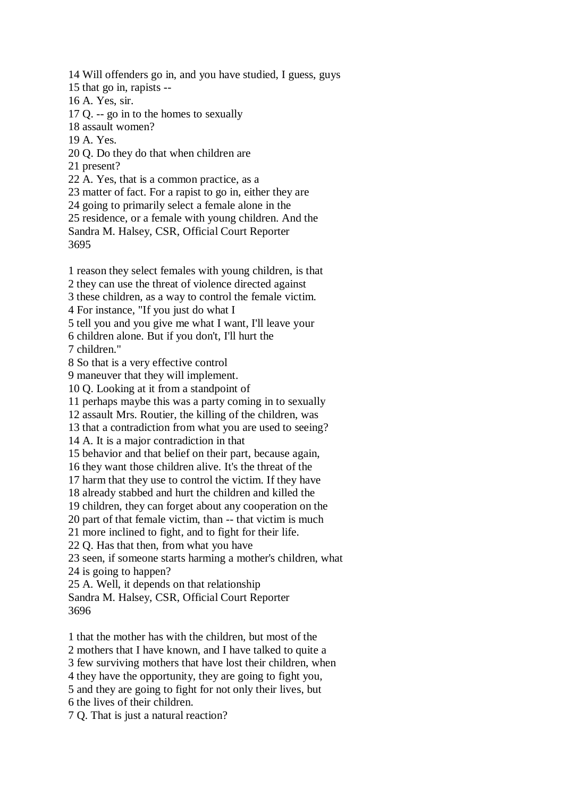14 Will offenders go in, and you have studied, I guess, guys 15 that go in, rapists -- 16 A. Yes, sir. 17 Q. -- go in to the homes to sexually 18 assault women? 19 A. Yes. 20 Q. Do they do that when children are 21 present? 22 A. Yes, that is a common practice, as a 23 matter of fact. For a rapist to go in, either they are 24 going to primarily select a female alone in the 25 residence, or a female with young children. And the Sandra M. Halsey, CSR, Official Court Reporter 3695 1 reason they select females with young children, is that 2 they can use the threat of violence directed against 3 these children, as a way to control the female victim. 4 For instance, "If you just do what I 5 tell you and you give me what I want, I'll leave your 6 children alone. But if you don't, I'll hurt the 7 children." 8 So that is a very effective control 9 maneuver that they will implement. 10 Q. Looking at it from a standpoint of 11 perhaps maybe this was a party coming in to sexually 12 assault Mrs. Routier, the killing of the children, was 13 that a contradiction from what you are used to seeing? 14 A. It is a major contradiction in that 15 behavior and that belief on their part, because again, 16 they want those children alive. It's the threat of the 17 harm that they use to control the victim. If they have 18 already stabbed and hurt the children and killed the 19 children, they can forget about any cooperation on the 20 part of that female victim, than -- that victim is much 21 more inclined to fight, and to fight for their life. 22 Q. Has that then, from what you have 23 seen, if someone starts harming a mother's children, what 24 is going to happen? 25 A. Well, it depends on that relationship Sandra M. Halsey, CSR, Official Court Reporter 3696 1 that the mother has with the children, but most of the 2 mothers that I have known, and I have talked to quite a 3 few surviving mothers that have lost their children, when

4 they have the opportunity, they are going to fight you,

5 and they are going to fight for not only their lives, but 6 the lives of their children.

7 Q. That is just a natural reaction?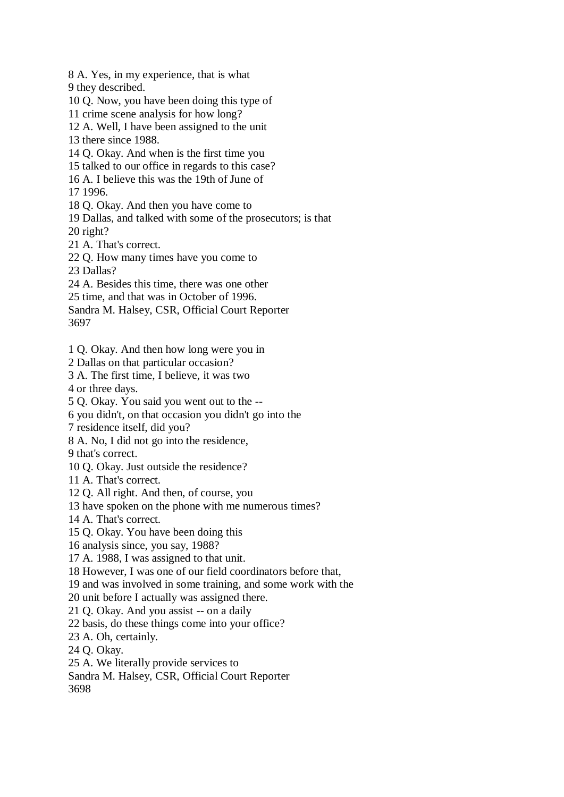8 A. Yes, in my experience, that is what 9 they described. 10 Q. Now, you have been doing this type of 11 crime scene analysis for how long? 12 A. Well, I have been assigned to the unit 13 there since 1988. 14 Q. Okay. And when is the first time you 15 talked to our office in regards to this case? 16 A. I believe this was the 19th of June of 17 1996. 18 Q. Okay. And then you have come to 19 Dallas, and talked with some of the prosecutors; is that 20 right? 21 A. That's correct. 22 Q. How many times have you come to 23 Dallas? 24 A. Besides this time, there was one other 25 time, and that was in October of 1996. Sandra M. Halsey, CSR, Official Court Reporter 3697 1 Q. Okay. And then how long were you in 2 Dallas on that particular occasion? 3 A. The first time, I believe, it was two 4 or three days. 5 Q. Okay. You said you went out to the -- 6 you didn't, on that occasion you didn't go into the 7 residence itself, did you? 8 A. No, I did not go into the residence, 9 that's correct. 10 Q. Okay. Just outside the residence? 11 A. That's correct. 12 Q. All right. And then, of course, you 13 have spoken on the phone with me numerous times? 14 A. That's correct. 15 Q. Okay. You have been doing this 16 analysis since, you say, 1988? 17 A. 1988, I was assigned to that unit. 18 However, I was one of our field coordinators before that, 19 and was involved in some training, and some work with the 20 unit before I actually was assigned there. 21 Q. Okay. And you assist -- on a daily 22 basis, do these things come into your office? 23 A. Oh, certainly. 24 Q. Okay. 25 A. We literally provide services to Sandra M. Halsey, CSR, Official Court Reporter 3698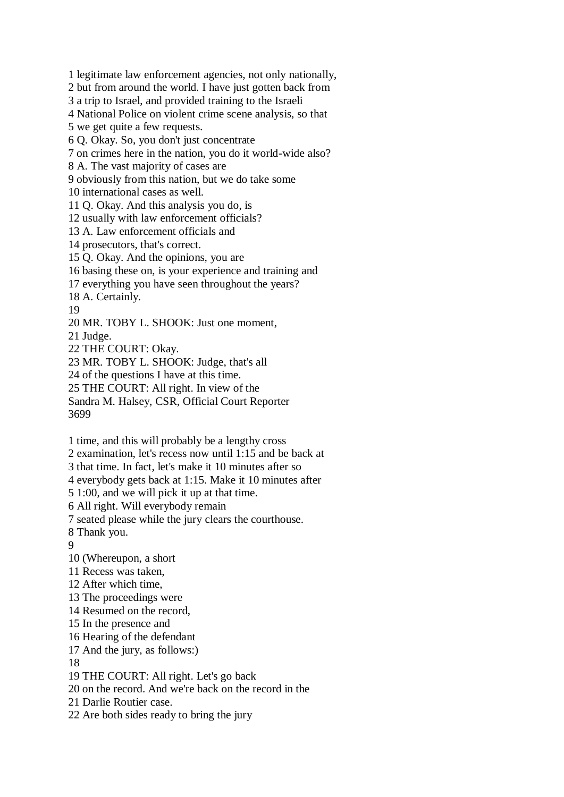1 legitimate law enforcement agencies, not only nationally, 2 but from around the world. I have just gotten back from 3 a trip to Israel, and provided training to the Israeli 4 National Police on violent crime scene analysis, so that 5 we get quite a few requests. 6 Q. Okay. So, you don't just concentrate 7 on crimes here in the nation, you do it world-wide also? 8 A. The vast majority of cases are 9 obviously from this nation, but we do take some 10 international cases as well. 11 Q. Okay. And this analysis you do, is 12 usually with law enforcement officials? 13 A. Law enforcement officials and 14 prosecutors, that's correct. 15 Q. Okay. And the opinions, you are 16 basing these on, is your experience and training and 17 everything you have seen throughout the years? 18 A. Certainly. 19 20 MR. TOBY L. SHOOK: Just one moment, 21 Judge. 22 THE COURT: Okay. 23 MR. TOBY L. SHOOK: Judge, that's all 24 of the questions I have at this time. 25 THE COURT: All right. In view of the Sandra M. Halsey, CSR, Official Court Reporter 3699 1 time, and this will probably be a lengthy cross 2 examination, let's recess now until 1:15 and be back at 3 that time. In fact, let's make it 10 minutes after so 4 everybody gets back at 1:15. Make it 10 minutes after 5 1:00, and we will pick it up at that time. 6 All right. Will everybody remain 7 seated please while the jury clears the courthouse. 8 Thank you. 9 10 (Whereupon, a short 11 Recess was taken, 12 After which time, 13 The proceedings were 14 Resumed on the record, 15 In the presence and

- 16 Hearing of the defendant
- 17 And the jury, as follows:)
- 18
- 19 THE COURT: All right. Let's go back
- 20 on the record. And we're back on the record in the
- 21 Darlie Routier case.
- 22 Are both sides ready to bring the jury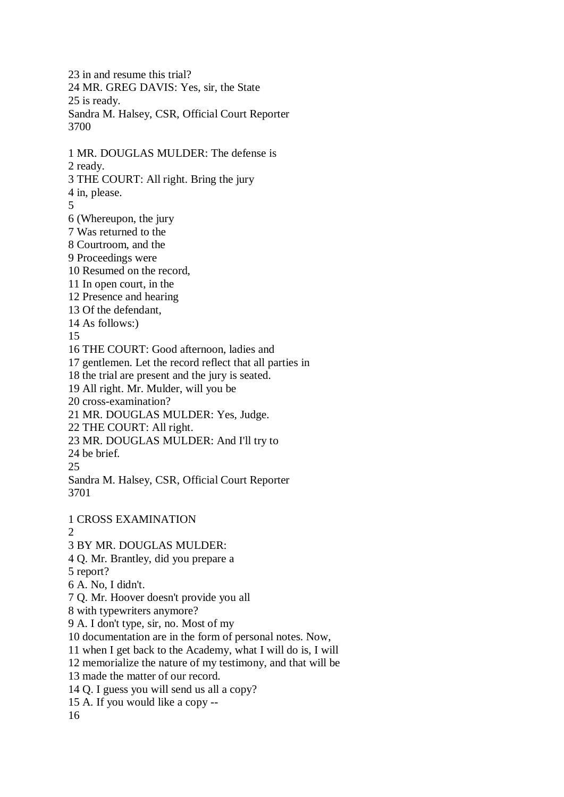23 in and resume this trial? 24 MR. GREG DAVIS: Yes, sir, the State 25 is ready. Sandra M. Halsey, CSR, Official Court Reporter 3700 1 MR. DOUGLAS MULDER: The defense is 2 ready. 3 THE COURT: All right. Bring the jury 4 in, please. 5 6 (Whereupon, the jury 7 Was returned to the 8 Courtroom, and the 9 Proceedings were 10 Resumed on the record, 11 In open court, in the 12 Presence and hearing 13 Of the defendant, 14 As follows:) 15 16 THE COURT: Good afternoon, ladies and 17 gentlemen. Let the record reflect that all parties in 18 the trial are present and the jury is seated. 19 All right. Mr. Mulder, will you be 20 cross-examination? 21 MR. DOUGLAS MULDER: Yes, Judge. 22 THE COURT: All right. 23 MR. DOUGLAS MULDER: And I'll try to 24 be brief. 25 Sandra M. Halsey, CSR, Official Court Reporter 3701 1 CROSS EXAMINATION  $\mathcal{D}_{\alpha}$ 3 BY MR. DOUGLAS MULDER: 4 Q. Mr. Brantley, did you prepare a 5 report? 6 A. No, I didn't. 7 Q. Mr. Hoover doesn't provide you all 8 with typewriters anymore? 9 A. I don't type, sir, no. Most of my 10 documentation are in the form of personal notes. Now, 11 when I get back to the Academy, what I will do is, I will 12 memorialize the nature of my testimony, and that will be 13 made the matter of our record. 14 Q. I guess you will send us all a copy? 15 A. If you would like a copy -- 16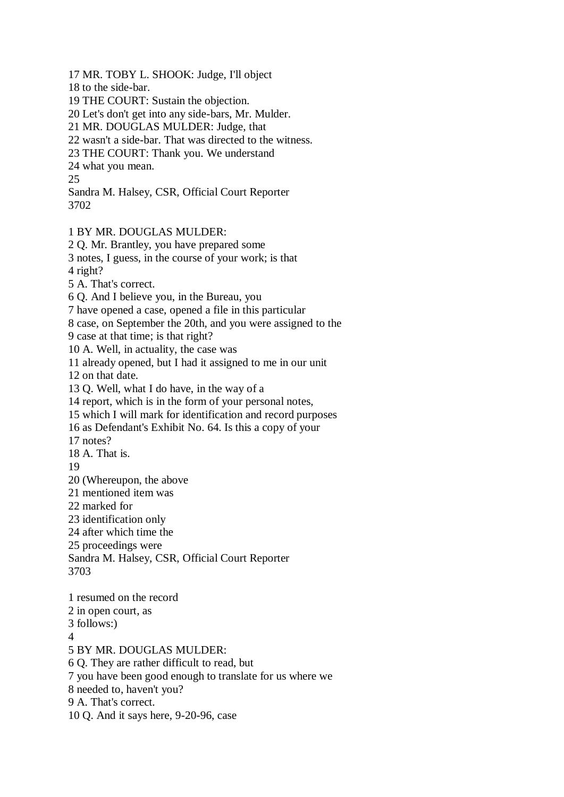17 MR. TOBY L. SHOOK: Judge, I'll object

18 to the side-bar.

19 THE COURT: Sustain the objection.

20 Let's don't get into any side-bars, Mr. Mulder.

21 MR. DOUGLAS MULDER: Judge, that

22 wasn't a side-bar. That was directed to the witness.

23 THE COURT: Thank you. We understand

24 what you mean.

25

Sandra M. Halsey, CSR, Official Court Reporter 3702

1 BY MR. DOUGLAS MULDER:

2 Q. Mr. Brantley, you have prepared some

3 notes, I guess, in the course of your work; is that

4 right?

5 A. That's correct.

6 Q. And I believe you, in the Bureau, you

7 have opened a case, opened a file in this particular

8 case, on September the 20th, and you were assigned to the

9 case at that time; is that right?

10 A. Well, in actuality, the case was

11 already opened, but I had it assigned to me in our unit

12 on that date.

13 Q. Well, what I do have, in the way of a

14 report, which is in the form of your personal notes,

15 which I will mark for identification and record purposes

16 as Defendant's Exhibit No. 64. Is this a copy of your

17 notes?

18 A. That is.

19

20 (Whereupon, the above

21 mentioned item was

22 marked for

23 identification only

24 after which time the

25 proceedings were

Sandra M. Halsey, CSR, Official Court Reporter 3703

1 resumed on the record 2 in open court, as 3 follows:)  $\Delta$ 5 BY MR. DOUGLAS MULDER: 6 Q. They are rather difficult to read, but 7 you have been good enough to translate for us where we 8 needed to, haven't you? 9 A. That's correct. 10 Q. And it says here, 9-20-96, case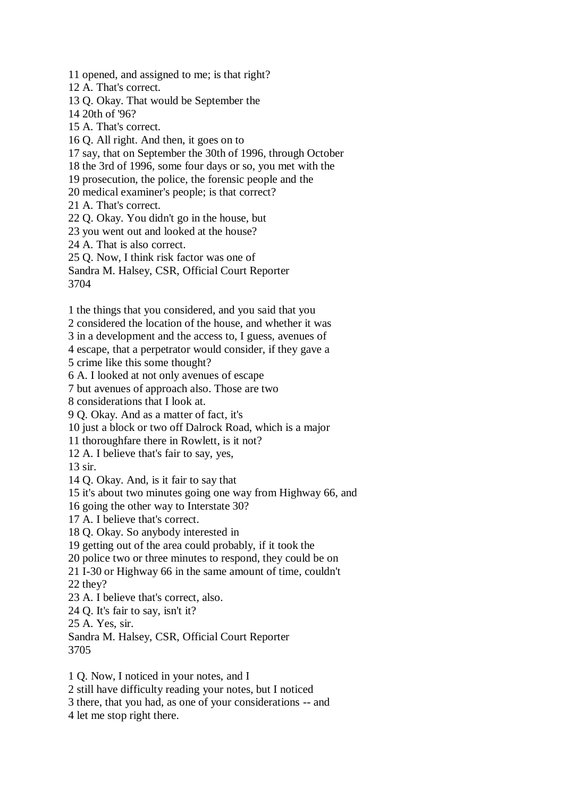11 opened, and assigned to me; is that right? 12 A. That's correct. 13 Q. Okay. That would be September the 14 20th of '96? 15 A. That's correct. 16 Q. All right. And then, it goes on to 17 say, that on September the 30th of 1996, through October 18 the 3rd of 1996, some four days or so, you met with the 19 prosecution, the police, the forensic people and the 20 medical examiner's people; is that correct? 21 A. That's correct. 22 Q. Okay. You didn't go in the house, but 23 you went out and looked at the house? 24 A. That is also correct. 25 Q. Now, I think risk factor was one of Sandra M. Halsey, CSR, Official Court Reporter 3704

1 the things that you considered, and you said that you

2 considered the location of the house, and whether it was

3 in a development and the access to, I guess, avenues of

4 escape, that a perpetrator would consider, if they gave a

5 crime like this some thought?

6 A. I looked at not only avenues of escape

7 but avenues of approach also. Those are two

8 considerations that I look at.

9 Q. Okay. And as a matter of fact, it's

10 just a block or two off Dalrock Road, which is a major

11 thoroughfare there in Rowlett, is it not?

12 A. I believe that's fair to say, yes,

13 sir.

14 Q. Okay. And, is it fair to say that

15 it's about two minutes going one way from Highway 66, and

16 going the other way to Interstate 30?

17 A. I believe that's correct.

18 Q. Okay. So anybody interested in

19 getting out of the area could probably, if it took the

20 police two or three minutes to respond, they could be on

21 I-30 or Highway 66 in the same amount of time, couldn't

22 they?

23 A. I believe that's correct, also.

24 Q. It's fair to say, isn't it?

25 A. Yes, sir.

Sandra M. Halsey, CSR, Official Court Reporter 3705

1 Q. Now, I noticed in your notes, and I

2 still have difficulty reading your notes, but I noticed

3 there, that you had, as one of your considerations -- and

4 let me stop right there.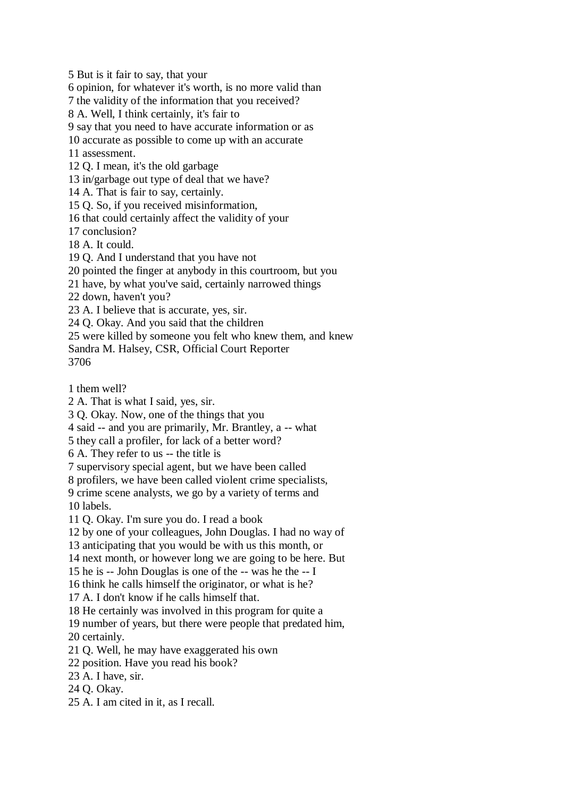5 But is it fair to say, that your

6 opinion, for whatever it's worth, is no more valid than

7 the validity of the information that you received?

8 A. Well, I think certainly, it's fair to

9 say that you need to have accurate information or as

10 accurate as possible to come up with an accurate

11 assessment.

12 Q. I mean, it's the old garbage

13 in/garbage out type of deal that we have?

14 A. That is fair to say, certainly.

15 Q. So, if you received misinformation,

16 that could certainly affect the validity of your

17 conclusion?

18 A. It could.

19 Q. And I understand that you have not

20 pointed the finger at anybody in this courtroom, but you

21 have, by what you've said, certainly narrowed things

22 down, haven't you?

23 A. I believe that is accurate, yes, sir.

24 Q. Okay. And you said that the children

25 were killed by someone you felt who knew them, and knew

Sandra M. Halsey, CSR, Official Court Reporter 3706

1 them well?

2 A. That is what I said, yes, sir.

3 Q. Okay. Now, one of the things that you

4 said -- and you are primarily, Mr. Brantley, a -- what

5 they call a profiler, for lack of a better word?

6 A. They refer to us -- the title is

7 supervisory special agent, but we have been called

8 profilers, we have been called violent crime specialists,

9 crime scene analysts, we go by a variety of terms and 10 labels.

11 Q. Okay. I'm sure you do. I read a book

12 by one of your colleagues, John Douglas. I had no way of

13 anticipating that you would be with us this month, or

14 next month, or however long we are going to be here. But

15 he is -- John Douglas is one of the -- was he the -- I

16 think he calls himself the originator, or what is he?

17 A. I don't know if he calls himself that.

18 He certainly was involved in this program for quite a

19 number of years, but there were people that predated him, 20 certainly.

21 Q. Well, he may have exaggerated his own

22 position. Have you read his book?

23 A. I have, sir.

24 Q. Okay.

25 A. I am cited in it, as I recall.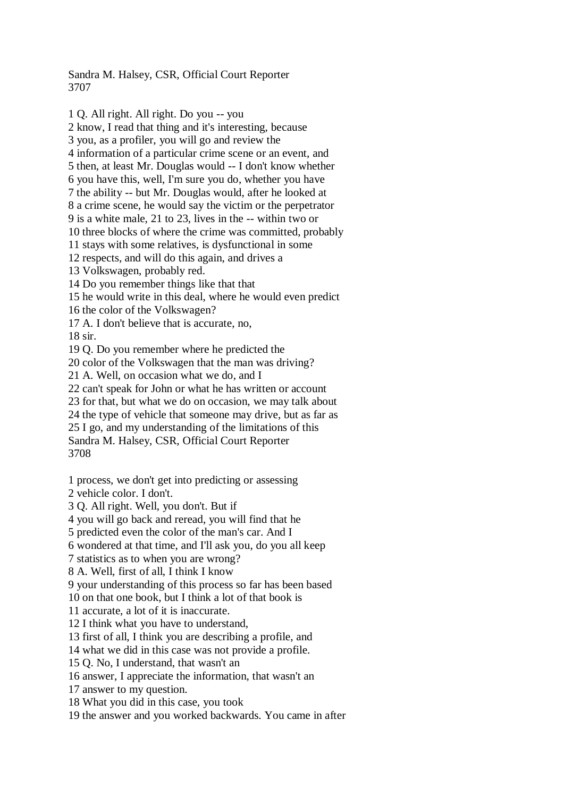Sandra M. Halsey, CSR, Official Court Reporter 3707

1 Q. All right. All right. Do you -- you 2 know, I read that thing and it's interesting, because 3 you, as a profiler, you will go and review the 4 information of a particular crime scene or an event, and 5 then, at least Mr. Douglas would -- I don't know whether 6 you have this, well, I'm sure you do, whether you have 7 the ability -- but Mr. Douglas would, after he looked at 8 a crime scene, he would say the victim or the perpetrator 9 is a white male, 21 to 23, lives in the -- within two or 10 three blocks of where the crime was committed, probably 11 stays with some relatives, is dysfunctional in some 12 respects, and will do this again, and drives a 13 Volkswagen, probably red. 14 Do you remember things like that that 15 he would write in this deal, where he would even predict 16 the color of the Volkswagen? 17 A. I don't believe that is accurate, no, 18 sir. 19 Q. Do you remember where he predicted the 20 color of the Volkswagen that the man was driving? 21 A. Well, on occasion what we do, and I 22 can't speak for John or what he has written or account 23 for that, but what we do on occasion, we may talk about 24 the type of vehicle that someone may drive, but as far as 25 I go, and my understanding of the limitations of this Sandra M. Halsey, CSR, Official Court Reporter 3708 1 process, we don't get into predicting or assessing 2 vehicle color. I don't. 3 Q. All right. Well, you don't. But if 4 you will go back and reread, you will find that he 5 predicted even the color of the man's car. And I 6 wondered at that time, and I'll ask you, do you all keep 7 statistics as to when you are wrong? 8 A. Well, first of all, I think I know 9 your understanding of this process so far has been based 10 on that one book, but I think a lot of that book is 11 accurate, a lot of it is inaccurate. 12 I think what you have to understand, 13 first of all, I think you are describing a profile, and 14 what we did in this case was not provide a profile. 15 Q. No, I understand, that wasn't an 16 answer, I appreciate the information, that wasn't an 17 answer to my question.

18 What you did in this case, you took

19 the answer and you worked backwards. You came in after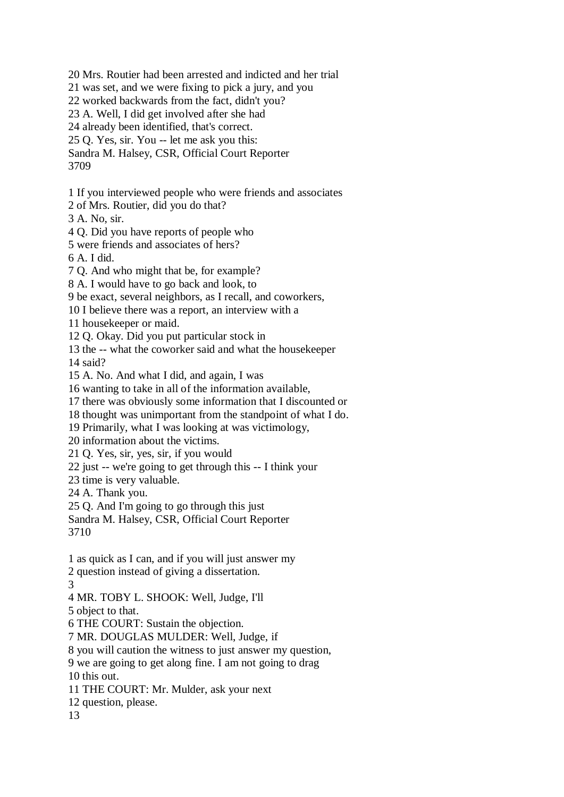20 Mrs. Routier had been arrested and indicted and her trial 21 was set, and we were fixing to pick a jury, and you 22 worked backwards from the fact, didn't you? 23 A. Well, I did get involved after she had 24 already been identified, that's correct. 25 Q. Yes, sir. You -- let me ask you this: Sandra M. Halsey, CSR, Official Court Reporter 3709 1 If you interviewed people who were friends and associates 2 of Mrs. Routier, did you do that? 3 A. No, sir. 4 Q. Did you have reports of people who 5 were friends and associates of hers? 6 A. I did. 7 Q. And who might that be, for example? 8 A. I would have to go back and look, to 9 be exact, several neighbors, as I recall, and coworkers, 10 I believe there was a report, an interview with a 11 housekeeper or maid. 12 Q. Okay. Did you put particular stock in 13 the -- what the coworker said and what the housekeeper 14 said? 15 A. No. And what I did, and again, I was 16 wanting to take in all of the information available, 17 there was obviously some information that I discounted or 18 thought was unimportant from the standpoint of what I do. 19 Primarily, what I was looking at was victimology, 20 information about the victims. 21 Q. Yes, sir, yes, sir, if you would 22 just -- we're going to get through this -- I think your 23 time is very valuable. 24 A. Thank you. 25 Q. And I'm going to go through this just Sandra M. Halsey, CSR, Official Court Reporter 3710 1 as quick as I can, and if you will just answer my 2 question instead of giving a dissertation. 3 4 MR. TOBY L. SHOOK: Well, Judge, I'll 5 object to that. 6 THE COURT: Sustain the objection. 7 MR. DOUGLAS MULDER: Well, Judge, if 8 you will caution the witness to just answer my question, 9 we are going to get along fine. I am not going to drag 10 this out. 11 THE COURT: Mr. Mulder, ask your next 12 question, please. 13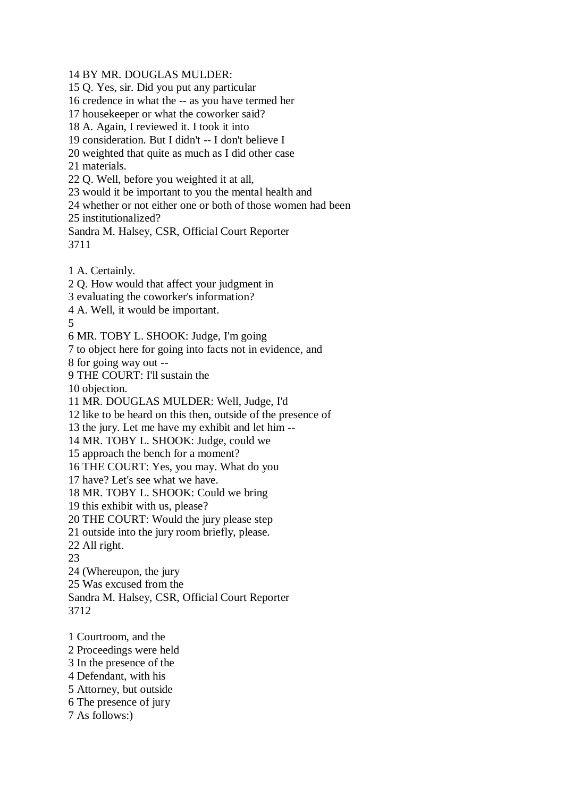## 14 BY MR. DOUGLAS MULDER:

15 Q. Yes, sir. Did you put any particular 16 credence in what the -- as you have termed her 17 housekeeper or what the coworker said? 18 A. Again, I reviewed it. I took it into 19 consideration. But I didn't -- I don't believe I 20 weighted that quite as much as I did other case 21 materials. 22 Q. Well, before you weighted it at all, 23 would it be important to you the mental health and 24 whether or not either one or both of those women had been 25 institutionalized? Sandra M. Halsey, CSR, Official Court Reporter 3711 1 A. Certainly. 2 Q. How would that affect your judgment in 3 evaluating the coworker's information? 4 A. Well, it would be important. 5 6 MR. TOBY L. SHOOK: Judge, I'm going 7 to object here for going into facts not in evidence, and 8 for going way out -- 9 THE COURT: I'll sustain the 10 objection. 11 MR. DOUGLAS MULDER: Well, Judge, I'd 12 like to be heard on this then, outside of the presence of 13 the jury. Let me have my exhibit and let him -- 14 MR. TOBY L. SHOOK: Judge, could we 15 approach the bench for a moment? 16 THE COURT: Yes, you may. What do you 17 have? Let's see what we have. 18 MR. TOBY L. SHOOK: Could we bring 19 this exhibit with us, please? 20 THE COURT: Would the jury please step 21 outside into the jury room briefly, please. 22 All right. 23 24 (Whereupon, the jury 25 Was excused from the Sandra M. Halsey, CSR, Official Court Reporter 3712 1 Courtroom, and the 2 Proceedings were held 3 In the presence of the 4 Defendant, with his 5 Attorney, but outside 6 The presence of jury

7 As follows:)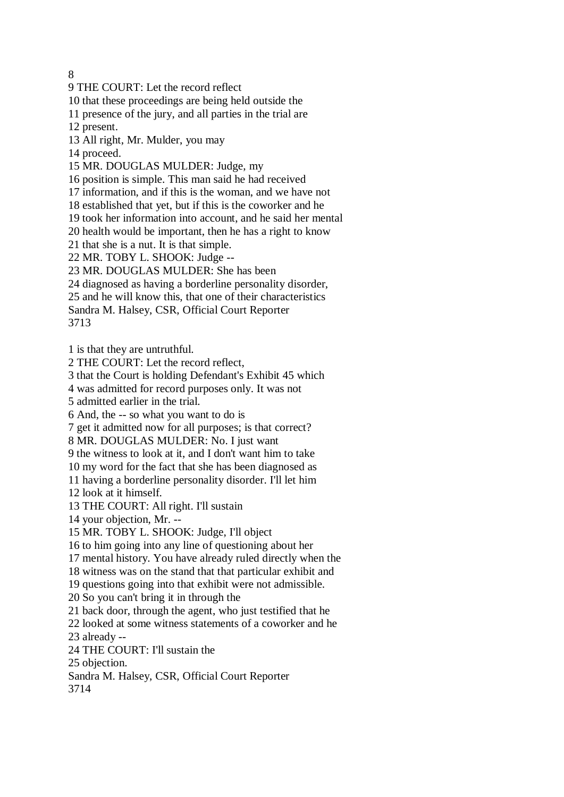8

9 THE COURT: Let the record reflect

10 that these proceedings are being held outside the

11 presence of the jury, and all parties in the trial are

12 present.

13 All right, Mr. Mulder, you may

14 proceed.

15 MR. DOUGLAS MULDER: Judge, my

16 position is simple. This man said he had received

17 information, and if this is the woman, and we have not

18 established that yet, but if this is the coworker and he

19 took her information into account, and he said her mental

20 health would be important, then he has a right to know

21 that she is a nut. It is that simple.

22 MR. TOBY L. SHOOK: Judge --

23 MR. DOUGLAS MULDER: She has been

24 diagnosed as having a borderline personality disorder,

25 and he will know this, that one of their characteristics

Sandra M. Halsey, CSR, Official Court Reporter

3713

1 is that they are untruthful.

2 THE COURT: Let the record reflect,

3 that the Court is holding Defendant's Exhibit 45 which

4 was admitted for record purposes only. It was not

5 admitted earlier in the trial.

6 And, the -- so what you want to do is

7 get it admitted now for all purposes; is that correct?

8 MR. DOUGLAS MULDER: No. I just want

9 the witness to look at it, and I don't want him to take

10 my word for the fact that she has been diagnosed as

11 having a borderline personality disorder. I'll let him

12 look at it himself.

13 THE COURT: All right. I'll sustain

14 your objection, Mr. --

15 MR. TOBY L. SHOOK: Judge, I'll object

16 to him going into any line of questioning about her

17 mental history. You have already ruled directly when the

18 witness was on the stand that that particular exhibit and

19 questions going into that exhibit were not admissible.

20 So you can't bring it in through the

21 back door, through the agent, who just testified that he

22 looked at some witness statements of a coworker and he

23 already --

24 THE COURT: I'll sustain the

25 objection.

Sandra M. Halsey, CSR, Official Court Reporter 3714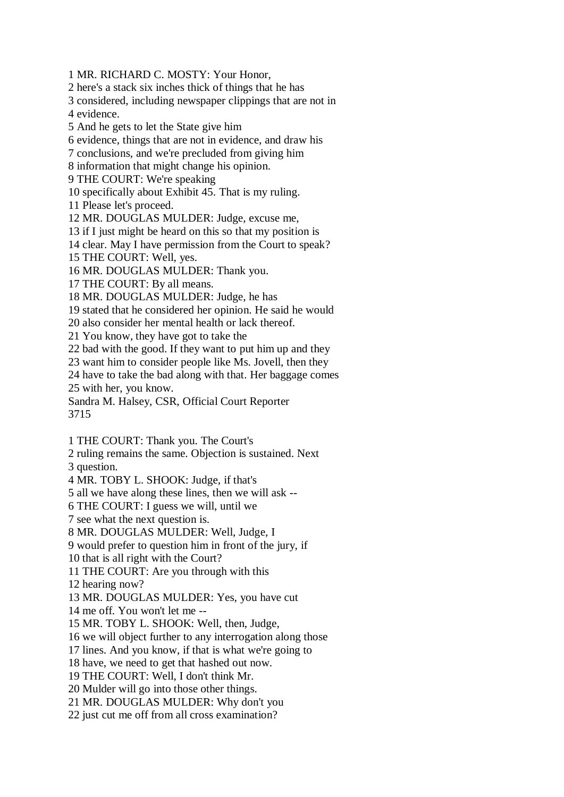1 MR. RICHARD C. MOSTY: Your Honor,

2 here's a stack six inches thick of things that he has

3 considered, including newspaper clippings that are not in 4 evidence.

5 And he gets to let the State give him

6 evidence, things that are not in evidence, and draw his

7 conclusions, and we're precluded from giving him

8 information that might change his opinion.

9 THE COURT: We're speaking

10 specifically about Exhibit 45. That is my ruling.

11 Please let's proceed.

12 MR. DOUGLAS MULDER: Judge, excuse me,

13 if I just might be heard on this so that my position is

14 clear. May I have permission from the Court to speak?

15 THE COURT: Well, yes.

16 MR. DOUGLAS MULDER: Thank you.

17 THE COURT: By all means.

18 MR. DOUGLAS MULDER: Judge, he has

19 stated that he considered her opinion. He said he would

20 also consider her mental health or lack thereof.

21 You know, they have got to take the

22 bad with the good. If they want to put him up and they

23 want him to consider people like Ms. Jovell, then they

24 have to take the bad along with that. Her baggage comes 25 with her, you know.

Sandra M. Halsey, CSR, Official Court Reporter 3715

1 THE COURT: Thank you. The Court's

2 ruling remains the same. Objection is sustained. Next 3 question.

4 MR. TOBY L. SHOOK: Judge, if that's

5 all we have along these lines, then we will ask --

6 THE COURT: I guess we will, until we

7 see what the next question is.

8 MR. DOUGLAS MULDER: Well, Judge, I

9 would prefer to question him in front of the jury, if

10 that is all right with the Court?

11 THE COURT: Are you through with this

12 hearing now?

13 MR. DOUGLAS MULDER: Yes, you have cut

14 me off. You won't let me --

15 MR. TOBY L. SHOOK: Well, then, Judge,

16 we will object further to any interrogation along those

17 lines. And you know, if that is what we're going to

18 have, we need to get that hashed out now.

19 THE COURT: Well, I don't think Mr.

20 Mulder will go into those other things.

21 MR. DOUGLAS MULDER: Why don't you

22 just cut me off from all cross examination?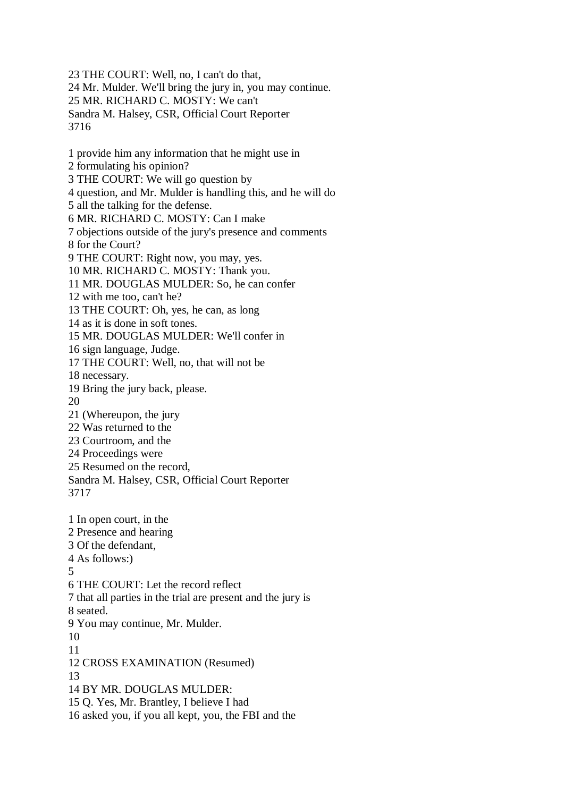23 THE COURT: Well, no, I can't do that, 24 Mr. Mulder. We'll bring the jury in, you may continue. 25 MR. RICHARD C. MOSTY: We can't Sandra M. Halsey, CSR, Official Court Reporter 3716

1 provide him any information that he might use in 2 formulating his opinion? 3 THE COURT: We will go question by 4 question, and Mr. Mulder is handling this, and he will do 5 all the talking for the defense. 6 MR. RICHARD C. MOSTY: Can I make 7 objections outside of the jury's presence and comments 8 for the Court? 9 THE COURT: Right now, you may, yes. 10 MR. RICHARD C. MOSTY: Thank you. 11 MR. DOUGLAS MULDER: So, he can confer 12 with me too, can't he? 13 THE COURT: Oh, yes, he can, as long 14 as it is done in soft tones. 15 MR. DOUGLAS MULDER: We'll confer in 16 sign language, Judge. 17 THE COURT: Well, no, that will not be 18 necessary. 19 Bring the jury back, please. 20 21 (Whereupon, the jury 22 Was returned to the 23 Courtroom, and the 24 Proceedings were 25 Resumed on the record, Sandra M. Halsey, CSR, Official Court Reporter 3717 1 In open court, in the 2 Presence and hearing 3 Of the defendant, 4 As follows:) 5 6 THE COURT: Let the record reflect 7 that all parties in the trial are present and the jury is 8 seated. 9 You may continue, Mr. Mulder. 10 11 12 CROSS EXAMINATION (Resumed) 13 14 BY MR. DOUGLAS MULDER: 15 Q. Yes, Mr. Brantley, I believe I had 16 asked you, if you all kept, you, the FBI and the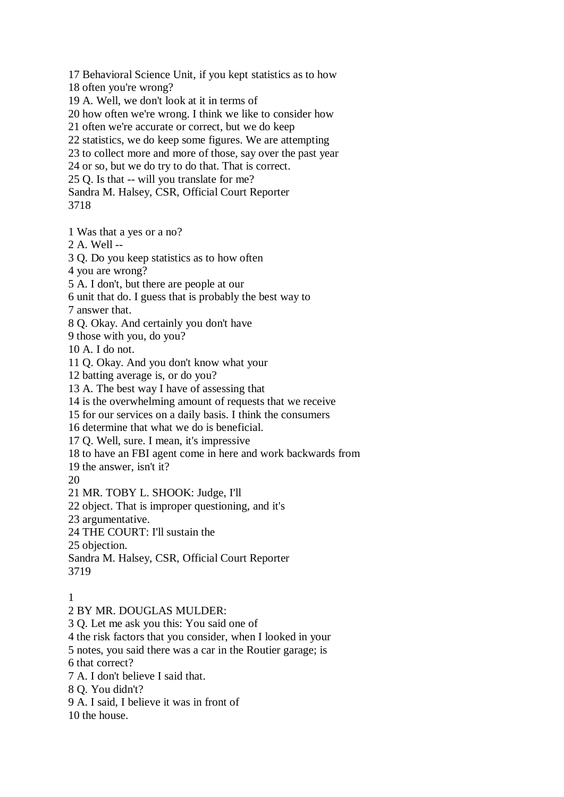17 Behavioral Science Unit, if you kept statistics as to how 18 often you're wrong? 19 A. Well, we don't look at it in terms of 20 how often we're wrong. I think we like to consider how 21 often we're accurate or correct, but we do keep 22 statistics, we do keep some figures. We are attempting 23 to collect more and more of those, say over the past year 24 or so, but we do try to do that. That is correct. 25 Q. Is that -- will you translate for me? Sandra M. Halsey, CSR, Official Court Reporter 3718

1 Was that a yes or a no?

2 A. Well --

3 Q. Do you keep statistics as to how often

4 you are wrong?

5 A. I don't, but there are people at our

6 unit that do. I guess that is probably the best way to

7 answer that.

8 Q. Okay. And certainly you don't have

9 those with you, do you?

10 A. I do not.

11 Q. Okay. And you don't know what your

12 batting average is, or do you?

13 A. The best way I have of assessing that

14 is the overwhelming amount of requests that we receive

15 for our services on a daily basis. I think the consumers

16 determine that what we do is beneficial.

17 Q. Well, sure. I mean, it's impressive

18 to have an FBI agent come in here and work backwards from

19 the answer, isn't it?

20

21 MR. TOBY L. SHOOK: Judge, I'll

22 object. That is improper questioning, and it's

23 argumentative.

24 THE COURT: I'll sustain the

25 objection.

Sandra M. Halsey, CSR, Official Court Reporter 3719

## 1

2 BY MR. DOUGLAS MULDER:

3 Q. Let me ask you this: You said one of

4 the risk factors that you consider, when I looked in your

5 notes, you said there was a car in the Routier garage; is

6 that correct?

7 A. I don't believe I said that.

8 Q. You didn't?

9 A. I said, I believe it was in front of

10 the house.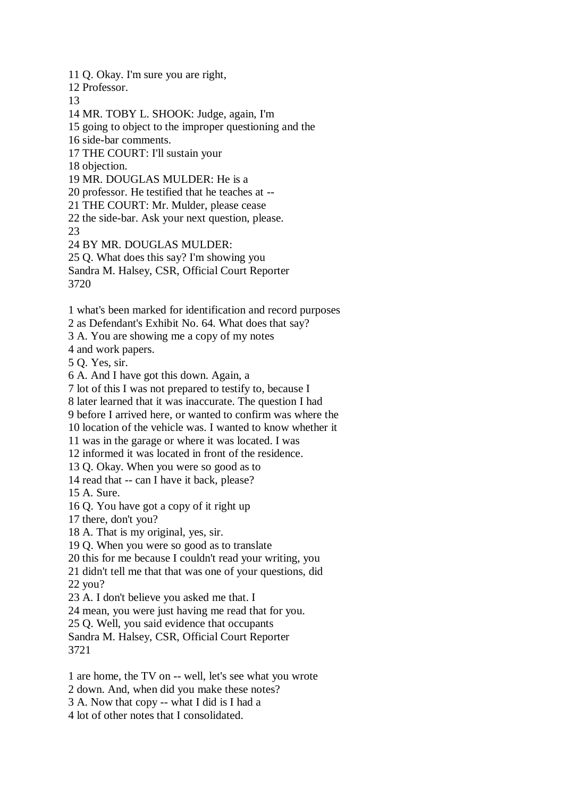11 Q. Okay. I'm sure you are right,

12 Professor.

13

14 MR. TOBY L. SHOOK: Judge, again, I'm

15 going to object to the improper questioning and the

16 side-bar comments.

17 THE COURT: I'll sustain your

18 objection.

19 MR. DOUGLAS MULDER: He is a

20 professor. He testified that he teaches at --

21 THE COURT: Mr. Mulder, please cease

22 the side-bar. Ask your next question, please.

23

24 BY MR. DOUGLAS MULDER:

25 Q. What does this say? I'm showing you

Sandra M. Halsey, CSR, Official Court Reporter

3720

1 what's been marked for identification and record purposes

2 as Defendant's Exhibit No. 64. What does that say?

3 A. You are showing me a copy of my notes

4 and work papers.

5 Q. Yes, sir.

6 A. And I have got this down. Again, a

7 lot of this I was not prepared to testify to, because I

8 later learned that it was inaccurate. The question I had

9 before I arrived here, or wanted to confirm was where the

10 location of the vehicle was. I wanted to know whether it

11 was in the garage or where it was located. I was

12 informed it was located in front of the residence.

13 Q. Okay. When you were so good as to

14 read that -- can I have it back, please?

15 A. Sure.

16 Q. You have got a copy of it right up

17 there, don't you?

18 A. That is my original, yes, sir.

19 Q. When you were so good as to translate

20 this for me because I couldn't read your writing, you

21 didn't tell me that that was one of your questions, did 22 you?

23 A. I don't believe you asked me that. I

24 mean, you were just having me read that for you.

25 Q. Well, you said evidence that occupants

Sandra M. Halsey, CSR, Official Court Reporter 3721

1 are home, the TV on -- well, let's see what you wrote 2 down. And, when did you make these notes?

3 A. Now that copy -- what I did is I had a

4 lot of other notes that I consolidated.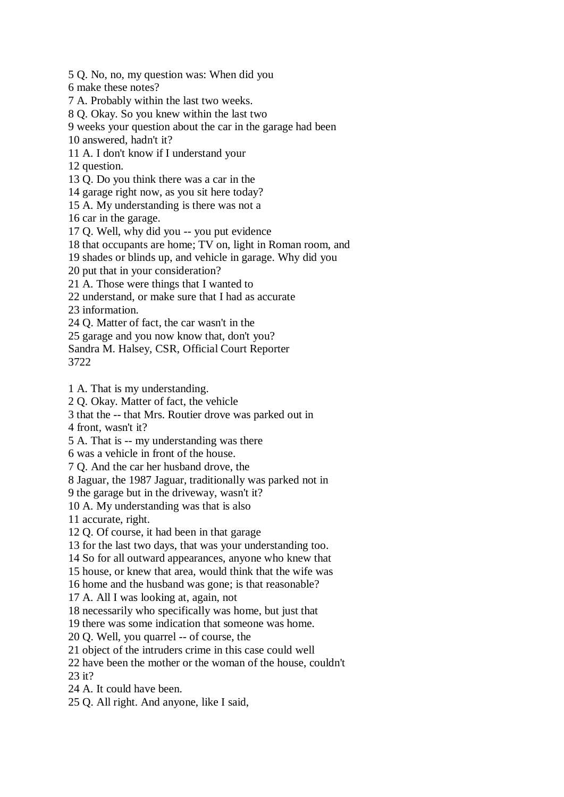5 Q. No, no, my question was: When did you

6 make these notes?

7 A. Probably within the last two weeks.

8 Q. Okay. So you knew within the last two

9 weeks your question about the car in the garage had been

10 answered, hadn't it?

11 A. I don't know if I understand your

12 question.

13 Q. Do you think there was a car in the

14 garage right now, as you sit here today?

15 A. My understanding is there was not a

16 car in the garage.

17 Q. Well, why did you -- you put evidence

18 that occupants are home; TV on, light in Roman room, and

19 shades or blinds up, and vehicle in garage. Why did you

20 put that in your consideration?

21 A. Those were things that I wanted to

22 understand, or make sure that I had as accurate

23 information.

24 Q. Matter of fact, the car wasn't in the

25 garage and you now know that, don't you?

Sandra M. Halsey, CSR, Official Court Reporter 3722

1 A. That is my understanding.

2 Q. Okay. Matter of fact, the vehicle

3 that the -- that Mrs. Routier drove was parked out in 4 front, wasn't it?

5 A. That is -- my understanding was there

6 was a vehicle in front of the house.

7 Q. And the car her husband drove, the

8 Jaguar, the 1987 Jaguar, traditionally was parked not in

9 the garage but in the driveway, wasn't it?

10 A. My understanding was that is also

11 accurate, right.

12 Q. Of course, it had been in that garage

13 for the last two days, that was your understanding too.

14 So for all outward appearances, anyone who knew that

15 house, or knew that area, would think that the wife was

16 home and the husband was gone; is that reasonable?

17 A. All I was looking at, again, not

18 necessarily who specifically was home, but just that

19 there was some indication that someone was home.

20 Q. Well, you quarrel -- of course, the

21 object of the intruders crime in this case could well

22 have been the mother or the woman of the house, couldn't

23 it?

24 A. It could have been.

25 Q. All right. And anyone, like I said,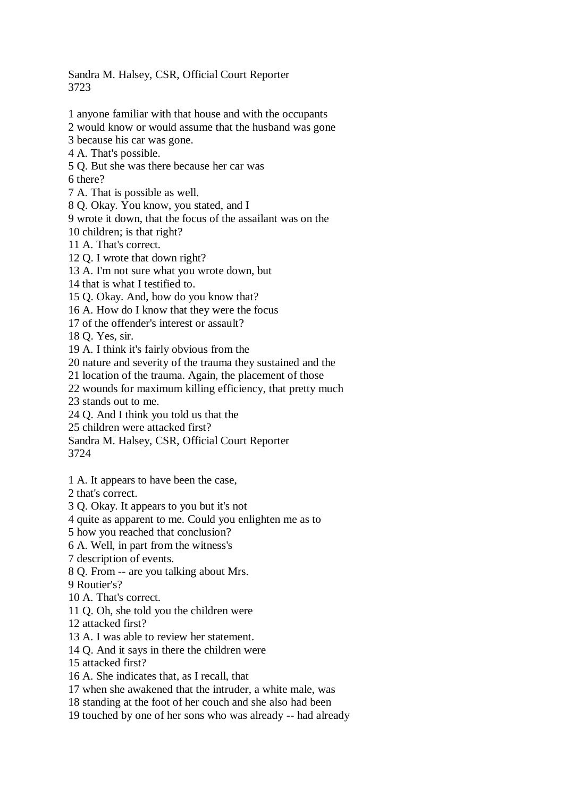## Sandra M. Halsey, CSR, Official Court Reporter 3723

- 1 anyone familiar with that house and with the occupants
- 2 would know or would assume that the husband was gone

3 because his car was gone.

4 A. That's possible.

5 Q. But she was there because her car was

6 there?

7 A. That is possible as well.

8 Q. Okay. You know, you stated, and I

9 wrote it down, that the focus of the assailant was on the

10 children; is that right?

11 A. That's correct.

12 Q. I wrote that down right?

13 A. I'm not sure what you wrote down, but

14 that is what I testified to.

15 Q. Okay. And, how do you know that?

16 A. How do I know that they were the focus

17 of the offender's interest or assault?

18 Q. Yes, sir.

19 A. I think it's fairly obvious from the

20 nature and severity of the trauma they sustained and the

21 location of the trauma. Again, the placement of those

22 wounds for maximum killing efficiency, that pretty much

23 stands out to me.

24 Q. And I think you told us that the

25 children were attacked first?

Sandra M. Halsey, CSR, Official Court Reporter

3724

1 A. It appears to have been the case,

2 that's correct.

3 Q. Okay. It appears to you but it's not

4 quite as apparent to me. Could you enlighten me as to

5 how you reached that conclusion?

6 A. Well, in part from the witness's

7 description of events.

8 Q. From -- are you talking about Mrs.

9 Routier's?

10 A. That's correct.

11 Q. Oh, she told you the children were

12 attacked first?

13 A. I was able to review her statement.

14 Q. And it says in there the children were

15 attacked first?

16 A. She indicates that, as I recall, that

17 when she awakened that the intruder, a white male, was

18 standing at the foot of her couch and she also had been

19 touched by one of her sons who was already -- had already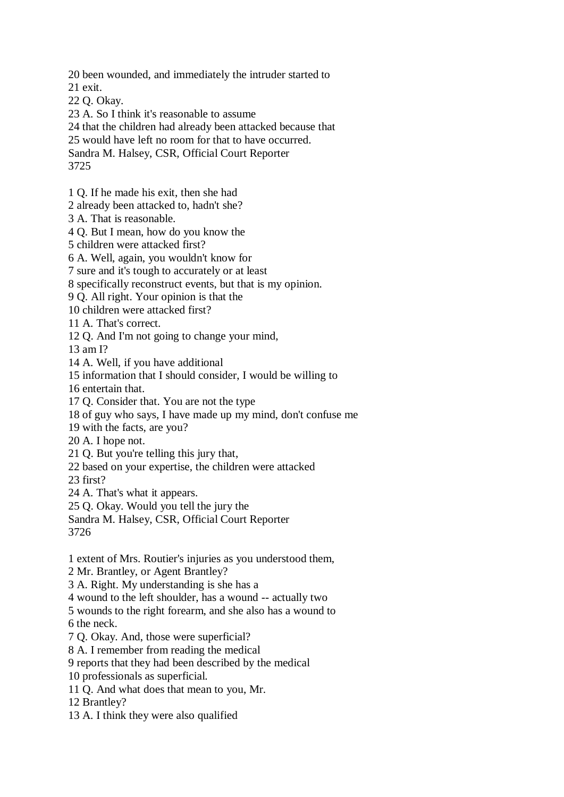20 been wounded, and immediately the intruder started to

21 exit.

22 Q. Okay.

23 A. So I think it's reasonable to assume

24 that the children had already been attacked because that

25 would have left no room for that to have occurred.

Sandra M. Halsey, CSR, Official Court Reporter

3725

1 Q. If he made his exit, then she had

2 already been attacked to, hadn't she?

3 A. That is reasonable.

4 Q. But I mean, how do you know the

5 children were attacked first?

6 A. Well, again, you wouldn't know for

7 sure and it's tough to accurately or at least

8 specifically reconstruct events, but that is my opinion.

9 Q. All right. Your opinion is that the

10 children were attacked first?

11 A. That's correct.

12 Q. And I'm not going to change your mind,

13 am I?

14 A. Well, if you have additional

15 information that I should consider, I would be willing to

16 entertain that.

17 Q. Consider that. You are not the type

18 of guy who says, I have made up my mind, don't confuse me

19 with the facts, are you?

20 A. I hope not.

21 Q. But you're telling this jury that,

22 based on your expertise, the children were attacked

23 first?

24 A. That's what it appears.

25 Q. Okay. Would you tell the jury the

Sandra M. Halsey, CSR, Official Court Reporter 3726

1 extent of Mrs. Routier's injuries as you understood them,

2 Mr. Brantley, or Agent Brantley?

3 A. Right. My understanding is she has a

4 wound to the left shoulder, has a wound -- actually two

5 wounds to the right forearm, and she also has a wound to 6 the neck.

7 Q. Okay. And, those were superficial?

8 A. I remember from reading the medical

9 reports that they had been described by the medical

10 professionals as superficial.

11 Q. And what does that mean to you, Mr.

12 Brantley?

13 A. I think they were also qualified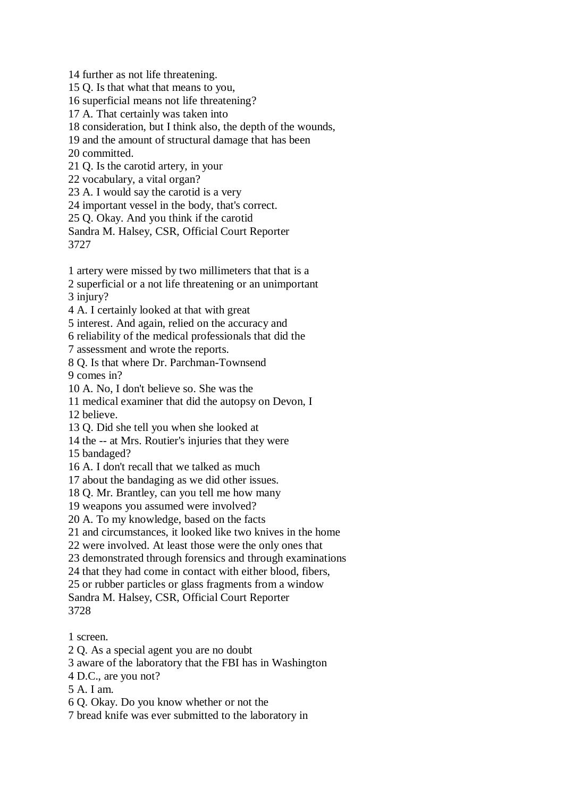14 further as not life threatening.

15 Q. Is that what that means to you,

16 superficial means not life threatening?

17 A. That certainly was taken into

18 consideration, but I think also, the depth of the wounds,

19 and the amount of structural damage that has been

20 committed.

21 Q. Is the carotid artery, in your

22 vocabulary, a vital organ?

23 A. I would say the carotid is a very

24 important vessel in the body, that's correct.

25 Q. Okay. And you think if the carotid

Sandra M. Halsey, CSR, Official Court Reporter 3727

1 artery were missed by two millimeters that that is a

2 superficial or a not life threatening or an unimportant 3 injury?

4 A. I certainly looked at that with great

5 interest. And again, relied on the accuracy and

6 reliability of the medical professionals that did the

7 assessment and wrote the reports.

8 Q. Is that where Dr. Parchman-Townsend

9 comes in?

10 A. No, I don't believe so. She was the

11 medical examiner that did the autopsy on Devon, I

12 believe.

13 Q. Did she tell you when she looked at

14 the -- at Mrs. Routier's injuries that they were

15 bandaged?

16 A. I don't recall that we talked as much

17 about the bandaging as we did other issues.

18 Q. Mr. Brantley, can you tell me how many

19 weapons you assumed were involved?

20 A. To my knowledge, based on the facts

21 and circumstances, it looked like two knives in the home

22 were involved. At least those were the only ones that

23 demonstrated through forensics and through examinations

24 that they had come in contact with either blood, fibers,

25 or rubber particles or glass fragments from a window

Sandra M. Halsey, CSR, Official Court Reporter

3728

1 screen.

2 Q. As a special agent you are no doubt

3 aware of the laboratory that the FBI has in Washington

4 D.C., are you not?

5 A. I am.

6 Q. Okay. Do you know whether or not the

7 bread knife was ever submitted to the laboratory in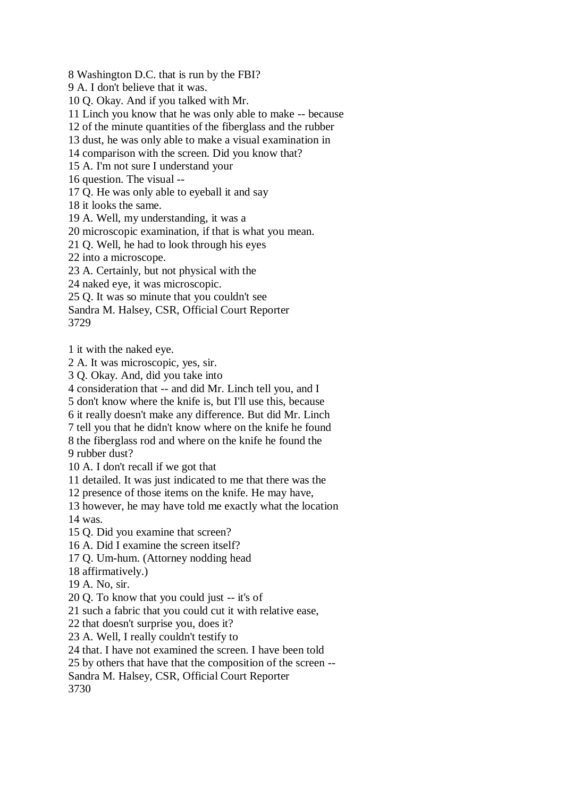8 Washington D.C. that is run by the FBI?

9 A. I don't believe that it was.

10 Q. Okay. And if you talked with Mr.

11 Linch you know that he was only able to make -- because

12 of the minute quantities of the fiberglass and the rubber

13 dust, he was only able to make a visual examination in

14 comparison with the screen. Did you know that?

15 A. I'm not sure I understand your

16 question. The visual --

17 Q. He was only able to eyeball it and say

18 it looks the same.

19 A. Well, my understanding, it was a

20 microscopic examination, if that is what you mean.

21 Q. Well, he had to look through his eyes

22 into a microscope.

23 A. Certainly, but not physical with the

24 naked eye, it was microscopic.

25 Q. It was so minute that you couldn't see

Sandra M. Halsey, CSR, Official Court Reporter

3729

1 it with the naked eye.

2 A. It was microscopic, yes, sir.

3 Q. Okay. And, did you take into

4 consideration that -- and did Mr. Linch tell you, and I

5 don't know where the knife is, but I'll use this, because

6 it really doesn't make any difference. But did Mr. Linch

7 tell you that he didn't know where on the knife he found

8 the fiberglass rod and where on the knife he found the

9 rubber dust?

10 A. I don't recall if we got that

11 detailed. It was just indicated to me that there was the

12 presence of those items on the knife. He may have,

13 however, he may have told me exactly what the location 14 was.

15 Q. Did you examine that screen?

16 A. Did I examine the screen itself?

17 Q. Um-hum. (Attorney nodding head

18 affirmatively.)

19 A. No, sir.

20 Q. To know that you could just -- it's of

21 such a fabric that you could cut it with relative ease,

22 that doesn't surprise you, does it?

23 A. Well, I really couldn't testify to

24 that. I have not examined the screen. I have been told

25 by others that have that the composition of the screen --

Sandra M. Halsey, CSR, Official Court Reporter

3730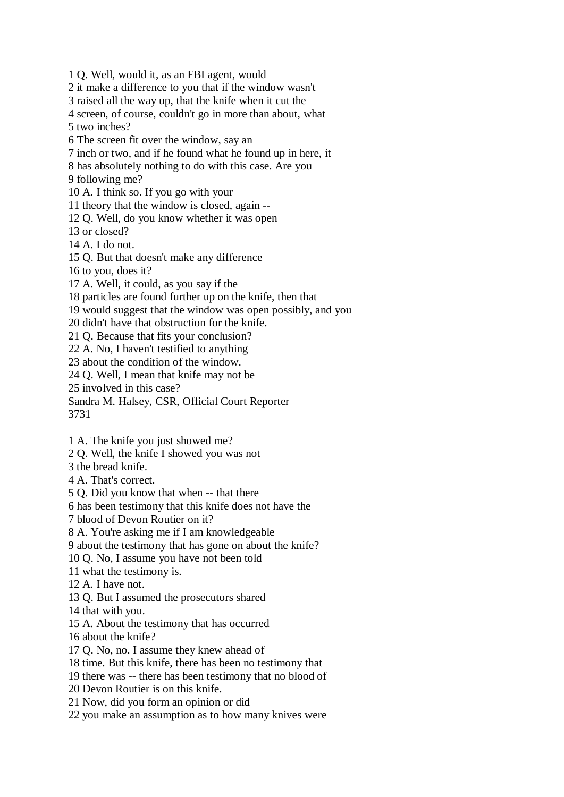1 Q. Well, would it, as an FBI agent, would 2 it make a difference to you that if the window wasn't 3 raised all the way up, that the knife when it cut the 4 screen, of course, couldn't go in more than about, what 5 two inches? 6 The screen fit over the window, say an 7 inch or two, and if he found what he found up in here, it 8 has absolutely nothing to do with this case. Are you 9 following me? 10 A. I think so. If you go with your 11 theory that the window is closed, again -- 12 Q. Well, do you know whether it was open 13 or closed? 14 A. I do not. 15 Q. But that doesn't make any difference 16 to you, does it? 17 A. Well, it could, as you say if the 18 particles are found further up on the knife, then that 19 would suggest that the window was open possibly, and you 20 didn't have that obstruction for the knife. 21 Q. Because that fits your conclusion? 22 A. No, I haven't testified to anything 23 about the condition of the window. 24 Q. Well, I mean that knife may not be 25 involved in this case? Sandra M. Halsey, CSR, Official Court Reporter 3731 1 A. The knife you just showed me? 2 Q. Well, the knife I showed you was not 3 the bread knife. 4 A. That's correct. 5 Q. Did you know that when -- that there 6 has been testimony that this knife does not have the 7 blood of Devon Routier on it?

8 A. You're asking me if I am knowledgeable

9 about the testimony that has gone on about the knife?

10 Q. No, I assume you have not been told

11 what the testimony is.

12 A. I have not.

13 Q. But I assumed the prosecutors shared

14 that with you.

15 A. About the testimony that has occurred

16 about the knife?

17 Q. No, no. I assume they knew ahead of

18 time. But this knife, there has been no testimony that

19 there was -- there has been testimony that no blood of

20 Devon Routier is on this knife.

21 Now, did you form an opinion or did

22 you make an assumption as to how many knives were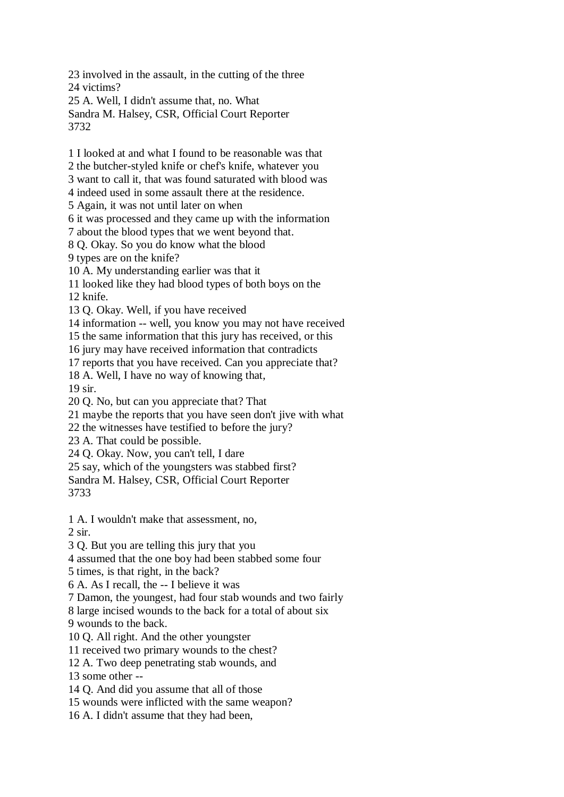23 involved in the assault, in the cutting of the three 24 victims? 25 A. Well, I didn't assume that, no. What Sandra M. Halsey, CSR, Official Court Reporter

3732

1 I looked at and what I found to be reasonable was that

2 the butcher-styled knife or chef's knife, whatever you

3 want to call it, that was found saturated with blood was

4 indeed used in some assault there at the residence.

5 Again, it was not until later on when

6 it was processed and they came up with the information

7 about the blood types that we went beyond that.

8 Q. Okay. So you do know what the blood

9 types are on the knife?

10 A. My understanding earlier was that it

11 looked like they had blood types of both boys on the 12 knife.

13 Q. Okay. Well, if you have received

14 information -- well, you know you may not have received

15 the same information that this jury has received, or this

16 jury may have received information that contradicts

17 reports that you have received. Can you appreciate that?

18 A. Well, I have no way of knowing that,

19 sir.

20 Q. No, but can you appreciate that? That

21 maybe the reports that you have seen don't jive with what

22 the witnesses have testified to before the jury?

23 A. That could be possible.

24 Q. Okay. Now, you can't tell, I dare

25 say, which of the youngsters was stabbed first?

Sandra M. Halsey, CSR, Official Court Reporter 3733

1 A. I wouldn't make that assessment, no,

 $2 \sin$ 

3 Q. But you are telling this jury that you

4 assumed that the one boy had been stabbed some four

5 times, is that right, in the back?

6 A. As I recall, the -- I believe it was

7 Damon, the youngest, had four stab wounds and two fairly

8 large incised wounds to the back for a total of about six

9 wounds to the back.

10 Q. All right. And the other youngster

11 received two primary wounds to the chest?

12 A. Two deep penetrating stab wounds, and

13 some other --

14 Q. And did you assume that all of those

15 wounds were inflicted with the same weapon?

16 A. I didn't assume that they had been,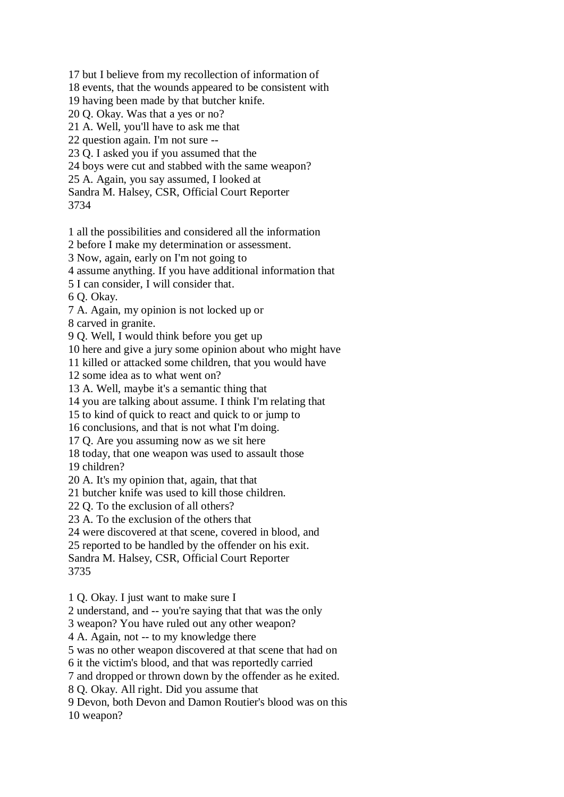17 but I believe from my recollection of information of 18 events, that the wounds appeared to be consistent with 19 having been made by that butcher knife. 20 Q. Okay. Was that a yes or no? 21 A. Well, you'll have to ask me that 22 question again. I'm not sure -- 23 Q. I asked you if you assumed that the 24 boys were cut and stabbed with the same weapon? 25 A. Again, you say assumed, I looked at

Sandra M. Halsey, CSR, Official Court Reporter

3734

1 all the possibilities and considered all the information

2 before I make my determination or assessment.

3 Now, again, early on I'm not going to

4 assume anything. If you have additional information that

5 I can consider, I will consider that.

6 Q. Okay.

7 A. Again, my opinion is not locked up or

8 carved in granite.

9 Q. Well, I would think before you get up

10 here and give a jury some opinion about who might have

11 killed or attacked some children, that you would have

12 some idea as to what went on?

13 A. Well, maybe it's a semantic thing that

14 you are talking about assume. I think I'm relating that

15 to kind of quick to react and quick to or jump to

16 conclusions, and that is not what I'm doing.

17 Q. Are you assuming now as we sit here

18 today, that one weapon was used to assault those 19 children?

20 A. It's my opinion that, again, that that 21 butcher knife was used to kill those children.

22 Q. To the exclusion of all others?

23 A. To the exclusion of the others that

24 were discovered at that scene, covered in blood, and

25 reported to be handled by the offender on his exit.

Sandra M. Halsey, CSR, Official Court Reporter

3735

1 Q. Okay. I just want to make sure I

2 understand, and -- you're saying that that was the only

3 weapon? You have ruled out any other weapon?

4 A. Again, not -- to my knowledge there

5 was no other weapon discovered at that scene that had on

6 it the victim's blood, and that was reportedly carried

7 and dropped or thrown down by the offender as he exited.

8 Q. Okay. All right. Did you assume that

9 Devon, both Devon and Damon Routier's blood was on this 10 weapon?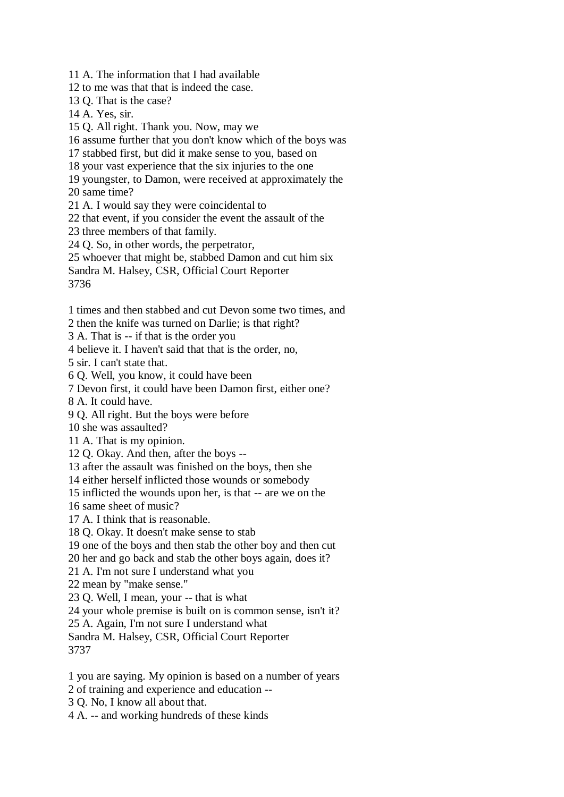11 A. The information that I had available 12 to me was that that is indeed the case. 13 Q. That is the case? 14 A. Yes, sir. 15 Q. All right. Thank you. Now, may we 16 assume further that you don't know which of the boys was 17 stabbed first, but did it make sense to you, based on 18 your vast experience that the six injuries to the one 19 youngster, to Damon, were received at approximately the 20 same time? 21 A. I would say they were coincidental to 22 that event, if you consider the event the assault of the 23 three members of that family. 24 Q. So, in other words, the perpetrator, 25 whoever that might be, stabbed Damon and cut him six Sandra M. Halsey, CSR, Official Court Reporter 3736

1 times and then stabbed and cut Devon some two times, and

2 then the knife was turned on Darlie; is that right?

3 A. That is -- if that is the order you

4 believe it. I haven't said that that is the order, no,

5 sir. I can't state that.

6 Q. Well, you know, it could have been

7 Devon first, it could have been Damon first, either one?

8 A. It could have.

9 Q. All right. But the boys were before

10 she was assaulted?

11 A. That is my opinion.

12 Q. Okay. And then, after the boys --

13 after the assault was finished on the boys, then she

14 either herself inflicted those wounds or somebody

15 inflicted the wounds upon her, is that -- are we on the

16 same sheet of music?

17 A. I think that is reasonable.

18 Q. Okay. It doesn't make sense to stab

19 one of the boys and then stab the other boy and then cut

20 her and go back and stab the other boys again, does it?

21 A. I'm not sure I understand what you

22 mean by "make sense."

23 Q. Well, I mean, your -- that is what

24 your whole premise is built on is common sense, isn't it?

25 A. Again, I'm not sure I understand what

Sandra M. Halsey, CSR, Official Court Reporter 3737

1 you are saying. My opinion is based on a number of years

2 of training and experience and education --

3 Q. No, I know all about that.

4 A. -- and working hundreds of these kinds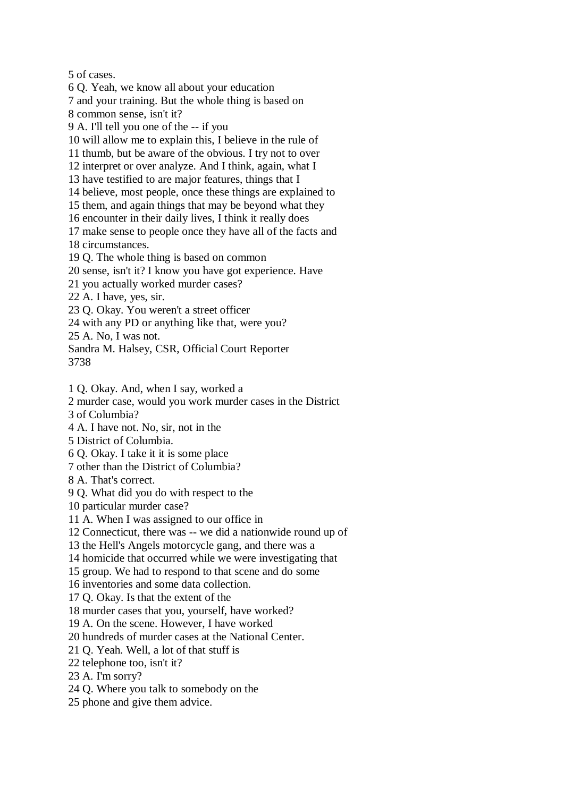5 of cases.

6 Q. Yeah, we know all about your education

7 and your training. But the whole thing is based on

8 common sense, isn't it?

9 A. I'll tell you one of the -- if you

10 will allow me to explain this, I believe in the rule of

11 thumb, but be aware of the obvious. I try not to over

12 interpret or over analyze. And I think, again, what I

13 have testified to are major features, things that I

14 believe, most people, once these things are explained to

15 them, and again things that may be beyond what they

16 encounter in their daily lives, I think it really does

17 make sense to people once they have all of the facts and 18 circumstances.

19 Q. The whole thing is based on common

20 sense, isn't it? I know you have got experience. Have

21 you actually worked murder cases?

22 A. I have, yes, sir.

23 Q. Okay. You weren't a street officer

24 with any PD or anything like that, were you?

25 A. No, I was not.

Sandra M. Halsey, CSR, Official Court Reporter 3738

1 Q. Okay. And, when I say, worked a

2 murder case, would you work murder cases in the District

3 of Columbia?

4 A. I have not. No, sir, not in the

5 District of Columbia.

6 Q. Okay. I take it it is some place

7 other than the District of Columbia?

8 A. That's correct.

9 Q. What did you do with respect to the

10 particular murder case?

11 A. When I was assigned to our office in

12 Connecticut, there was -- we did a nationwide round up of

13 the Hell's Angels motorcycle gang, and there was a

14 homicide that occurred while we were investigating that

15 group. We had to respond to that scene and do some

16 inventories and some data collection.

17 Q. Okay. Is that the extent of the

18 murder cases that you, yourself, have worked?

19 A. On the scene. However, I have worked

20 hundreds of murder cases at the National Center.

21 Q. Yeah. Well, a lot of that stuff is

22 telephone too, isn't it?

23 A. I'm sorry?

24 Q. Where you talk to somebody on the

25 phone and give them advice.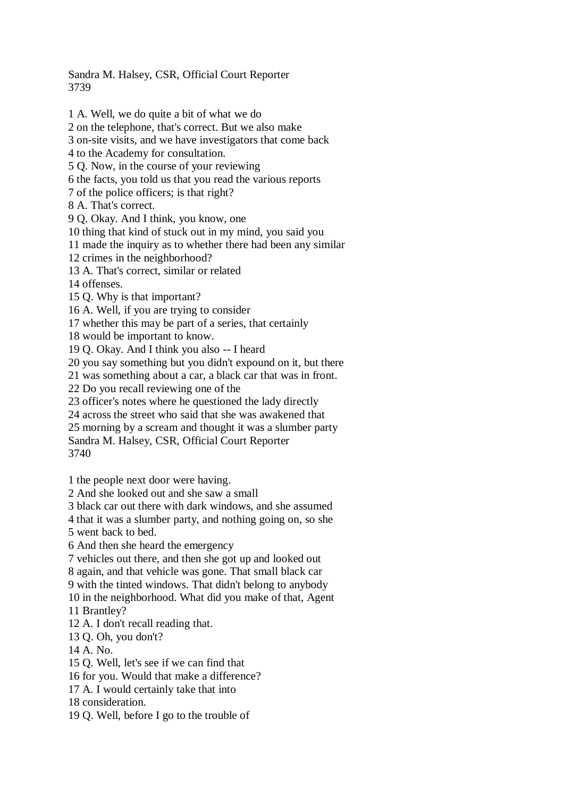Sandra M. Halsey, CSR, Official Court Reporter 3739

1 A. Well, we do quite a bit of what we do 2 on the telephone, that's correct. But we also make 3 on-site visits, and we have investigators that come back 4 to the Academy for consultation. 5 Q. Now, in the course of your reviewing 6 the facts, you told us that you read the various reports 7 of the police officers; is that right? 8 A. That's correct. 9 Q. Okay. And I think, you know, one 10 thing that kind of stuck out in my mind, you said you 11 made the inquiry as to whether there had been any similar 12 crimes in the neighborhood? 13 A. That's correct, similar or related 14 offenses. 15 Q. Why is that important? 16 A. Well, if you are trying to consider 17 whether this may be part of a series, that certainly 18 would be important to know. 19 Q. Okay. And I think you also -- I heard 20 you say something but you didn't expound on it, but there 21 was something about a car, a black car that was in front. 22 Do you recall reviewing one of the 23 officer's notes where he questioned the lady directly 24 across the street who said that she was awakened that 25 morning by a scream and thought it was a slumber party Sandra M. Halsey, CSR, Official Court Reporter 3740 1 the people next door were having. 2 And she looked out and she saw a small 3 black car out there with dark windows, and she assumed

4 that it was a slumber party, and nothing going on, so she

5 went back to bed.

6 And then she heard the emergency

7 vehicles out there, and then she got up and looked out

8 again, and that vehicle was gone. That small black car

9 with the tinted windows. That didn't belong to anybody

10 in the neighborhood. What did you make of that, Agent

11 Brantley?

12 A. I don't recall reading that.

13 Q. Oh, you don't?

14 A. No.

15 Q. Well, let's see if we can find that

16 for you. Would that make a difference?

17 A. I would certainly take that into

18 consideration.

19 Q. Well, before I go to the trouble of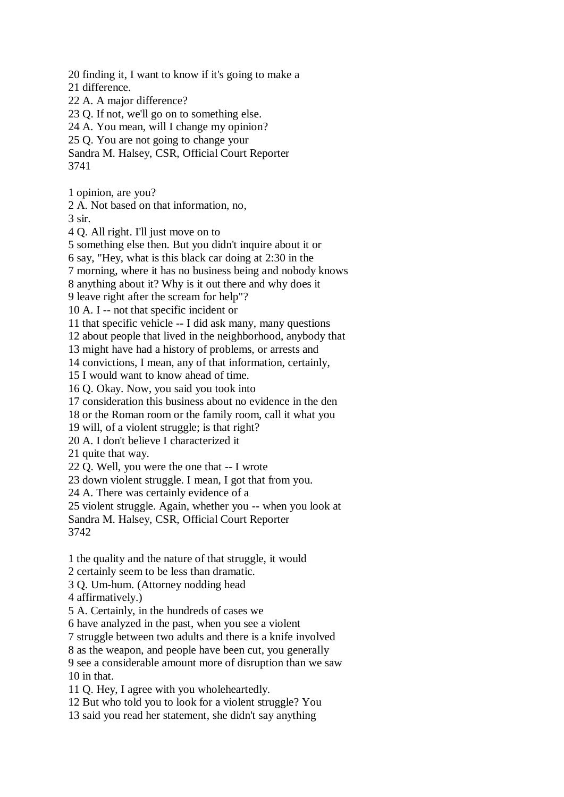20 finding it, I want to know if it's going to make a 21 difference. 22 A. A major difference? 23 Q. If not, we'll go on to something else. 24 A. You mean, will I change my opinion? 25 Q. You are not going to change your Sandra M. Halsey, CSR, Official Court Reporter 3741 1 opinion, are you? 2 A. Not based on that information, no, 3 sir. 4 Q. All right. I'll just move on to 5 something else then. But you didn't inquire about it or 6 say, "Hey, what is this black car doing at 2:30 in the 7 morning, where it has no business being and nobody knows 8 anything about it? Why is it out there and why does it 9 leave right after the scream for help"? 10 A. I -- not that specific incident or 11 that specific vehicle -- I did ask many, many questions 12 about people that lived in the neighborhood, anybody that 13 might have had a history of problems, or arrests and 14 convictions, I mean, any of that information, certainly, 15 I would want to know ahead of time. 16 Q. Okay. Now, you said you took into 17 consideration this business about no evidence in the den 18 or the Roman room or the family room, call it what you 19 will, of a violent struggle; is that right? 20 A. I don't believe I characterized it 21 quite that way. 22 Q. Well, you were the one that -- I wrote 23 down violent struggle. I mean, I got that from you. 24 A. There was certainly evidence of a 25 violent struggle. Again, whether you -- when you look at Sandra M. Halsey, CSR, Official Court Reporter 3742 1 the quality and the nature of that struggle, it would 2 certainly seem to be less than dramatic. 3 Q. Um-hum. (Attorney nodding head 4 affirmatively.)

5 A. Certainly, in the hundreds of cases we

6 have analyzed in the past, when you see a violent

7 struggle between two adults and there is a knife involved

8 as the weapon, and people have been cut, you generally

9 see a considerable amount more of disruption than we saw 10 in that.

11 Q. Hey, I agree with you wholeheartedly.

12 But who told you to look for a violent struggle? You

13 said you read her statement, she didn't say anything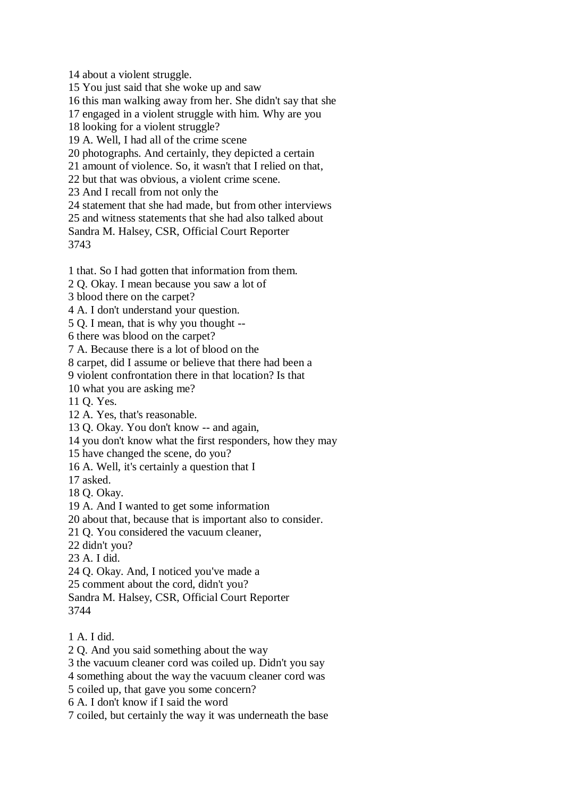15 You just said that she woke up and saw 16 this man walking away from her. She didn't say that she 17 engaged in a violent struggle with him. Why are you 18 looking for a violent struggle? 19 A. Well, I had all of the crime scene 20 photographs. And certainly, they depicted a certain 21 amount of violence. So, it wasn't that I relied on that,

22 but that was obvious, a violent crime scene.

23 And I recall from not only the

14 about a violent struggle.

24 statement that she had made, but from other interviews

25 and witness statements that she had also talked about

Sandra M. Halsey, CSR, Official Court Reporter 3743

1 that. So I had gotten that information from them.

2 Q. Okay. I mean because you saw a lot of

3 blood there on the carpet?

4 A. I don't understand your question.

5 Q. I mean, that is why you thought --

6 there was blood on the carpet?

7 A. Because there is a lot of blood on the

8 carpet, did I assume or believe that there had been a

9 violent confrontation there in that location? Is that

10 what you are asking me?

11 Q. Yes.

12 A. Yes, that's reasonable.

13 Q. Okay. You don't know -- and again,

14 you don't know what the first responders, how they may

15 have changed the scene, do you?

16 A. Well, it's certainly a question that I

17 asked.

18 Q. Okay.

19 A. And I wanted to get some information

20 about that, because that is important also to consider.

21 Q. You considered the vacuum cleaner,

22 didn't you?

23 A. I did.

24 Q. Okay. And, I noticed you've made a

25 comment about the cord, didn't you?

Sandra M. Halsey, CSR, Official Court Reporter

3744

1 A. I did.

2 Q. And you said something about the way

3 the vacuum cleaner cord was coiled up. Didn't you say

4 something about the way the vacuum cleaner cord was

5 coiled up, that gave you some concern?

6 A. I don't know if I said the word

7 coiled, but certainly the way it was underneath the base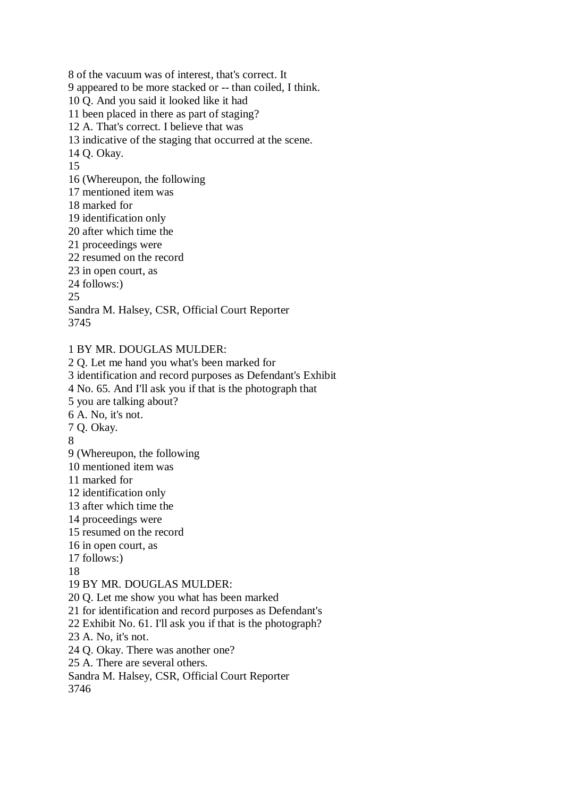8 of the vacuum was of interest, that's correct. It 9 appeared to be more stacked or -- than coiled, I think. 10 Q. And you said it looked like it had 11 been placed in there as part of staging? 12 A. That's correct. I believe that was 13 indicative of the staging that occurred at the scene. 14 Q. Okay. 15 16 (Whereupon, the following 17 mentioned item was 18 marked for 19 identification only 20 after which time the 21 proceedings were 22 resumed on the record 23 in open court, as 24 follows:) 25 Sandra M. Halsey, CSR, Official Court Reporter 3745

## 1 BY MR. DOUGLAS MULDER:

2 Q. Let me hand you what's been marked for 3 identification and record purposes as Defendant's Exhibit 4 No. 65. And I'll ask you if that is the photograph that 5 you are talking about? 6 A. No, it's not. 7 Q. Okay. 8 9 (Whereupon, the following 10 mentioned item was 11 marked for 12 identification only 13 after which time the 14 proceedings were 15 resumed on the record 16 in open court, as 17 follows:) 18 19 BY MR. DOUGLAS MULDER: 20 Q. Let me show you what has been marked 21 for identification and record purposes as Defendant's 22 Exhibit No. 61. I'll ask you if that is the photograph? 23 A. No, it's not. 24 Q. Okay. There was another one? 25 A. There are several others. Sandra M. Halsey, CSR, Official Court Reporter 3746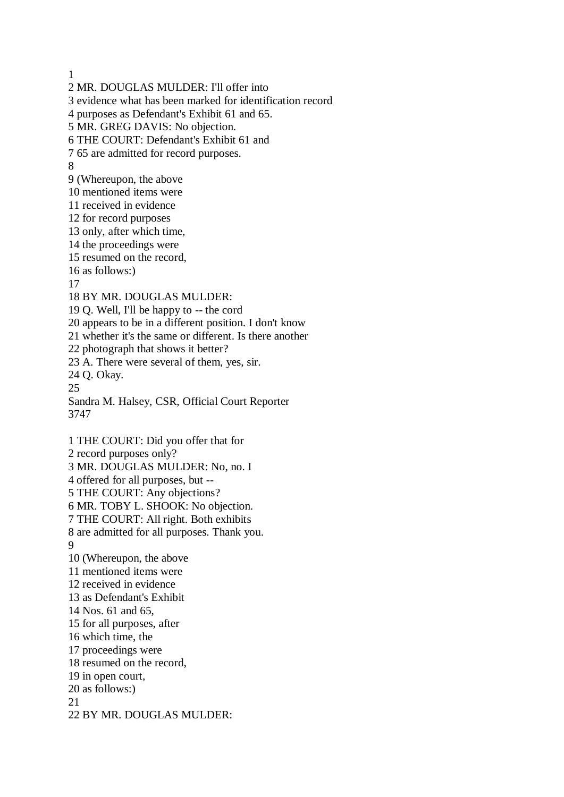1

2 MR. DOUGLAS MULDER: I'll offer into 3 evidence what has been marked for identification record 4 purposes as Defendant's Exhibit 61 and 65. 5 MR. GREG DAVIS: No objection. 6 THE COURT: Defendant's Exhibit 61 and 7 65 are admitted for record purposes. 8 9 (Whereupon, the above 10 mentioned items were 11 received in evidence 12 for record purposes 13 only, after which time, 14 the proceedings were 15 resumed on the record, 16 as follows:) 17 18 BY MR. DOUGLAS MULDER: 19 Q. Well, I'll be happy to -- the cord 20 appears to be in a different position. I don't know 21 whether it's the same or different. Is there another 22 photograph that shows it better? 23 A. There were several of them, yes, sir. 24 Q. Okay. 25 Sandra M. Halsey, CSR, Official Court Reporter 3747 1 THE COURT: Did you offer that for 2 record purposes only? 3 MR. DOUGLAS MULDER: No, no. I 4 offered for all purposes, but -- 5 THE COURT: Any objections? 6 MR. TOBY L. SHOOK: No objection. 7 THE COURT: All right. Both exhibits 8 are admitted for all purposes. Thank you. 9 10 (Whereupon, the above 11 mentioned items were 12 received in evidence 13 as Defendant's Exhibit 14 Nos. 61 and 65, 15 for all purposes, after 16 which time, the 17 proceedings were 18 resumed on the record, 19 in open court, 20 as follows:) 21 22 BY MR. DOUGLAS MULDER: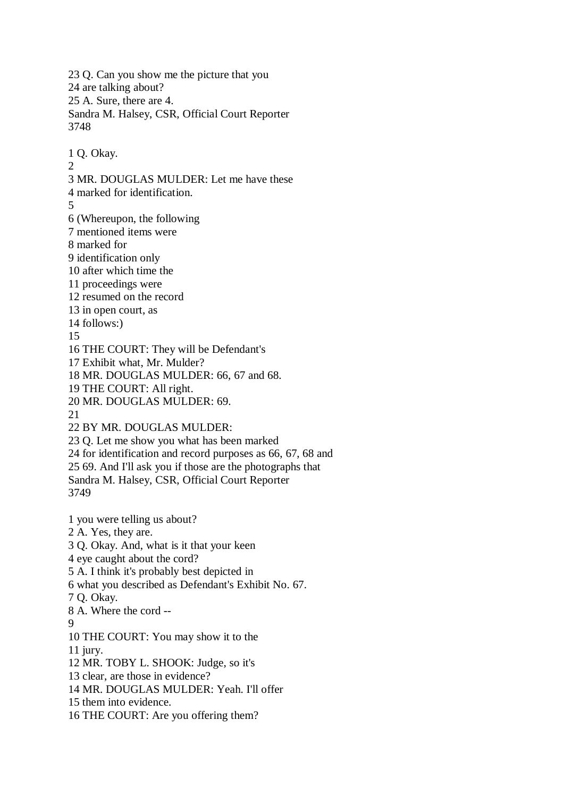23 Q. Can you show me the picture that you 24 are talking about? 25 A. Sure, there are 4. Sandra M. Halsey, CSR, Official Court Reporter 3748 1 Q. Okay. 2 3 MR. DOUGLAS MULDER: Let me have these 4 marked for identification. 5 6 (Whereupon, the following 7 mentioned items were 8 marked for 9 identification only 10 after which time the 11 proceedings were 12 resumed on the record 13 in open court, as 14 follows:) 15 16 THE COURT: They will be Defendant's 17 Exhibit what, Mr. Mulder? 18 MR. DOUGLAS MULDER: 66, 67 and 68. 19 THE COURT: All right. 20 MR. DOUGLAS MULDER: 69. 21 22 BY MR. DOUGLAS MULDER: 23 Q. Let me show you what has been marked 24 for identification and record purposes as 66, 67, 68 and 25 69. And I'll ask you if those are the photographs that Sandra M. Halsey, CSR, Official Court Reporter 3749 1 you were telling us about? 2 A. Yes, they are. 3 Q. Okay. And, what is it that your keen 4 eye caught about the cord? 5 A. I think it's probably best depicted in 6 what you described as Defendant's Exhibit No. 67. 7 Q. Okay. 8 A. Where the cord -- 9 10 THE COURT: You may show it to the 11 jury. 12 MR. TOBY L. SHOOK: Judge, so it's 13 clear, are those in evidence? 14 MR. DOUGLAS MULDER: Yeah. I'll offer 15 them into evidence. 16 THE COURT: Are you offering them?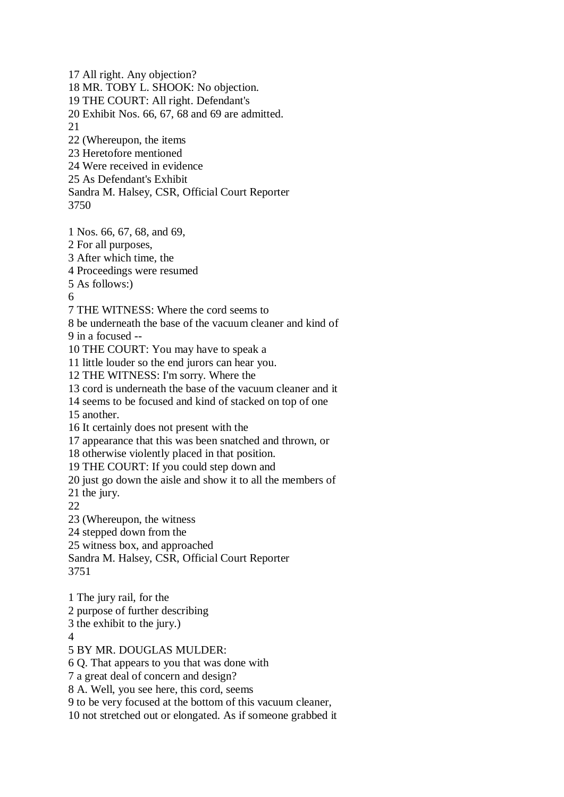17 All right. Any objection? 18 MR. TOBY L. SHOOK: No objection. 19 THE COURT: All right. Defendant's 20 Exhibit Nos. 66, 67, 68 and 69 are admitted. 21 22 (Whereupon, the items 23 Heretofore mentioned 24 Were received in evidence 25 As Defendant's Exhibit Sandra M. Halsey, CSR, Official Court Reporter 3750 1 Nos. 66, 67, 68, and 69, 2 For all purposes, 3 After which time, the 4 Proceedings were resumed 5 As follows:) 6 7 THE WITNESS: Where the cord seems to 8 be underneath the base of the vacuum cleaner and kind of 9 in a focused -- 10 THE COURT: You may have to speak a 11 little louder so the end jurors can hear you. 12 THE WITNESS: I'm sorry. Where the 13 cord is underneath the base of the vacuum cleaner and it 14 seems to be focused and kind of stacked on top of one 15 another. 16 It certainly does not present with the 17 appearance that this was been snatched and thrown, or 18 otherwise violently placed in that position. 19 THE COURT: If you could step down and 20 just go down the aisle and show it to all the members of 21 the jury. 22 23 (Whereupon, the witness 24 stepped down from the 25 witness box, and approached Sandra M. Halsey, CSR, Official Court Reporter 3751 1 The jury rail, for the 2 purpose of further describing 3 the exhibit to the jury.) 4 5 BY MR. DOUGLAS MULDER: 6 Q. That appears to you that was done with 7 a great deal of concern and design? 8 A. Well, you see here, this cord, seems 9 to be very focused at the bottom of this vacuum cleaner,

10 not stretched out or elongated. As if someone grabbed it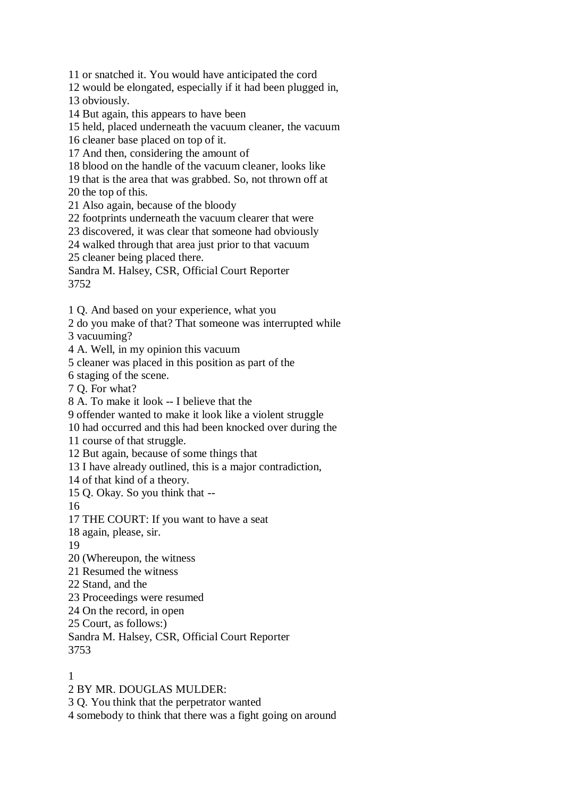11 or snatched it. You would have anticipated the cord

12 would be elongated, especially if it had been plugged in,

13 obviously.

14 But again, this appears to have been

15 held, placed underneath the vacuum cleaner, the vacuum

16 cleaner base placed on top of it.

17 And then, considering the amount of

18 blood on the handle of the vacuum cleaner, looks like

19 that is the area that was grabbed. So, not thrown off at

20 the top of this.

21 Also again, because of the bloody

22 footprints underneath the vacuum clearer that were

23 discovered, it was clear that someone had obviously

24 walked through that area just prior to that vacuum

25 cleaner being placed there.

Sandra M. Halsey, CSR, Official Court Reporter 3752

1 Q. And based on your experience, what you

2 do you make of that? That someone was interrupted while

3 vacuuming?

4 A. Well, in my opinion this vacuum

5 cleaner was placed in this position as part of the

6 staging of the scene.

7 Q. For what?

8 A. To make it look -- I believe that the

9 offender wanted to make it look like a violent struggle

10 had occurred and this had been knocked over during the

11 course of that struggle.

12 But again, because of some things that

13 I have already outlined, this is a major contradiction,

14 of that kind of a theory.

15 Q. Okay. So you think that --

16

17 THE COURT: If you want to have a seat

18 again, please, sir.

19

20 (Whereupon, the witness

21 Resumed the witness

22 Stand, and the

23 Proceedings were resumed

24 On the record, in open

25 Court, as follows:)

Sandra M. Halsey, CSR, Official Court Reporter

3753

1

2 BY MR. DOUGLAS MULDER:

3 Q. You think that the perpetrator wanted

4 somebody to think that there was a fight going on around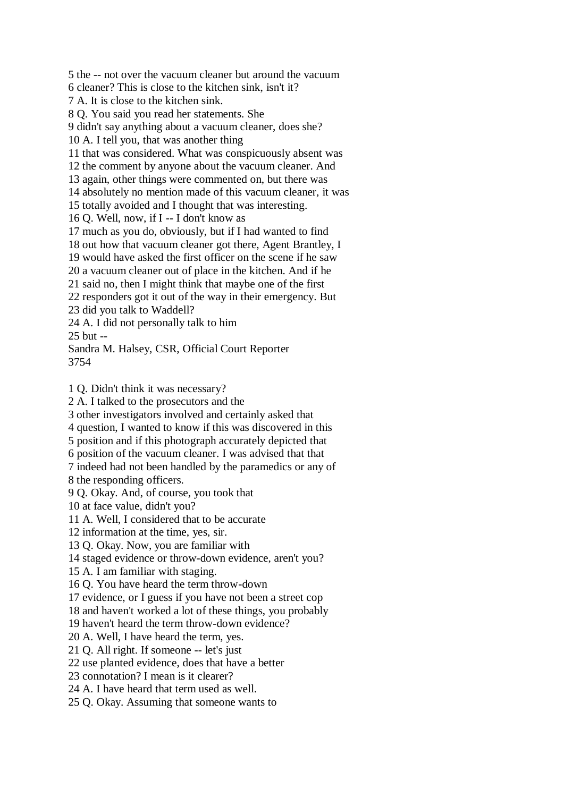5 the -- not over the vacuum cleaner but around the vacuum 6 cleaner? This is close to the kitchen sink, isn't it? 7 A. It is close to the kitchen sink. 8 Q. You said you read her statements. She 9 didn't say anything about a vacuum cleaner, does she? 10 A. I tell you, that was another thing 11 that was considered. What was conspicuously absent was 12 the comment by anyone about the vacuum cleaner. And 13 again, other things were commented on, but there was 14 absolutely no mention made of this vacuum cleaner, it was 15 totally avoided and I thought that was interesting. 16 Q. Well, now, if I -- I don't know as 17 much as you do, obviously, but if I had wanted to find 18 out how that vacuum cleaner got there, Agent Brantley, I 19 would have asked the first officer on the scene if he saw 20 a vacuum cleaner out of place in the kitchen. And if he 21 said no, then I might think that maybe one of the first 22 responders got it out of the way in their emergency. But 23 did you talk to Waddell? 24 A. I did not personally talk to him 25 but -- Sandra M. Halsey, CSR, Official Court Reporter 3754 1 Q. Didn't think it was necessary? 2 A. I talked to the prosecutors and the 3 other investigators involved and certainly asked that 4 question, I wanted to know if this was discovered in this 5 position and if this photograph accurately depicted that 6 position of the vacuum cleaner. I was advised that that

7 indeed had not been handled by the paramedics or any of

8 the responding officers.

9 Q. Okay. And, of course, you took that

10 at face value, didn't you?

11 A. Well, I considered that to be accurate

12 information at the time, yes, sir.

13 Q. Okay. Now, you are familiar with

14 staged evidence or throw-down evidence, aren't you?

15 A. I am familiar with staging.

16 Q. You have heard the term throw-down

17 evidence, or I guess if you have not been a street cop

18 and haven't worked a lot of these things, you probably

19 haven't heard the term throw-down evidence?

20 A. Well, I have heard the term, yes.

21 Q. All right. If someone -- let's just

22 use planted evidence, does that have a better

23 connotation? I mean is it clearer?

24 A. I have heard that term used as well.

25 Q. Okay. Assuming that someone wants to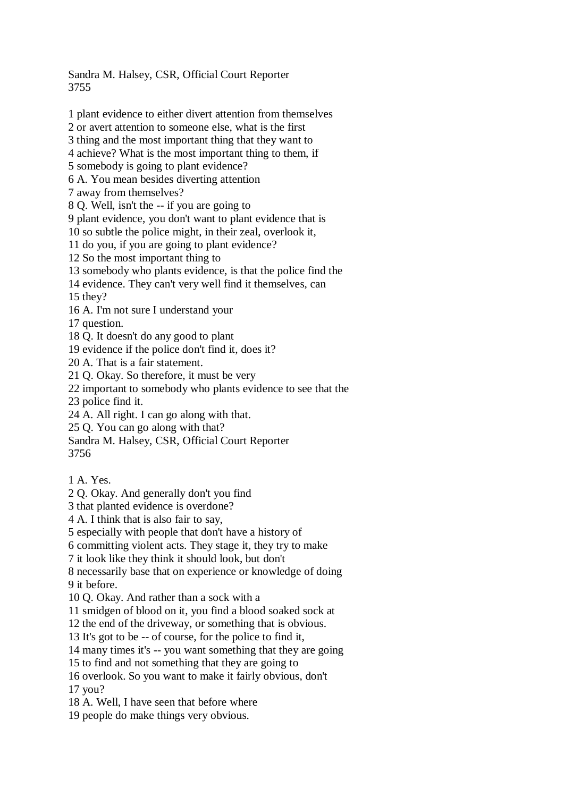Sandra M. Halsey, CSR, Official Court Reporter 3755

1 plant evidence to either divert attention from themselves 2 or avert attention to someone else, what is the first 3 thing and the most important thing that they want to 4 achieve? What is the most important thing to them, if 5 somebody is going to plant evidence? 6 A. You mean besides diverting attention 7 away from themselves? 8 Q. Well, isn't the -- if you are going to 9 plant evidence, you don't want to plant evidence that is 10 so subtle the police might, in their zeal, overlook it, 11 do you, if you are going to plant evidence? 12 So the most important thing to 13 somebody who plants evidence, is that the police find the 14 evidence. They can't very well find it themselves, can 15 they? 16 A. I'm not sure I understand your 17 question. 18 Q. It doesn't do any good to plant 19 evidence if the police don't find it, does it? 20 A. That is a fair statement. 21 Q. Okay. So therefore, it must be very 22 important to somebody who plants evidence to see that the 23 police find it. 24 A. All right. I can go along with that. 25 Q. You can go along with that? Sandra M. Halsey, CSR, Official Court Reporter 3756 1 A. Yes. 2 Q. Okay. And generally don't you find 3 that planted evidence is overdone? 4 A. I think that is also fair to say, 5 especially with people that don't have a history of 6 committing violent acts. They stage it, they try to make 7 it look like they think it should look, but don't 8 necessarily base that on experience or knowledge of doing 9 it before. 10 Q. Okay. And rather than a sock with a 11 smidgen of blood on it, you find a blood soaked sock at 12 the end of the driveway, or something that is obvious.

13 It's got to be -- of course, for the police to find it,

14 many times it's -- you want something that they are going

15 to find and not something that they are going to

16 overlook. So you want to make it fairly obvious, don't 17 you?

18 A. Well, I have seen that before where

19 people do make things very obvious.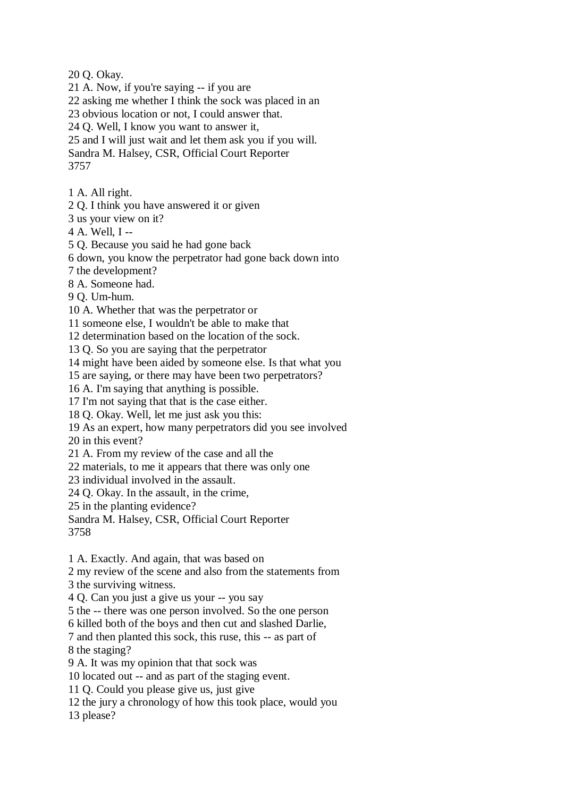20 Q. Okay.

21 A. Now, if you're saying -- if you are

22 asking me whether I think the sock was placed in an

23 obvious location or not, I could answer that.

24 Q. Well, I know you want to answer it,

25 and I will just wait and let them ask you if you will.

Sandra M. Halsey, CSR, Official Court Reporter

3757

1 A. All right.

2 Q. I think you have answered it or given

3 us your view on it?

4 A. Well, I --

5 Q. Because you said he had gone back

6 down, you know the perpetrator had gone back down into

7 the development?

8 A. Someone had.

9 Q. Um-hum.

10 A. Whether that was the perpetrator or

11 someone else, I wouldn't be able to make that

12 determination based on the location of the sock.

13 Q. So you are saying that the perpetrator

14 might have been aided by someone else. Is that what you

15 are saying, or there may have been two perpetrators?

16 A. I'm saying that anything is possible.

17 I'm not saying that that is the case either.

18 Q. Okay. Well, let me just ask you this:

19 As an expert, how many perpetrators did you see involved

20 in this event?

21 A. From my review of the case and all the

22 materials, to me it appears that there was only one

23 individual involved in the assault.

24 Q. Okay. In the assault, in the crime,

25 in the planting evidence?

Sandra M. Halsey, CSR, Official Court Reporter 3758

1 A. Exactly. And again, that was based on

2 my review of the scene and also from the statements from

3 the surviving witness.

4 Q. Can you just a give us your -- you say

5 the -- there was one person involved. So the one person

6 killed both of the boys and then cut and slashed Darlie,

7 and then planted this sock, this ruse, this -- as part of 8 the staging?

9 A. It was my opinion that that sock was

10 located out -- and as part of the staging event.

11 Q. Could you please give us, just give

12 the jury a chronology of how this took place, would you

13 please?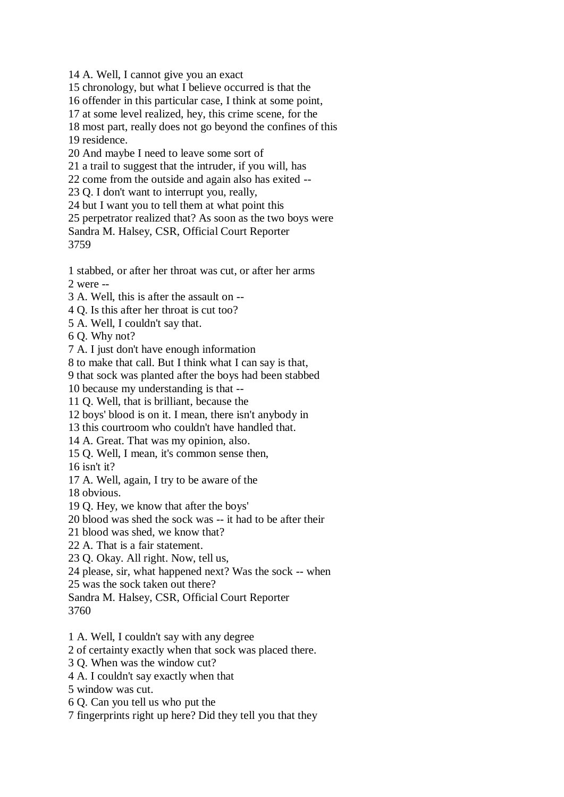14 A. Well, I cannot give you an exact

15 chronology, but what I believe occurred is that the

16 offender in this particular case, I think at some point,

17 at some level realized, hey, this crime scene, for the

18 most part, really does not go beyond the confines of this 19 residence.

20 And maybe I need to leave some sort of

21 a trail to suggest that the intruder, if you will, has

22 come from the outside and again also has exited --

23 Q. I don't want to interrupt you, really,

24 but I want you to tell them at what point this

25 perpetrator realized that? As soon as the two boys were

Sandra M. Halsey, CSR, Official Court Reporter 3759

1 stabbed, or after her throat was cut, or after her arms 2 were --

3 A. Well, this is after the assault on --

4 Q. Is this after her throat is cut too?

5 A. Well, I couldn't say that.

6 Q. Why not?

7 A. I just don't have enough information

8 to make that call. But I think what I can say is that,

9 that sock was planted after the boys had been stabbed

10 because my understanding is that --

11 Q. Well, that is brilliant, because the

12 boys' blood is on it. I mean, there isn't anybody in

13 this courtroom who couldn't have handled that.

14 A. Great. That was my opinion, also.

15 Q. Well, I mean, it's common sense then,

16 isn't it?

17 A. Well, again, I try to be aware of the

18 obvious.

19 Q. Hey, we know that after the boys'

20 blood was shed the sock was -- it had to be after their

21 blood was shed, we know that?

22 A. That is a fair statement.

23 Q. Okay. All right. Now, tell us,

24 please, sir, what happened next? Was the sock -- when

25 was the sock taken out there?

Sandra M. Halsey, CSR, Official Court Reporter

3760

1 A. Well, I couldn't say with any degree

2 of certainty exactly when that sock was placed there.

3 Q. When was the window cut?

4 A. I couldn't say exactly when that

5 window was cut.

6 Q. Can you tell us who put the

7 fingerprints right up here? Did they tell you that they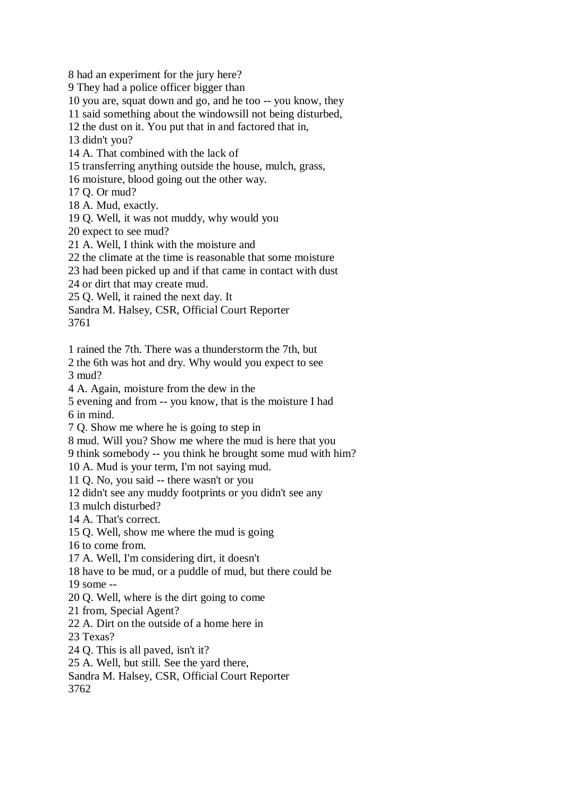8 had an experiment for the jury here?

9 They had a police officer bigger than

10 you are, squat down and go, and he too -- you know, they

11 said something about the windowsill not being disturbed,

12 the dust on it. You put that in and factored that in,

13 didn't you?

14 A. That combined with the lack of

15 transferring anything outside the house, mulch, grass,

16 moisture, blood going out the other way.

17 Q. Or mud?

18 A. Mud, exactly.

19 Q. Well, it was not muddy, why would you

20 expect to see mud?

21 A. Well, I think with the moisture and

22 the climate at the time is reasonable that some moisture

23 had been picked up and if that came in contact with dust

24 or dirt that may create mud.

25 Q. Well, it rained the next day. It

Sandra M. Halsey, CSR, Official Court Reporter

3761

1 rained the 7th. There was a thunderstorm the 7th, but

2 the 6th was hot and dry. Why would you expect to see 3 mud?

4 A. Again, moisture from the dew in the

5 evening and from -- you know, that is the moisture I had 6 in mind.

7 Q. Show me where he is going to step in

8 mud. Will you? Show me where the mud is here that you

9 think somebody -- you think he brought some mud with him?

10 A. Mud is your term, I'm not saying mud.

11 Q. No, you said -- there wasn't or you

12 didn't see any muddy footprints or you didn't see any

13 mulch disturbed?

14 A. That's correct.

15 Q. Well, show me where the mud is going

16 to come from.

17 A. Well, I'm considering dirt, it doesn't

18 have to be mud, or a puddle of mud, but there could be

19 some --

20 Q. Well, where is the dirt going to come

21 from, Special Agent?

22 A. Dirt on the outside of a home here in

23 Texas?

24 Q. This is all paved, isn't it?

25 A. Well, but still. See the yard there,

Sandra M. Halsey, CSR, Official Court Reporter

3762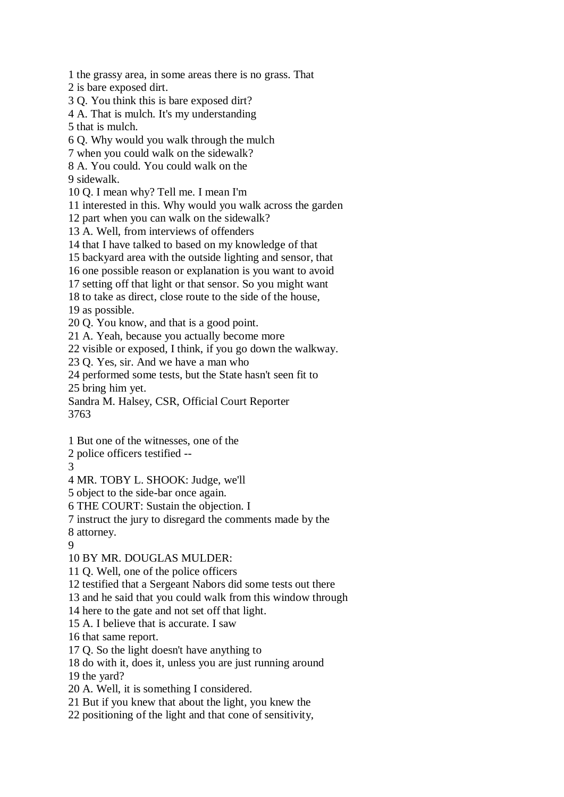1 the grassy area, in some areas there is no grass. That 2 is bare exposed dirt. 3 Q. You think this is bare exposed dirt? 4 A. That is mulch. It's my understanding 5 that is mulch. 6 Q. Why would you walk through the mulch 7 when you could walk on the sidewalk? 8 A. You could. You could walk on the 9 sidewalk. 10 Q. I mean why? Tell me. I mean I'm 11 interested in this. Why would you walk across the garden 12 part when you can walk on the sidewalk? 13 A. Well, from interviews of offenders 14 that I have talked to based on my knowledge of that 15 backyard area with the outside lighting and sensor, that 16 one possible reason or explanation is you want to avoid 17 setting off that light or that sensor. So you might want 18 to take as direct, close route to the side of the house, 19 as possible. 20 Q. You know, and that is a good point. 21 A. Yeah, because you actually become more 22 visible or exposed, I think, if you go down the walkway. 23 Q. Yes, sir. And we have a man who 24 performed some tests, but the State hasn't seen fit to 25 bring him yet. Sandra M. Halsey, CSR, Official Court Reporter 3763 1 But one of the witnesses, one of the 2 police officers testified -- 3 4 MR. TOBY L. SHOOK: Judge, we'll 5 object to the side-bar once again. 6 THE COURT: Sustain the objection. I 7 instruct the jury to disregard the comments made by the 8 attorney. 9 10 BY MR. DOUGLAS MULDER: 11 Q. Well, one of the police officers 12 testified that a Sergeant Nabors did some tests out there 13 and he said that you could walk from this window through 14 here to the gate and not set off that light.

15 A. I believe that is accurate. I saw

16 that same report.

17 Q. So the light doesn't have anything to

18 do with it, does it, unless you are just running around

19 the yard?

20 A. Well, it is something I considered.

21 But if you knew that about the light, you knew the

22 positioning of the light and that cone of sensitivity,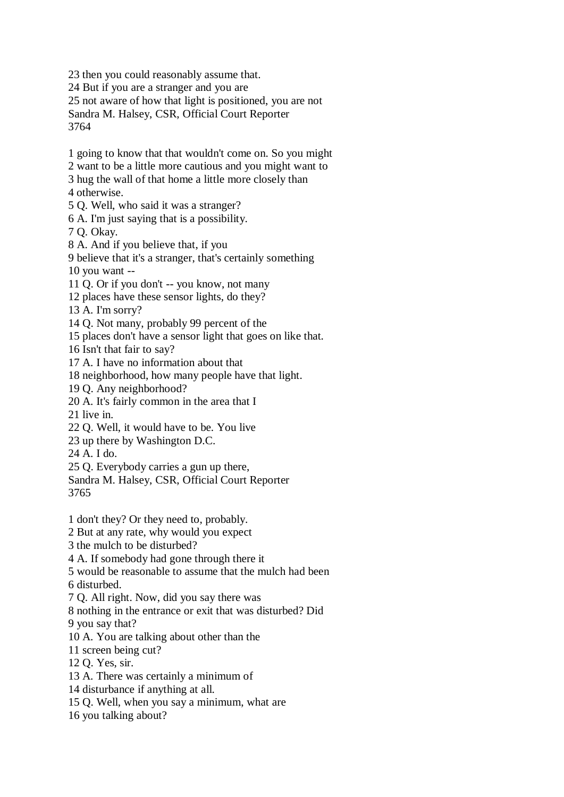23 then you could reasonably assume that.

24 But if you are a stranger and you are

25 not aware of how that light is positioned, you are not

Sandra M. Halsey, CSR, Official Court Reporter 3764

1 going to know that that wouldn't come on. So you might

2 want to be a little more cautious and you might want to

3 hug the wall of that home a little more closely than

4 otherwise.

5 Q. Well, who said it was a stranger?

6 A. I'm just saying that is a possibility.

7 Q. Okay.

8 A. And if you believe that, if you

9 believe that it's a stranger, that's certainly something

10 you want --

11 Q. Or if you don't -- you know, not many

12 places have these sensor lights, do they?

13 A. I'm sorry?

14 Q. Not many, probably 99 percent of the

15 places don't have a sensor light that goes on like that.

16 Isn't that fair to say?

17 A. I have no information about that

18 neighborhood, how many people have that light.

19 Q. Any neighborhood?

20 A. It's fairly common in the area that I

21 live in.

22 Q. Well, it would have to be. You live

23 up there by Washington D.C.

24 A. I do.

25 Q. Everybody carries a gun up there,

Sandra M. Halsey, CSR, Official Court Reporter 3765

1 don't they? Or they need to, probably.

2 But at any rate, why would you expect

3 the mulch to be disturbed?

4 A. If somebody had gone through there it

5 would be reasonable to assume that the mulch had been

6 disturbed.

7 Q. All right. Now, did you say there was

8 nothing in the entrance or exit that was disturbed? Did 9 you say that?

10 A. You are talking about other than the

11 screen being cut?

12 Q. Yes, sir.

13 A. There was certainly a minimum of

14 disturbance if anything at all.

15 Q. Well, when you say a minimum, what are

16 you talking about?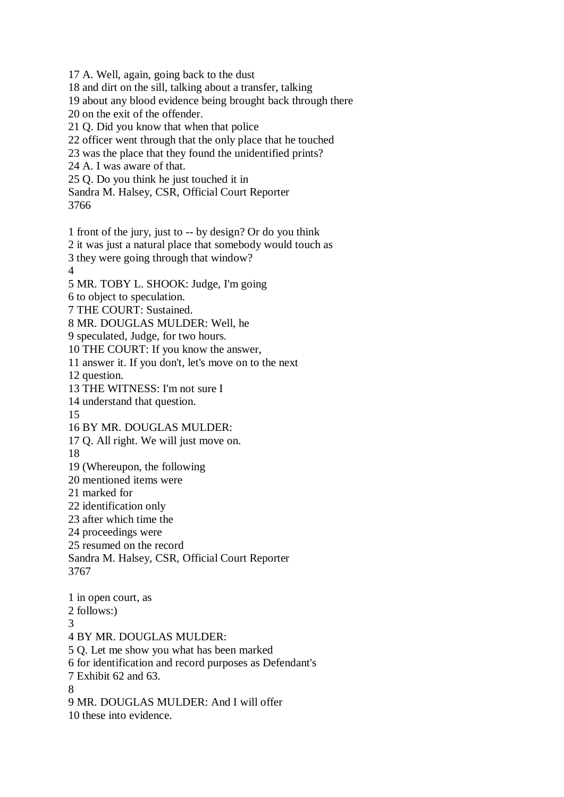17 A. Well, again, going back to the dust 18 and dirt on the sill, talking about a transfer, talking 19 about any blood evidence being brought back through there 20 on the exit of the offender. 21 Q. Did you know that when that police 22 officer went through that the only place that he touched 23 was the place that they found the unidentified prints? 24 A. I was aware of that. 25 Q. Do you think he just touched it in Sandra M. Halsey, CSR, Official Court Reporter 3766 1 front of the jury, just to -- by design? Or do you think 2 it was just a natural place that somebody would touch as 3 they were going through that window? 4 5 MR. TOBY L. SHOOK: Judge, I'm going 6 to object to speculation. 7 THE COURT: Sustained. 8 MR. DOUGLAS MULDER: Well, he 9 speculated, Judge, for two hours. 10 THE COURT: If you know the answer, 11 answer it. If you don't, let's move on to the next 12 question. 13 THE WITNESS: I'm not sure I 14 understand that question. 15 16 BY MR. DOUGLAS MULDER: 17 Q. All right. We will just move on. 18 19 (Whereupon, the following 20 mentioned items were 21 marked for 22 identification only 23 after which time the 24 proceedings were 25 resumed on the record Sandra M. Halsey, CSR, Official Court Reporter 3767 1 in open court, as 2 follows:) 3 4 BY MR. DOUGLAS MULDER: 5 Q. Let me show you what has been marked 6 for identification and record purposes as Defendant's 7 Exhibit 62 and 63. 8 9 MR. DOUGLAS MULDER: And I will offer 10 these into evidence.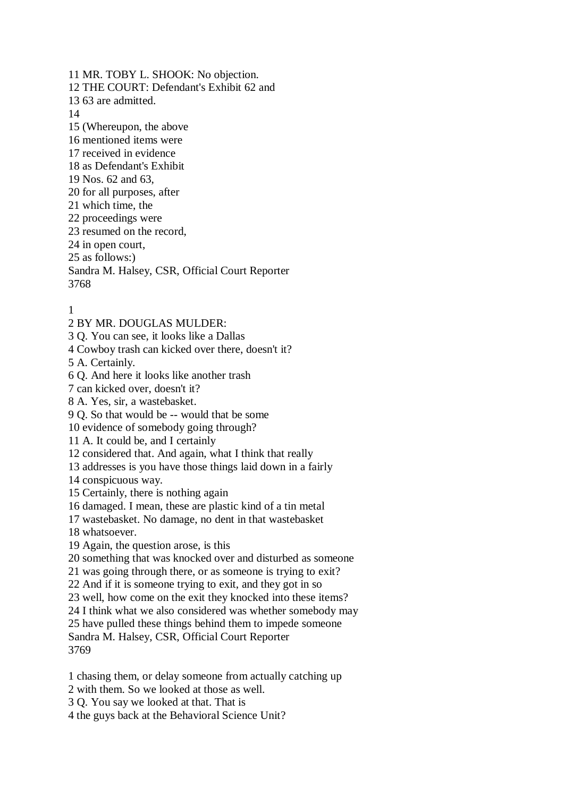11 MR. TOBY L. SHOOK: No objection. 12 THE COURT: Defendant's Exhibit 62 and 13 63 are admitted. 14 15 (Whereupon, the above 16 mentioned items were 17 received in evidence 18 as Defendant's Exhibit 19 Nos. 62 and 63, 20 for all purposes, after 21 which time, the 22 proceedings were 23 resumed on the record, 24 in open court, 25 as follows:) Sandra M. Halsey, CSR, Official Court Reporter 3768

1

2 BY MR. DOUGLAS MULDER:

3 Q. You can see, it looks like a Dallas

4 Cowboy trash can kicked over there, doesn't it?

5 A. Certainly.

6 Q. And here it looks like another trash

7 can kicked over, doesn't it?

8 A. Yes, sir, a wastebasket.

9 Q. So that would be -- would that be some

10 evidence of somebody going through?

11 A. It could be, and I certainly

12 considered that. And again, what I think that really

13 addresses is you have those things laid down in a fairly

14 conspicuous way.

15 Certainly, there is nothing again

16 damaged. I mean, these are plastic kind of a tin metal

17 wastebasket. No damage, no dent in that wastebasket

18 whatsoever.

19 Again, the question arose, is this

20 something that was knocked over and disturbed as someone

21 was going through there, or as someone is trying to exit?

22 And if it is someone trying to exit, and they got in so

23 well, how come on the exit they knocked into these items?

24 I think what we also considered was whether somebody may

25 have pulled these things behind them to impede someone

Sandra M. Halsey, CSR, Official Court Reporter 3769

1 chasing them, or delay someone from actually catching up

2 with them. So we looked at those as well.

3 Q. You say we looked at that. That is

4 the guys back at the Behavioral Science Unit?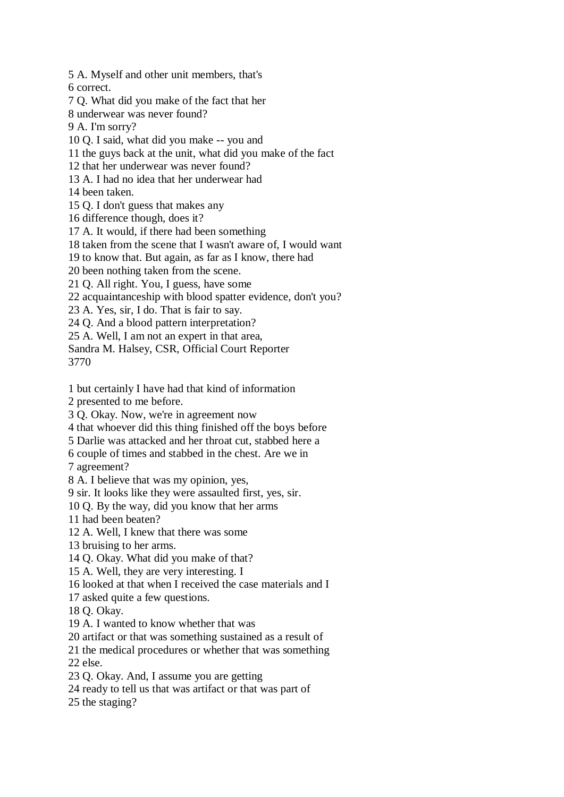5 A. Myself and other unit members, that's 6 correct. 7 Q. What did you make of the fact that her 8 underwear was never found? 9 A. I'm sorry? 10 Q. I said, what did you make -- you and 11 the guys back at the unit, what did you make of the fact 12 that her underwear was never found? 13 A. I had no idea that her underwear had 14 been taken. 15 Q. I don't guess that makes any 16 difference though, does it? 17 A. It would, if there had been something

18 taken from the scene that I wasn't aware of, I would want

19 to know that. But again, as far as I know, there had

20 been nothing taken from the scene.

21 Q. All right. You, I guess, have some

22 acquaintanceship with blood spatter evidence, don't you?

23 A. Yes, sir, I do. That is fair to say.

24 Q. And a blood pattern interpretation?

25 A. Well, I am not an expert in that area,

Sandra M. Halsey, CSR, Official Court Reporter 3770

1 but certainly I have had that kind of information

2 presented to me before.

3 Q. Okay. Now, we're in agreement now

4 that whoever did this thing finished off the boys before

5 Darlie was attacked and her throat cut, stabbed here a

6 couple of times and stabbed in the chest. Are we in

7 agreement?

8 A. I believe that was my opinion, yes,

9 sir. It looks like they were assaulted first, yes, sir.

10 Q. By the way, did you know that her arms

11 had been beaten?

12 A. Well, I knew that there was some

13 bruising to her arms.

14 Q. Okay. What did you make of that?

15 A. Well, they are very interesting. I

16 looked at that when I received the case materials and I

17 asked quite a few questions.

18 Q. Okay.

19 A. I wanted to know whether that was

20 artifact or that was something sustained as a result of

21 the medical procedures or whether that was something

22 else.

23 Q. Okay. And, I assume you are getting

24 ready to tell us that was artifact or that was part of

25 the staging?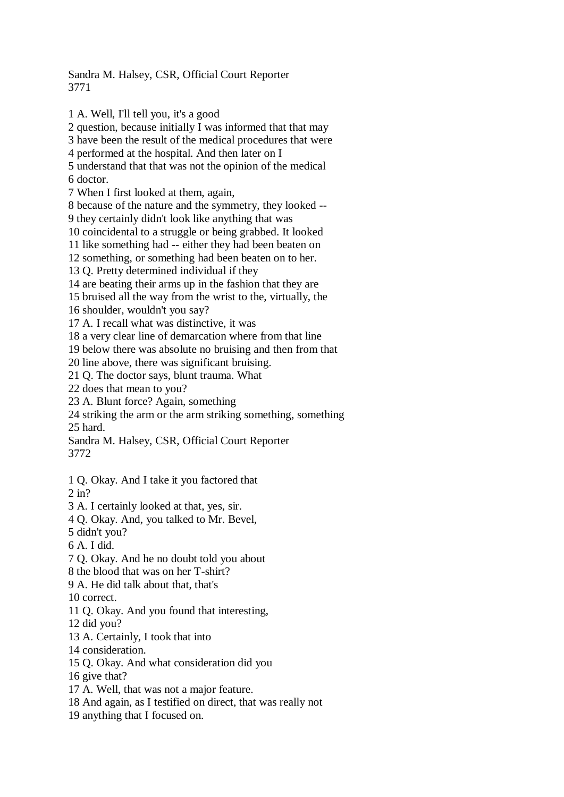Sandra M. Halsey, CSR, Official Court Reporter 3771

1 A. Well, I'll tell you, it's a good 2 question, because initially I was informed that that may 3 have been the result of the medical procedures that were 4 performed at the hospital. And then later on I 5 understand that that was not the opinion of the medical 6 doctor. 7 When I first looked at them, again, 8 because of the nature and the symmetry, they looked -- 9 they certainly didn't look like anything that was 10 coincidental to a struggle or being grabbed. It looked 11 like something had -- either they had been beaten on 12 something, or something had been beaten on to her. 13 Q. Pretty determined individual if they 14 are beating their arms up in the fashion that they are 15 bruised all the way from the wrist to the, virtually, the 16 shoulder, wouldn't you say? 17 A. I recall what was distinctive, it was 18 a very clear line of demarcation where from that line 19 below there was absolute no bruising and then from that 20 line above, there was significant bruising. 21 Q. The doctor says, blunt trauma. What 22 does that mean to you? 23 A. Blunt force? Again, something 24 striking the arm or the arm striking something, something 25 hard. Sandra M. Halsey, CSR, Official Court Reporter 3772 1 Q. Okay. And I take it you factored that 2 in? 3 A. I certainly looked at that, yes, sir. 4 Q. Okay. And, you talked to Mr. Bevel, 5 didn't you? 6 A. I did. 7 Q. Okay. And he no doubt told you about 8 the blood that was on her T-shirt? 9 A. He did talk about that, that's 10 correct. 11 Q. Okay. And you found that interesting, 12 did you? 13 A. Certainly, I took that into 14 consideration. 15 Q. Okay. And what consideration did you 16 give that?

17 A. Well, that was not a major feature.

18 And again, as I testified on direct, that was really not

19 anything that I focused on.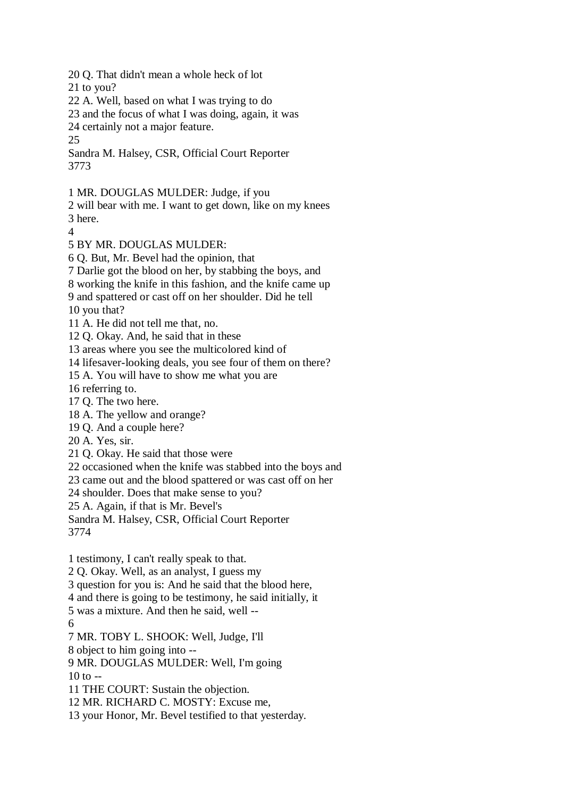20 Q. That didn't mean a whole heck of lot

21 to you?

22 A. Well, based on what I was trying to do

23 and the focus of what I was doing, again, it was

24 certainly not a major feature.

25

Sandra M. Halsey, CSR, Official Court Reporter 3773

1 MR. DOUGLAS MULDER: Judge, if you

2 will bear with me. I want to get down, like on my knees 3 here.

 $\Delta$ 

5 BY MR. DOUGLAS MULDER:

6 Q. But, Mr. Bevel had the opinion, that

7 Darlie got the blood on her, by stabbing the boys, and

8 working the knife in this fashion, and the knife came up

9 and spattered or cast off on her shoulder. Did he tell

10 you that?

11 A. He did not tell me that, no.

12 Q. Okay. And, he said that in these

13 areas where you see the multicolored kind of

14 lifesaver-looking deals, you see four of them on there?

15 A. You will have to show me what you are

16 referring to.

17 Q. The two here.

18 A. The yellow and orange?

19 Q. And a couple here?

20 A. Yes, sir.

21 Q. Okay. He said that those were

22 occasioned when the knife was stabbed into the boys and

23 came out and the blood spattered or was cast off on her

24 shoulder. Does that make sense to you?

25 A. Again, if that is Mr. Bevel's

Sandra M. Halsey, CSR, Official Court Reporter 3774

1 testimony, I can't really speak to that.

2 Q. Okay. Well, as an analyst, I guess my

3 question for you is: And he said that the blood here,

4 and there is going to be testimony, he said initially, it

5 was a mixture. And then he said, well --

6

7 MR. TOBY L. SHOOK: Well, Judge, I'll

8 object to him going into --

9 MR. DOUGLAS MULDER: Well, I'm going  $10$  to  $-$ 

11 THE COURT: Sustain the objection.

12 MR. RICHARD C. MOSTY: Excuse me,

13 your Honor, Mr. Bevel testified to that yesterday.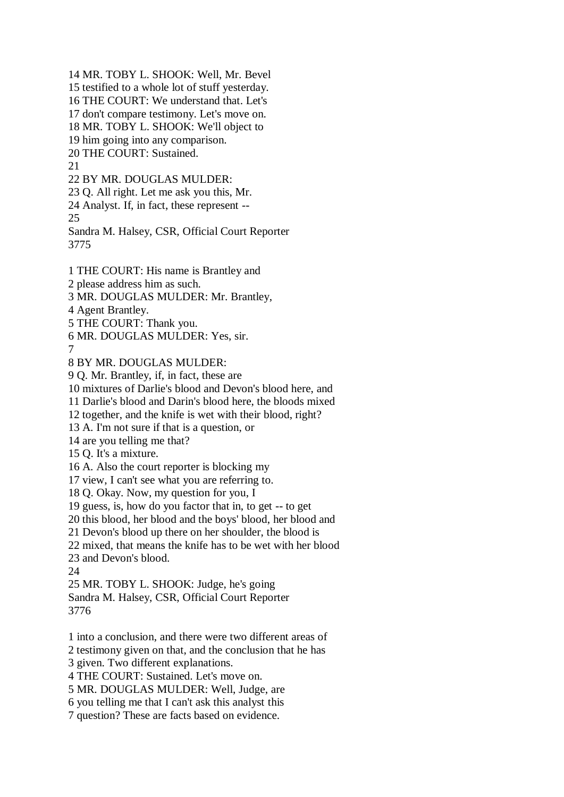14 MR. TOBY L. SHOOK: Well, Mr. Bevel 15 testified to a whole lot of stuff yesterday. 16 THE COURT: We understand that. Let's 17 don't compare testimony. Let's move on. 18 MR. TOBY L. SHOOK: We'll object to 19 him going into any comparison. 20 THE COURT: Sustained. 21 22 BY MR. DOUGLAS MULDER: 23 Q. All right. Let me ask you this, Mr. 24 Analyst. If, in fact, these represent -- 25 Sandra M. Halsey, CSR, Official Court Reporter 3775 1 THE COURT: His name is Brantley and 2 please address him as such. 3 MR. DOUGLAS MULDER: Mr. Brantley, 4 Agent Brantley. 5 THE COURT: Thank you. 6 MR. DOUGLAS MULDER: Yes, sir. 7 8 BY MR. DOUGLAS MULDER: 9 Q. Mr. Brantley, if, in fact, these are 10 mixtures of Darlie's blood and Devon's blood here, and 11 Darlie's blood and Darin's blood here, the bloods mixed 12 together, and the knife is wet with their blood, right? 13 A. I'm not sure if that is a question, or 14 are you telling me that? 15 Q. It's a mixture. 16 A. Also the court reporter is blocking my 17 view, I can't see what you are referring to. 18 Q. Okay. Now, my question for you, I 19 guess, is, how do you factor that in, to get -- to get 20 this blood, her blood and the boys' blood, her blood and 21 Devon's blood up there on her shoulder, the blood is 22 mixed, that means the knife has to be wet with her blood 23 and Devon's blood. 24 25 MR. TOBY L. SHOOK: Judge, he's going Sandra M. Halsey, CSR, Official Court Reporter 3776 1 into a conclusion, and there were two different areas of 2 testimony given on that, and the conclusion that he has 3 given. Two different explanations. 4 THE COURT: Sustained. Let's move on. 5 MR. DOUGLAS MULDER: Well, Judge, are

6 you telling me that I can't ask this analyst this

7 question? These are facts based on evidence.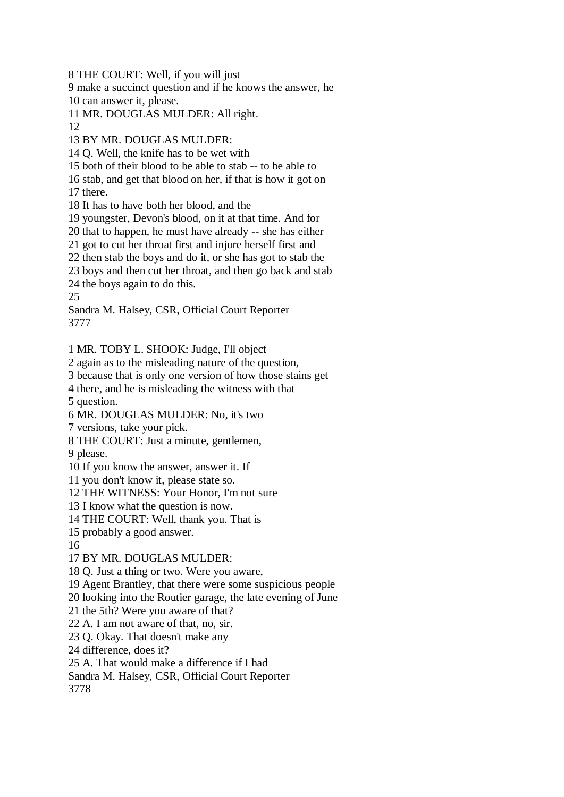8 THE COURT: Well, if you will just

9 make a succinct question and if he knows the answer, he 10 can answer it, please.

11 MR. DOUGLAS MULDER: All right.

12

13 BY MR. DOUGLAS MULDER:

14 Q. Well, the knife has to be wet with

15 both of their blood to be able to stab -- to be able to

16 stab, and get that blood on her, if that is how it got on 17 there.

18 It has to have both her blood, and the

19 youngster, Devon's blood, on it at that time. And for

20 that to happen, he must have already -- she has either

21 got to cut her throat first and injure herself first and

22 then stab the boys and do it, or she has got to stab the

23 boys and then cut her throat, and then go back and stab

24 the boys again to do this.

25

Sandra M. Halsey, CSR, Official Court Reporter 3777

1 MR. TOBY L. SHOOK: Judge, I'll object

2 again as to the misleading nature of the question,

3 because that is only one version of how those stains get

4 there, and he is misleading the witness with that

5 question.

6 MR. DOUGLAS MULDER: No, it's two

7 versions, take your pick.

8 THE COURT: Just a minute, gentlemen,

9 please.

10 If you know the answer, answer it. If

11 you don't know it, please state so.

12 THE WITNESS: Your Honor, I'm not sure

13 I know what the question is now.

14 THE COURT: Well, thank you. That is

15 probably a good answer.

16

17 BY MR. DOUGLAS MULDER:

18 Q. Just a thing or two. Were you aware,

19 Agent Brantley, that there were some suspicious people

20 looking into the Routier garage, the late evening of June

21 the 5th? Were you aware of that?

22 A. I am not aware of that, no, sir.

23 Q. Okay. That doesn't make any

24 difference, does it?

25 A. That would make a difference if I had

Sandra M. Halsey, CSR, Official Court Reporter

3778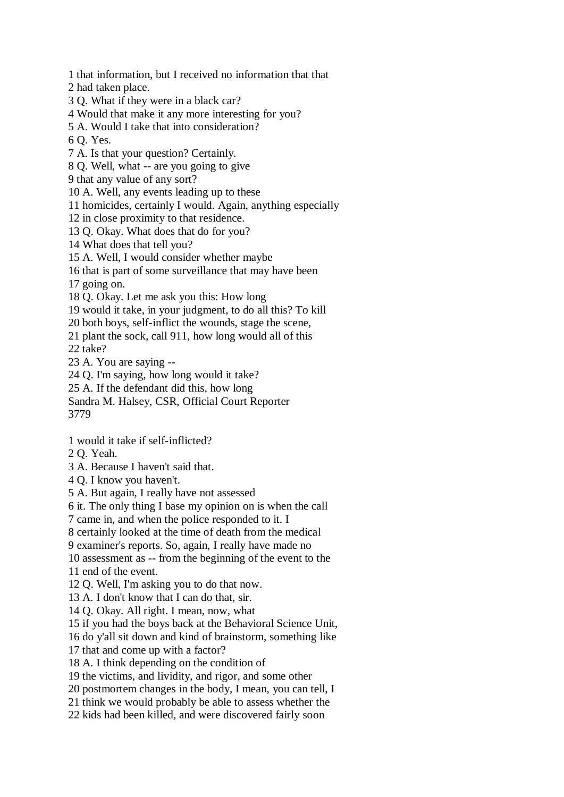1 that information, but I received no information that that 2 had taken place. 3 Q. What if they were in a black car? 4 Would that make it any more interesting for you? 5 A. Would I take that into consideration? 6 Q. Yes. 7 A. Is that your question? Certainly. 8 Q. Well, what -- are you going to give 9 that any value of any sort? 10 A. Well, any events leading up to these 11 homicides, certainly I would. Again, anything especially 12 in close proximity to that residence. 13 Q. Okay. What does that do for you? 14 What does that tell you? 15 A. Well, I would consider whether maybe 16 that is part of some surveillance that may have been 17 going on. 18 Q. Okay. Let me ask you this: How long 19 would it take, in your judgment, to do all this? To kill 20 both boys, self-inflict the wounds, stage the scene, 21 plant the sock, call 911, how long would all of this 22 take? 23 A. You are saying -- 24 Q. I'm saying, how long would it take? 25 A. If the defendant did this, how long Sandra M. Halsey, CSR, Official Court Reporter 3779 1 would it take if self-inflicted? 2 Q. Yeah.

3 A. Because I haven't said that.

4 Q. I know you haven't.

5 A. But again, I really have not assessed

6 it. The only thing I base my opinion on is when the call

7 came in, and when the police responded to it. I

8 certainly looked at the time of death from the medical

9 examiner's reports. So, again, I really have made no

10 assessment as -- from the beginning of the event to the 11 end of the event.

12 Q. Well, I'm asking you to do that now.

13 A. I don't know that I can do that, sir.

14 Q. Okay. All right. I mean, now, what

15 if you had the boys back at the Behavioral Science Unit,

16 do y'all sit down and kind of brainstorm, something like

17 that and come up with a factor?

18 A. I think depending on the condition of

19 the victims, and lividity, and rigor, and some other

20 postmortem changes in the body, I mean, you can tell, I

21 think we would probably be able to assess whether the

22 kids had been killed, and were discovered fairly soon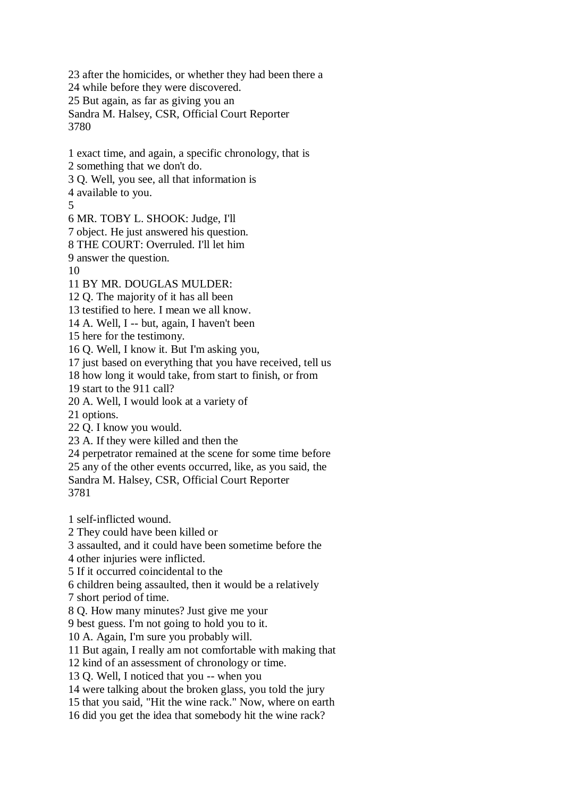23 after the homicides, or whether they had been there a 24 while before they were discovered. 25 But again, as far as giving you an Sandra M. Halsey, CSR, Official Court Reporter 3780 1 exact time, and again, a specific chronology, that is 2 something that we don't do. 3 Q. Well, you see, all that information is 4 available to you. 5 6 MR. TOBY L. SHOOK: Judge, I'll 7 object. He just answered his question. 8 THE COURT: Overruled. I'll let him 9 answer the question. 10 11 BY MR. DOUGLAS MULDER: 12 Q. The majority of it has all been 13 testified to here. I mean we all know. 14 A. Well, I -- but, again, I haven't been 15 here for the testimony. 16 Q. Well, I know it. But I'm asking you, 17 just based on everything that you have received, tell us 18 how long it would take, from start to finish, or from 19 start to the 911 call? 20 A. Well, I would look at a variety of 21 options. 22 Q. I know you would. 23 A. If they were killed and then the 24 perpetrator remained at the scene for some time before 25 any of the other events occurred, like, as you said, the Sandra M. Halsey, CSR, Official Court Reporter 3781 1 self-inflicted wound. 2 They could have been killed or 3 assaulted, and it could have been sometime before the 4 other injuries were inflicted. 5 If it occurred coincidental to the 6 children being assaulted, then it would be a relatively 7 short period of time. 8 Q. How many minutes? Just give me your 9 best guess. I'm not going to hold you to it. 10 A. Again, I'm sure you probably will. 11 But again, I really am not comfortable with making that 12 kind of an assessment of chronology or time. 13 Q. Well, I noticed that you -- when you 14 were talking about the broken glass, you told the jury 15 that you said, "Hit the wine rack." Now, where on earth

16 did you get the idea that somebody hit the wine rack?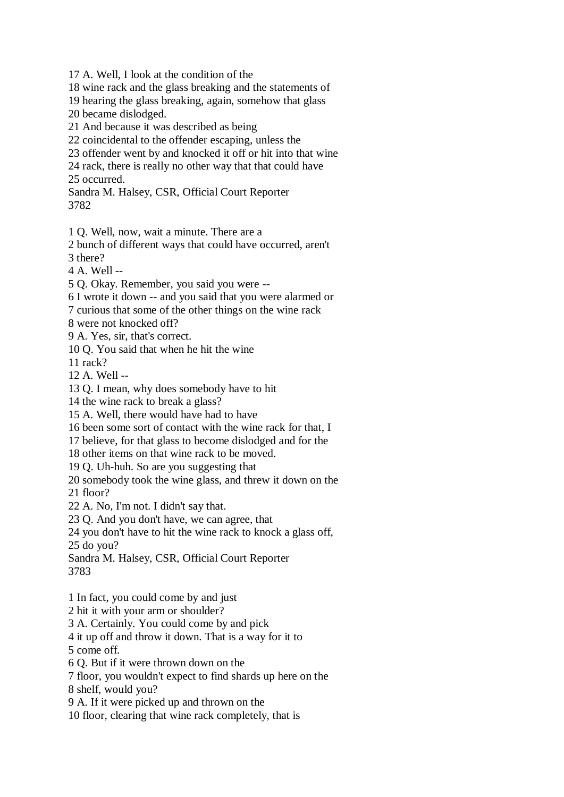17 A. Well, I look at the condition of the

18 wine rack and the glass breaking and the statements of

19 hearing the glass breaking, again, somehow that glass

20 became dislodged.

21 And because it was described as being

22 coincidental to the offender escaping, unless the

23 offender went by and knocked it off or hit into that wine

24 rack, there is really no other way that that could have 25 occurred.

Sandra M. Halsey, CSR, Official Court Reporter 3782

1 Q. Well, now, wait a minute. There are a

2 bunch of different ways that could have occurred, aren't

3 there?

4 A. Well --

5 Q. Okay. Remember, you said you were --

6 I wrote it down -- and you said that you were alarmed or

7 curious that some of the other things on the wine rack

8 were not knocked off?

9 A. Yes, sir, that's correct.

10 Q. You said that when he hit the wine

11 rack?

12 A. Well --

13 Q. I mean, why does somebody have to hit

14 the wine rack to break a glass?

15 A. Well, there would have had to have

16 been some sort of contact with the wine rack for that, I

17 believe, for that glass to become dislodged and for the

18 other items on that wine rack to be moved.

19 Q. Uh-huh. So are you suggesting that

20 somebody took the wine glass, and threw it down on the

21 floor?

22 A. No, I'm not. I didn't say that.

23 Q. And you don't have, we can agree, that

24 you don't have to hit the wine rack to knock a glass off, 25 do you?

Sandra M. Halsey, CSR, Official Court Reporter 3783

1 In fact, you could come by and just

2 hit it with your arm or shoulder?

3 A. Certainly. You could come by and pick

4 it up off and throw it down. That is a way for it to 5 come off.

6 Q. But if it were thrown down on the

7 floor, you wouldn't expect to find shards up here on the 8 shelf, would you?

9 A. If it were picked up and thrown on the

10 floor, clearing that wine rack completely, that is